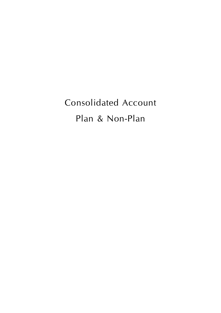Consolidated Account Plan & Non-Plan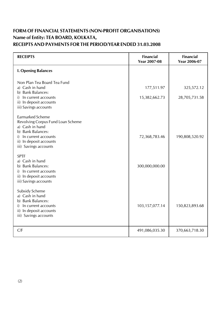## **FORM OF FINANCIAL STATEMENTS (NON-PROFIT ORGANISATIONS) Name of Entity: TEA BOARD, KOLKATA, RECEIPTS AND PAYMENTS FOR THE PERIOD/YEAR ENDED 31.03.2008**

| <b>RECEIPTS</b>                                                                                                                                                                | <b>Financial</b><br><b>Year 2007-08</b> | <b>Financial</b><br><b>Year 2006-07</b> |
|--------------------------------------------------------------------------------------------------------------------------------------------------------------------------------|-----------------------------------------|-----------------------------------------|
| <b>I. Opening Balances</b>                                                                                                                                                     |                                         |                                         |
| Non Plan Tea Board Tea Fund<br>a) Cash in hand<br>b) Bank Balances:<br>In current accounts<br>i)<br>ii) In deposit accounts<br>iii) Savings accounts                           | 177,511.97<br>15,382,662.73             | 325,572.12<br>28,705,731.58             |
| Earmarked Scheme<br>Revolving Corpus Fund Loan Scheme<br>a) Cash in hand<br>b) Bank Balances:<br>In current accounts<br>i)<br>ii) In deposit accounts<br>iii) Savings accounts | 72,368,783.46                           | 190,808,520.92                          |
| <b>SPTF</b><br>a) Cash in hand<br>b) Bank Balances:<br>In current accounts<br>i)<br>ii) In deposit accounts<br>iii) Savings accounts                                           | 300,000,000.00                          |                                         |
| <b>Subsidy Scheme</b><br>a) Cash in hand<br>b) Bank Balances:<br>In current accounts<br>i)<br>ii) In deposit accounts<br>iii) Savings accounts                                 | 103, 157, 077. 14                       | 150,823,893.68                          |
| C/F                                                                                                                                                                            | 491,086,035.30                          | 370,663,718.30                          |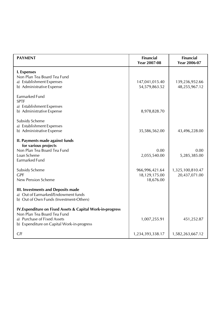| <b>PAYMENT</b>                                                                                                                                                         | <b>Financial</b><br><b>Year 2007-08</b>      | <b>Financial</b><br>Year 2006-07  |  |
|------------------------------------------------------------------------------------------------------------------------------------------------------------------------|----------------------------------------------|-----------------------------------|--|
| I. Expenses<br>Non Plan Tea Board Tea Fund<br>a) Establishment Expenses<br>b) Administrative Expense                                                                   | 147,041,015.40<br>54,579,863.52              | 139,236,952.66<br>48,255,967.12   |  |
| Earmarked Fund<br><b>SPTF</b><br>a) Establishment Expenses<br>b) Administrative Expense                                                                                | 8,978,828.70                                 |                                   |  |
| <b>Subsidy Scheme</b><br>a) Establishment Expenses<br>b) Administrative Expense                                                                                        | 35,586,562.00                                | 43,496,228.00                     |  |
| II. Payments made against funds<br>for various projects<br>Non Plan Tea Board Tea Fund<br>Loan Scheme<br>Earmarked Fund                                                | 0.00<br>2,055,540.00                         | 0.00<br>5,285,385.00              |  |
| <b>Subsidy Scheme</b><br><b>GPF</b><br>New Pension Scheme                                                                                                              | 966,996,421.64<br>18,129,175.00<br>18,676.00 | 1,325,100,810.47<br>20,437,071.00 |  |
| <b>III. Investments and Deposits made</b><br>a) Out of Earmarked/Endowment funds<br>b) Out of Own Funds (Investment-Others)                                            |                                              |                                   |  |
| IV. Expenditure on Fixed Assets & Capital Work-in-progress<br>Non Plan Tea Board Tea Fund<br>a) Purchase of Fixed Assets<br>b) Expenditure on Capital Work-in-progress | 1,007,255.91                                 | 451,252.87                        |  |
| C/F                                                                                                                                                                    | 1,234,393,338.17                             | 1,582,263,667.12                  |  |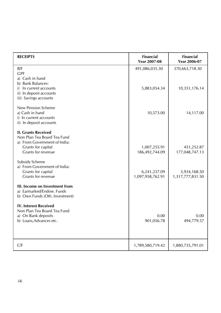| <b>RECEIPTS</b>                                                                                                                       | <b>Financial</b><br><b>Year 2007-08</b> | <b>Financial</b><br>Year 2006-07 |  |
|---------------------------------------------------------------------------------------------------------------------------------------|-----------------------------------------|----------------------------------|--|
| B/F<br><b>GPF</b><br>a) Cash in hand                                                                                                  | 491,086,035.30                          | 370,663,718.30                   |  |
| b) Bank Balances:<br>In current accounts<br>i)<br>ii) In deposit accounts<br>iii) Savings accounts                                    | 5,883,054.34                            | 10,351,176.14                    |  |
| New Pension Scheme<br>a) Cash in hand<br>i) In current accounts<br>ii) In deposit accounts                                            | 10,573.00                               | 14,117.00                        |  |
| <b>II. Grants Received</b><br>Non Plan Tea Board Tea Fund<br>a) From Government of India:<br>Grants for capital<br>Grants for revenue | 1,007,255.91<br>186,492,744.09          | 451,252.87<br>177,048,747.13     |  |
| <b>Subsidy Scheme</b><br>a) From Government of India:<br>Grants for capital<br>Grants for revenue                                     | 6,241,237.09<br>1,097,958,762.91        | 3,934,168.50<br>1,317,777,831.50 |  |
| III. Income on Investment from<br>a) Earmarked/Endow. Funds<br>b) Own Funds (Oth. Investment)                                         |                                         |                                  |  |
| <b>IV. Interest Received</b><br>Non Plan Tea Board Tea Fund<br>a) On Bank deposits<br>b) Loans, Advances etc.                         | 0.00<br>901,056.78                      | 0.00<br>494,779.57               |  |
| C/F                                                                                                                                   | 1,789,580,719.42                        | 1,880,735,791.01                 |  |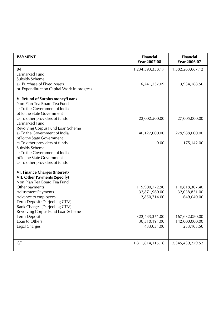| <b>PAYMENT</b>                                                                                                                                            | <b>Financial</b><br><b>Year 2007-08</b> | <b>Financial</b><br>Year 2006-07 |  |
|-----------------------------------------------------------------------------------------------------------------------------------------------------------|-----------------------------------------|----------------------------------|--|
| B/F<br>Earmarked Fund<br><b>Subsidy Scheme</b>                                                                                                            | 1,234,393,338.17                        | 1,582,263,667.12                 |  |
| a) Purchase of Fixed Assets<br>b) Expenditure on Capital Work-in-progress                                                                                 | 6,241,237.09                            | 3,934,168.50                     |  |
| V. Refund of Surplus money/Loans<br>Non Plan Tea Board Tea Fund<br>a) To the Government of India<br>b) To the State Government                            |                                         |                                  |  |
| c) To other providers of funds<br><b>Earmarked Fund</b><br>Revolving Corpus Fund Loan Scheme                                                              | 22,002,500.00                           | 27,005,000.00                    |  |
| a) To the Government of India<br>b) To the State Government                                                                                               | 40,127,000.00                           | 279,988,000.00                   |  |
| c) To other providers of funds<br><b>Subsidy Scheme</b><br>a) To the Government of India<br>b) To the State Government<br>c) To other providers of funds  | 0.00                                    | 175,142.00                       |  |
| <b>VI. Finance Charges (Interest)</b><br><b>VII. Other Payments (Specify)</b><br>Non Plan Tea Board Tea Fund                                              |                                         |                                  |  |
| Other payments                                                                                                                                            | 119,900,772.90                          | 110,818,307.40                   |  |
| <b>Adjustment Payments</b><br>Advance to employees<br>Term Deposit (Darjeeling CTM)<br>Bank Charges (Darjeeling CTM)<br>Revolving Corpus Fund Loan Scheme | 32,871,960.00<br>2,850,714.00           | 32,038,851.00<br>$-649,040.00$   |  |
| <b>Term Deposit</b>                                                                                                                                       | 322,483,371.00                          | 167,632,080.00                   |  |
| Loan to Others<br>Legal Charges                                                                                                                           | 30,310,191.00<br>433,031.00             | 142,000,000.00<br>233,103.50     |  |
| C/F                                                                                                                                                       | 1,811,614,115.16                        | 2,345,439,279.52                 |  |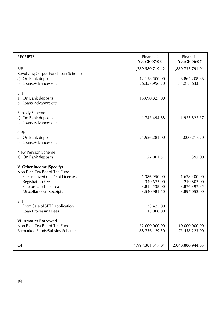| <b>RECEIPTS</b>                                                                                               | <b>Financial</b><br>Year 2007-08                           | <b>Financial</b><br>Year 2006-07                           |
|---------------------------------------------------------------------------------------------------------------|------------------------------------------------------------|------------------------------------------------------------|
| B/F                                                                                                           | 1,789,580,719.42                                           | 1,880,735,791.01                                           |
| Revolving Corpus Fund Loan Scheme<br>a) On Bank deposits<br>b) Loans, Advances etc.                           | 12,158,500.00<br>26,357,996.20                             | 8,865,208.88<br>51,273,633.34                              |
| <b>SPTF</b><br>a) On Bank deposits<br>b) Loans, Advances etc.                                                 | 15,690,827.00                                              |                                                            |
| <b>Subsidy Scheme</b><br>a) On Bank deposits<br>b) Loans, Advances etc.                                       | 1,743,494.88                                               | 1,925,822.37                                               |
| <b>GPF</b><br>a) On Bank deposits<br>b) Loans, Advances etc.                                                  | 21,926,281.00                                              | 5,000,217.20                                               |
| New Pension Scheme<br>a) On Bank deposits                                                                     | 27,001.51                                                  | 392.00                                                     |
| V. Other Income (Specify)<br>Non Plan Tea Board Tea Fund                                                      |                                                            |                                                            |
| Fees realized on a/c of Licenses<br><b>Registration Fee</b><br>Sale proceeds of Tea<br>Miscellaneous Receipts | 1,386,950.00<br>349,673.00<br>3,814,538.00<br>3,540,981.50 | 1,628,400.00<br>219,807.00<br>3,876,397.85<br>3,897,052.00 |
| <b>SPTF</b>                                                                                                   |                                                            |                                                            |
| From Sale of SPTF application<br><b>Loan Processing Fees</b>                                                  | 33,425.00<br>15,000.00                                     |                                                            |
| <b>VI. Amount Borrowed</b>                                                                                    |                                                            |                                                            |
| Non Plan Tea Board Tea Fund<br>Earmarked Funds/Subsidy Scheme                                                 | 32,000,000.00<br>88,756,129.50                             | 10,000,000.00<br>73,458,223.00                             |
| C/F                                                                                                           | 1,997,381,517.01                                           | 2,040,880,944.65                                           |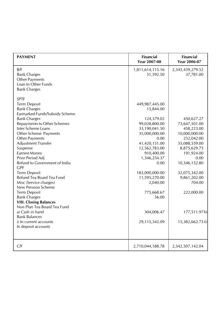| <b>PAYMENT</b>                              | <b>Financial</b><br><b>Year 2007-08</b> | <b>Financial</b><br>Year 2006-07 |  |
|---------------------------------------------|-----------------------------------------|----------------------------------|--|
| B/F                                         | 1,811,614,115.16                        | 2,345,439,279.52                 |  |
| <b>Bank Charges</b>                         | 51,592.50                               | 37,781.00                        |  |
| <b>Other Payments</b>                       |                                         |                                  |  |
| Loan to Other Funds                         |                                         |                                  |  |
| <b>Bank Charges</b>                         |                                         |                                  |  |
| <b>SPTF</b>                                 |                                         |                                  |  |
| <b>Term Deposit</b>                         | 449,987,445.00                          |                                  |  |
| <b>Bank Charges</b>                         | 15,844.00                               |                                  |  |
| Earmarked Funds/Subsidy Scheme              |                                         |                                  |  |
| <b>Bank Charges</b>                         | 124,379.02                              | 450,627.27                       |  |
| Repayments to Other Schemes                 | 99,028,800.00                           | 73,647,501.00                    |  |
| Inter Scheme Loans                          | 33,190,041.50                           | 458,223.00                       |  |
| Other Scheme Payments                       | 35,000,000.00                           | 10,000,000.00                    |  |
| <b>Other Payments</b>                       | 0.00                                    | 252,042.00                       |  |
| <b>Adjustment Transfer</b>                  | 41,420,151.00                           | 35,088,559.00                    |  |
| Suspense                                    | 12,562,783.00                           | 8,875,629.75                     |  |
| <b>Earnest Money</b>                        | 910,400.00                              | 191,924.00                       |  |
| Prior Period Adj                            | 1,346,254.37                            | 0.00                             |  |
| Refund to Government of India<br><b>GPF</b> | 0.00                                    | 10,346,152.80                    |  |
| <b>Term Deposit</b>                         | 183,000,000.00                          | 32,075,342.00                    |  |
| Refund Tea Board Tea Fund                   | 11,595,270.00                           | 9,861,202.00                     |  |
| Misc (Service charges)                      | 2,040.00                                | 704.00                           |  |
| New Pension Scheme                          |                                         |                                  |  |
| <b>Term Deposit</b>                         | 775,668.67                              | 222,000.00                       |  |
| <b>Bank Charges</b>                         | 56.00                                   |                                  |  |
| <b>VIII. Closing Balances</b>               |                                         |                                  |  |
| Non Plan Tea Board Tea Fund                 |                                         |                                  |  |
| a) Cash in hand                             | 304,006.47                              | 177,511.97b)                     |  |
| <b>Bank Balances</b>                        |                                         |                                  |  |
| i) In current accounts                      | 29,115,342.09                           | 15,382,662.73 ii)                |  |
| In deposit accounts                         |                                         |                                  |  |
|                                             |                                         |                                  |  |
| C/F                                         | 2,710,044,188.78                        | 2,542,507,142.04                 |  |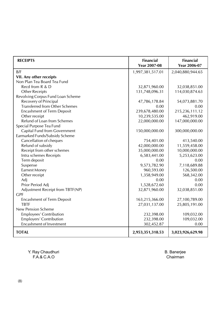| <b>RECEIPTS</b>                       | <b>Financial</b><br><b>Year 2007-08</b> | <b>Financial</b><br>Year 2006-07 |
|---------------------------------------|-----------------------------------------|----------------------------------|
| B/F                                   | 1,997,381,517.01                        | 2,040,880,944.65                 |
| VII. Any other receipts               |                                         |                                  |
| Non Plan Tea Board Tea Fund           |                                         |                                  |
| Recd from R & D                       | 32,871,960.00                           | 32,038,851.00                    |
| <b>Other Receipts</b>                 | 131,748,096.31                          | 114,030,874.63                   |
| Revolving Corpus Fund Loan Scheme     |                                         |                                  |
| Recovery of Principal                 | 47,786,178.84                           | 54,073,881.70                    |
| <b>Transferred from Other Schemes</b> | 0.00                                    | 0.00                             |
| <b>Encashment of Term Deposit</b>     | 239,678,480.00                          | 215,236,111.12                   |
| Other receipt                         | 10,239,535.00                           | 462,919.00                       |
| Refund of Loan from Schemes           | 22,000,000.00                           | 147,000,000.00                   |
| Special Purpose Tea Fund              |                                         |                                  |
| Capital Fund from Government          | 150,000,000.00                          | 300,000,000.00                   |
| Earmarked Funds/Subsidy Scheme        |                                         |                                  |
| Cancellation of cheques               | 754,401.00                              | 413,540.00                       |
| Refund of subsidy                     | 42,000,000.00                           | 11,559,458.00                    |
| Receipt from other schemes            | 35,000,000.00                           | 10,000,000.00                    |
| Intra schemes Receipts                | 6,583,441.00                            | 5,253,623.00                     |
| Term deposit                          | 0.00                                    | 0.00                             |
| Suspense                              | 9,573,782.90                            | 7,118,689.88                     |
| <b>Earnest Money</b>                  | 960,593.00                              | 126,500.00                       |
| Other receipt                         | 1,358,949.00                            | 568,342.00                       |
| Adj                                   | 0.00                                    | 0.00                             |
| Prior Period Adj                      | 1,528,672.60                            | 0.00                             |
| Adjustment Receipt from TBTF(NP)      | 32,871,960.00                           | 32,038,851.00                    |
| <b>GPF</b>                            |                                         |                                  |
| <b>Encashment of Term Deposit</b>     | 163,215,366.00                          | 27,100,789.00                    |
| <b>TBTF</b>                           | 27,031,137.00                           | 25,805,191.00                    |
| New Pension Scheme                    |                                         |                                  |
| <b>Employees' Contribution</b>        | 232,398.00                              | 109,032.00                       |
| <b>Employers' Contribution</b>        | 232,398.00                              | 109,032.00                       |
| <b>Encashment of Investment</b>       | 302,452.87                              | 0.00                             |
| <b>TOTAL</b>                          | 2,953,351,318.53                        | 3,023,926,629.98                 |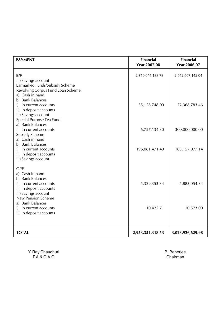| <b>PAYMENT</b>                                                                                                                                    | <b>Financial</b><br><b>Year 2007-08</b> | <b>Financial</b><br>Year 2006-07 |
|---------------------------------------------------------------------------------------------------------------------------------------------------|-----------------------------------------|----------------------------------|
| B/F<br>iii) Savings account<br>Earmarked Funds/Subsidy Scheme<br>Revolving Corpus Fund Loan Scheme<br>a) Cash in hand                             | 2,710,044,188.78                        | 2,542,507,142.04                 |
| b) Bank Balances<br>In current accounts<br>i).<br>ii) In deposit accounts<br>iii) Savings account<br>Special Purpose Tea Fund<br>a) Bank Balances | 35,128,748.00                           | 72,368,783.46                    |
| i) In current accounts<br><b>Subsidy Scheme</b><br>a) Cash in hand<br>b) Bank Balances                                                            | 6,757,134.30                            | 300,000,000.00                   |
| In current accounts<br>i)<br>ii) In deposit accounts<br>iii) Savings account                                                                      | 196,081,471.40                          | 103,157,077.14                   |
| <b>GPF</b><br>a) Cash in hand                                                                                                                     |                                         |                                  |
| b) Bank Balances<br>In current accounts<br>i)<br>ii) In deposit accounts<br>iii) Savings account<br>New Pension Scheme                            | 5,329,353.34                            | 5,883,054.34                     |
| a) Bank Balances<br>i) In current accounts<br>ii) In deposit accounts                                                                             | 10,422.71                               | 10,573.00                        |
| <b>TOTAL</b>                                                                                                                                      | 2,953,351,318.53                        | 3,023,926,629.98                 |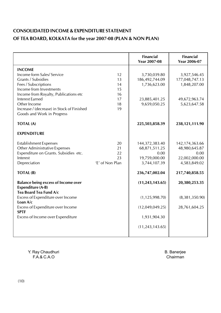# **CONSOLIDATED INCOME & EXPENDITURE STATEMENT**

### **OF TEA BOARD, KOLKATA for the year 2007-08 (PLAN & NON PLAN)**

|                                                                                                                                                                                                                                                             |                                              | <b>Financial</b><br><b>Year 2007-08</b>                                         | <b>Financial</b><br><b>Year 2006-07</b>                                         |
|-------------------------------------------------------------------------------------------------------------------------------------------------------------------------------------------------------------------------------------------------------------|----------------------------------------------|---------------------------------------------------------------------------------|---------------------------------------------------------------------------------|
| <b>INCOME</b><br>Income form Sales/Service<br><b>Grants / Subsidies</b><br>Fees / Subscriptions<br>Income from Investments<br>Income from Royalty, Publications etc<br><b>Interest Earned</b><br>Other Income<br>Increase / (decrease) in Stock of Finished | 12<br>13<br>14<br>15<br>16<br>17<br>18<br>19 | 3,730,039.80<br>186,492,744.09<br>1,736,623.00<br>23,885,401.25<br>9,659,050.25 | 3,927,546.45<br>177,048,747.13<br>1,848,207.00<br>49,672,963.74<br>5,623,647.58 |
| Goods and Work in Progress<br><b>TOTAL (A)</b>                                                                                                                                                                                                              |                                              | 225,503,858.39                                                                  | 238,121,111.90                                                                  |
| <b>EXPENDITURE</b>                                                                                                                                                                                                                                          |                                              |                                                                                 |                                                                                 |
| <b>Establishment Expenses</b><br><b>Other Administrative Expenses</b><br>Expenditure on Grants. Subsidies etc.<br>Interest<br>Depreciation                                                                                                                  | 20<br>21<br>22<br>23<br>'E' of Non Plan      | 144,372,383.40<br>68,871,511.25<br>0.00<br>19,759,000.00<br>3,744,107.39        | 142, 174, 363. 66<br>48,980,645.87<br>0.00<br>22,002,000.00<br>4,583,849.02     |
| <b>TOTAL (B)</b>                                                                                                                                                                                                                                            |                                              | 236,747,002.04                                                                  | 217,740,858.55                                                                  |
| <b>Balance being excess of Income over</b><br>Expenditure (A-B)<br>Tea Board Tea Fund A/c                                                                                                                                                                   |                                              | (11, 243, 143.65)                                                               | 20,380,253.35                                                                   |
| Excess of Expenditure over Income<br>Loan $A/c$<br>Excess of Expenditure over Income                                                                                                                                                                        |                                              | (1, 125, 998.70)<br>(12,049,049.25)                                             | (8,381,350.90)<br>28,761,604.25                                                 |
| <b>SPTF</b><br>Excess of Income over Expenditure                                                                                                                                                                                                            |                                              | 1,931,904.30                                                                    |                                                                                 |
|                                                                                                                                                                                                                                                             |                                              | (11, 243, 143.65)                                                               |                                                                                 |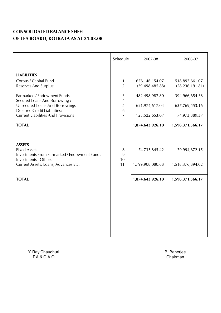### **CONSOLIDATED BALANCE SHEET OF TEA BOARD, KOLKATA AS AT 31.03.08**

|                                                                                                                                                                                                                                                           | Schedule                                                                                                   | 2007-08                                                                                   | 2006-07                                                                                  |
|-----------------------------------------------------------------------------------------------------------------------------------------------------------------------------------------------------------------------------------------------------------|------------------------------------------------------------------------------------------------------------|-------------------------------------------------------------------------------------------|------------------------------------------------------------------------------------------|
| <b>LIABILITIES</b><br>Corpus / Capital Fund<br>Reserves And Surplus:<br>Earmarked / Endowment Funds<br>Secured Loans And Borrowing:<br>Unsecured Loans And Borrowings<br><b>Deferred Credit Liabilities:</b><br><b>Current Liabilities And Provisions</b> | $\mathbf{1}$<br>$\overline{2}$<br>3<br>$\overline{4}$<br>$\mathbf 5$<br>$\boldsymbol{6}$<br>$\overline{7}$ | 676,146,154.07<br>(29, 498, 485.88)<br>482,498,987.80<br>621,974,617.04<br>123,522,653.07 | 518,897,661.07<br>(28, 236, 191.81)<br>394,966,654.38<br>637,769,553.16<br>74,973,889.37 |
| <b>TOTAL</b>                                                                                                                                                                                                                                              |                                                                                                            | 1,874,643,926.10                                                                          | 1,598,371,566.17                                                                         |
| <b>ASSETS</b><br><b>Fixed Assets</b><br><b>Investments From Earmarked / Endowment Funds</b><br>Investments - Others<br>Current Assets, Loans, Advances Etc.                                                                                               | 8<br>9<br>10<br>11                                                                                         | 74,735,845.42<br>1,799,908,080.68                                                         | 79,994,672.15<br>1,518,376,894.02                                                        |
| <b>TOTAL</b>                                                                                                                                                                                                                                              |                                                                                                            | 1,874,643,926.10                                                                          | 1,598,371,566.17                                                                         |
|                                                                                                                                                                                                                                                           |                                                                                                            |                                                                                           |                                                                                          |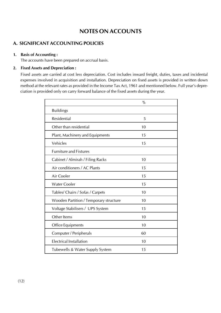# **NOTES ON ACCOUNTS**

#### **A. SIGNIFICANT ACCOUNTING POLICIES**

#### **1. Basis of Accounting :**

The accounts have been prepared on accrual basis.

#### **2. Fixed Assets and Depreciation :**

Fixed assets are carried at cost less depreciation. Cost includes inward freight, duties, taxes and incidental expenses involved in acquisition and installation. Depreciation on fixed assets is provided in written down method at the relevant rates as provided in the Income Tax Act, 1961 and mentioned below. Full year's depreciation is provided only on carry forward balance of the fixed assets during the year.

|                                        | $\frac{0}{0}$ |
|----------------------------------------|---------------|
| <b>Buildings</b>                       |               |
| <b>Residential</b>                     | 5             |
| Other than residential                 | 10            |
| Plant, Machinery and Equipments        | 15            |
| Vehicles                               | 15            |
| <b>Furniture and Fixtures</b>          |               |
| Cabinet / Almirah / Filing Racks       | 10            |
| Air conditioners / AC Plants           | 15            |
| Air Cooler                             | 15            |
| <b>Water Cooler</b>                    | 15            |
| Tables/ Chairs / Sofas / Carpets       | 10            |
| Wooden Partition / Temporary structure | 10            |
| Voltage Stabilisers / UPS System       | 15            |
| Other Items                            | 10            |
| Office Equipments                      | 10            |
| Computer / Peripherals                 | 60            |
| <b>Electrical Installation</b>         | 10            |
| Tubewells & Water Supply System        | 15            |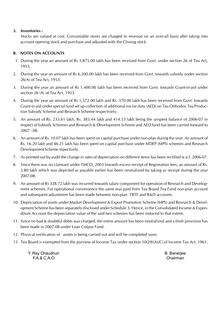#### **3. Inventories :**

Stocks are valued at cost. Consumable stores are charged to revenue on an over-all basis after taking into account opening stock and purchase and adjusted with the Closing stock.

#### **B. NOTES ON ACCOUNTS**

- 1. During the year an amount of Rs 1,875.00 lakh has been received from Govt. under section 26 of Tea Act, 1953.
- 2. During the year an amount of Rs 6,200.00 lakh has been received from Govt. towards subsidy under section 26(A) of Tea Act, 1953.
- 3. During the year an amount of Rs 1,400.00 lakh has been received from Govt. towards Grant-in-aid under section 26 (A) of Tea Act, 1953.
- 4. During the year an amount of Rs 1,572.00 lakh and Rs. 370.00 lakh has been received from Govt. towards Grant-in-aid under special fund set up collection of additional excise duty (AED) on Tea Orthodox Tea Production Subsidy Scheme and Research Scheme respectively.
- 5. An amount of Rs. 233.61 lakh, Rs. 383.44 lakh and 414.53 lakh being the unspent balance of 2006-07 in respect of Subsidy Schemes and Research & Development Scheme and AED fund has been carried forward to 2007 - 08.
- 6. An amount of Rs. 10.07 lakh has been spent on capital purchase under non-plan during the year. An amount of Rs. 16.20 lakh and 46.21 lakh has been spent on capital purchase under MDEP (MPS) schemes and Research Development Scheme repectively.
- 7. As pointed out by audit the change in rates of depreciation on different items has been rectified w.e.f. 2006-07.
- 8. Since there was no claimant under TMCO, 2003 towards excess receipt of Registration fees, an amount of Rs. 3.80 lakh which was depicted as payable earlier has been neutralized by taking as receipt during the year 2007-08.
- 9. An amount of Rs 328.72 lakh was incurred towards salary component for operation of Research and Development schemes. For operational convenience the same was paid from Tea Board Tea Fund non-plan account and subsequent adjustment has been made between non-plan TBTF and R&D accounts.
- 10. Depriciation of assets under Market Development & Export Promotion Scheme (MPS) and Research & Development Scheme has been separately disclosed under Schedule 3. Hence, in the Consolidated Income & Expenditure Account the depreciation value of the said two schemes has been reduced to that extent.
- 11. Since no bad & doubtful debts was charged, the entire amount has been neutralized and a fresh provision has been made in 2007-08 under Loan Corpus Fund.
- 12. Physical verification of assets is being carried out and will be completed soon.
- 13. Tea Board is exempted from the purview of Income Tax under section 10(29)(A)(C) of Income Tax Act, 1961.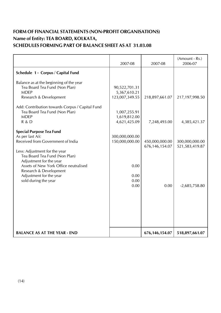| 2007-08                                                                         | 2007-08                                  | (Amount - Rs.)<br>2006-07                           |
|---------------------------------------------------------------------------------|------------------------------------------|-----------------------------------------------------|
|                                                                                 |                                          |                                                     |
| 90,522,701.31<br>5,367,610.21<br>123,007,349.55<br>1,007,255.91<br>1,619,812.00 | 218,897,661.07                           | 217,197,998.50<br>4,385,421.37                      |
|                                                                                 |                                          |                                                     |
| 300,000,000.00<br>150,000,000.00<br>0.00<br>0.00<br>0.00<br>0.00                | 450,000,000.00<br>676,146,154.07<br>0.00 | 300,000,000.00<br>521,583,419.87<br>$-2,685,758.80$ |
|                                                                                 | 676, 146, 154.07                         | 518,897,661.07                                      |
|                                                                                 | 4,621,425.09                             | 7,248,493.00                                        |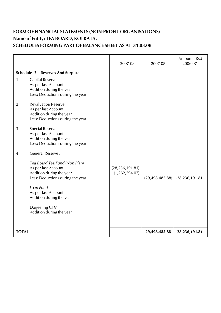|                                                                                                                                                                                                                                    | 2007-08                             | 2007-08           | (Amount - Rs.)<br>2006-07 |
|------------------------------------------------------------------------------------------------------------------------------------------------------------------------------------------------------------------------------------|-------------------------------------|-------------------|---------------------------|
| <b>Schedule 2 - Reserves And Surplus:</b>                                                                                                                                                                                          |                                     |                   |                           |
| Capital Reserve:<br>1<br>As per last Account<br>Addition during the year<br>Less: Deductions during the year                                                                                                                       |                                     |                   |                           |
| <b>Revaluation Reserve:</b><br>$\overline{2}$<br>As per last Account<br>Addition during the year<br>Less: Deductions during the year                                                                                               |                                     |                   |                           |
| <b>Special Reserve:</b><br>3<br>As per last Account<br>Addition during the year<br>Less: Deductions during the year                                                                                                                |                                     |                   |                           |
| <b>General Reserve:</b><br>4                                                                                                                                                                                                       |                                     |                   |                           |
| Tea Board Tea Fund (Non Plan)<br>As per last Account<br>Addition during the year<br>Less: Deductions during the year<br>Loan Fund<br>As per last Account<br>Addition during the year<br>Darjeeling CTM<br>Addition during the year | (28, 236, 191.81)<br>(1,262,294.07) | (29, 498, 485.88) | $-28, 236, 191.81$        |
| <b>TOTAL</b>                                                                                                                                                                                                                       |                                     | $-29,498,485.88$  | $-28,236,191.81$          |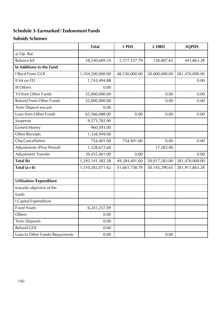#### **Schedule 3- Earmarked / Endowment Funds**

# **Subsidy Schemes**

|                                 | <b>Total</b>     | 1 PDS         | 2 HRD         | 3QPDS          |
|---------------------------------|------------------|---------------|---------------|----------------|
| a) Op. Bal.                     |                  |               |               |                |
| Balance b/f                     | 18,240,689.24    | 2,377,337.79  | 128,007.65    | 441,863.28     |
| b) Additions to the Fund        |                  |               |               |                |
| I Recd From GOI                 | 1,104,200,000.00 | 48,530,000.00 | 50,000,000.00 | 281,470,000.00 |
| II Int on FD                    | 1,743,494.88     |               |               | 0.00           |
| <b>III Others</b>               | 0.00             |               |               |                |
| <b>Trf from Other Funds</b>     | 35,000,000.00    |               | 0.00          | 0.00           |
| <b>Refund From Other Funds</b>  | 32,000,000.00    |               | 0.00          | 0.00           |
| Term Deposit encash             | 0.00             |               |               |                |
| Loan from Other Funds           | 65,566,088.00    | 0.00          | 0.00          | 0.00           |
| Suspense                        | 9,573,782.90     |               |               |                |
| <b>Earnest Money</b>            | 960,593.00       |               |               |                |
| <b>Other Receipts</b>           | 1,358,949.00     |               |               |                |
| Chq Cancellation                | 754,401.00       | 754,401.00    | 0.00          | 0.00           |
| Adjustments (Prior Period)      | 1,528,672.60     |               | 17,283.00     |                |
| Adjustment Transfer             | 39,455,401.00    | 0.00          |               | 0.00           |
| Total (b)                       | 1,292,141,382.38 | 49,284,401.00 | 50,017,283.00 | 281,470,000.00 |
| Total $(a + b)$                 | 1,310,382,071.62 | 51,661,738.79 | 50,145,290.65 | 281,911,863.28 |
| <b>Utilisation /Expenditure</b> |                  |               |               |                |
| towards objective of the        |                  |               |               |                |
| funds                           |                  |               |               |                |
| I Capital Expenditure           |                  |               |               |                |
| <b>Fixed Assets</b>             | 6,241,237.09     |               |               |                |
| Others                          | 0.00             |               |               |                |
| <b>Term Deposits</b>            | 0.00             |               |               |                |
| Refund GOI                      | 0.00             |               |               |                |
| Loan to Other Funds/ Repayments | 0.00             |               | 0.00          |                |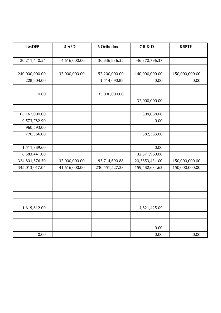| 4 MDEP         | 5 AED         | <b>6 Orthodox</b> | 7 R & D        | 8 SPTF         |
|----------------|---------------|-------------------|----------------|----------------|
|                |               |                   |                |                |
| 20,211,440.54  | 4,616,000.00  | 36,836,836.35     | -46,370,796.37 |                |
|                |               |                   |                |                |
| 240,000,000.00 | 37,000,000.00 | 157,200,000.00    | 140,000,000.00 | 150,000,000.00 |
| 228,804.00     |               | 1,514,690.88      | 0.00           | 0.00           |
|                |               |                   |                |                |
| 0.00           |               | 35,000,000.00     |                |                |
|                |               |                   | 32,000,000.00  |                |
|                |               |                   |                |                |
| 65,167,000.00  |               |                   | 399,088.00     |                |
| 9,573,782.90   |               |                   | 0.00           |                |
| 960,593.00     |               |                   |                |                |
| 776,566.00     |               |                   | 582,383.00     |                |
|                |               |                   |                |                |
| 1,511,389.60   |               |                   | 0.00           |                |
| 6,583,441.00   |               |                   | 32,871,960.00  |                |
| 324,801,576.50 | 37,000,000.00 | 193,714,690.88    | 20,5853,431.00 | 150,000,000.00 |
| 345,013,017.04 | 41,616,000.00 | 230,551,527.23    | 159,482,634.63 | 150,000,000.00 |
|                |               |                   |                |                |
|                |               |                   |                |                |
|                |               |                   |                |                |
|                |               |                   |                |                |
|                |               |                   |                |                |
| 1,619,812.00   |               |                   | 4,621,425.09   |                |
|                |               |                   |                |                |
|                |               |                   |                |                |
|                |               |                   | 0.00           |                |
| 0.00           |               |                   | 0.00           | 0.00           |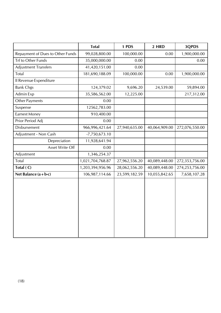|                                  | <b>Total</b>     | 1 PDS         | 2 HRD         | 3QPDS          |
|----------------------------------|------------------|---------------|---------------|----------------|
| Repayment of Dues to Other Funds | 99,028,800.00    | 100,000.00    | 0.00          | 1,900,000.00   |
| Trf to Other Funds               | 35,000,000.00    | 0.00          |               | 0.00           |
| <b>Adjustment Transfers</b>      | 41,420,151.00    | 0.00          |               |                |
| Total                            | 181,690,188.09   | 100,000.00    | 0.00          | 1,900,000.00   |
| Il Revenue Expenditure           |                  |               |               |                |
| <b>Bank Chgs</b>                 | 124,379.02       | 9,696.20      | 24,539.00     | 59,894.00      |
| Admin Exp                        | 35,586,562.00    | 12,225.00     |               | 217,312.00     |
| <b>Other Payments</b>            | 0.00             |               |               |                |
| Suspense                         | 12562,783.00     |               |               |                |
| <b>Earnest Money</b>             | 910,400.00       |               |               |                |
| Prior Period Adj                 | 0.00             |               |               |                |
| Disbursement                     | 966,996,421.64   | 27,940,635.00 | 40,064,909.00 | 272,076,550.00 |
| Adjustment - Non Cash            | $-7,750,673.10$  |               |               |                |
| Depreciation                     | 11,928,641.94    |               |               |                |
| Asset Write Off                  | $0.00\,$         |               |               |                |
| Adjustment                       | 1,346,254.37     |               |               |                |
| Total                            | 1,021,704,768.87 | 27,962,556.20 | 40,089,448.00 | 272,353,756.00 |
| Total (C)                        | 1,203,394,956.96 | 28,062,556.20 | 40,089,448.00 | 274,253,756.00 |
| Net Balance $(a + b - c)$        | 106,987,114.66   | 23,599,182.59 | 10,055,842.65 | 7,658,107.28   |
|                                  |                  |               |               |                |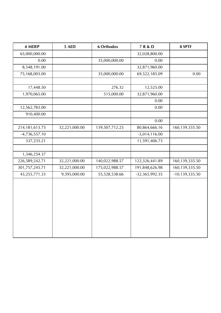| 4 MDEP            | 5 AED         | <b>6 Orthodox</b> | 7 R & D          | 8 SPTF             |
|-------------------|---------------|-------------------|------------------|--------------------|
| 65,000,000.00     |               |                   | 32,028,800.00    |                    |
| 0.00              |               | 35,000,000.00     | 0.00             |                    |
| 8,548,191.00      |               |                   | 32,871,960.00    |                    |
| 75,168,003.00     |               | 35,000,000.00     | 69,522,185.09    | 0.00               |
|                   |               |                   |                  |                    |
| 17,448.50         |               | 276.32            | 12,525.00        |                    |
| 1,970,065.00      |               | 515,000.00        | 32,871,960.00    |                    |
|                   |               |                   | 0.00             |                    |
| 12,562,783.00     |               |                   | 0.00             |                    |
| 910,400.00        |               |                   |                  |                    |
|                   |               |                   | $0.00\,$         |                    |
| 214, 181, 613. 73 | 32,221,000.00 | 139,507,712.25    | 80,864,666.16    | 160,139,335.50     |
| $-4,736,557.10$   |               |                   | $-3,014,116.00$  |                    |
| 337,235.21        |               |                   | 11,591,406.73    |                    |
|                   |               |                   |                  |                    |
| 1,346,254.37      |               |                   |                  |                    |
| 226,589,242.71    | 32,221,000.00 | 140,022,988.57    | 122,326,441.89   | 160,139,335.50     |
| 301,757,245.71    | 32,221,000.00 | 175,022,988.57    | 191,848,626.98   | 160,139,335.50     |
| 43,255,771.33     | 9,395,000.00  | 55,528,538.66     | $-32,365,992.35$ | $-10, 139, 335.50$ |
|                   |               |                   |                  |                    |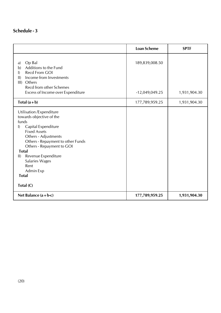### **Schedule - 3**

|                                                                                                                                                                                                                                                                                                                                               | <b>Loan Scheme</b>                 | <b>SPTF</b>  |
|-----------------------------------------------------------------------------------------------------------------------------------------------------------------------------------------------------------------------------------------------------------------------------------------------------------------------------------------------|------------------------------------|--------------|
| Op Bal<br>a)<br>Additions to the Fund<br>b)<br>Recd From GOI<br>$\vert$ )<br>Income from Investments<br>$  \cdot  $<br>$III$ )<br>Others<br>Recd from other Schemes<br>Excess of Income over Expenditure                                                                                                                                      | 189,839,008.50<br>$-12,049,049.25$ | 1,931,904.30 |
| Total $(a + b)$                                                                                                                                                                                                                                                                                                                               | 177,789,959.25                     | 1,931,904.30 |
| Utilisation / Expenditure<br>towards objective of the<br>funds<br>Capital Expenditure<br>$\vert$<br><b>Fixed Assets</b><br>Others - Adjustments<br>Others - Repayment to other Funds<br>Others - Repayment to GOI<br><b>Total</b><br>Revenue Expenditure<br>$\vert \vert$<br>Salaries Wages<br>Rent<br>Admin Exp<br><b>Total</b><br>Total (C) |                                    |              |
| Net Balance $(a + b-c)$                                                                                                                                                                                                                                                                                                                       | 177,789,959.25                     | 1,931,904.30 |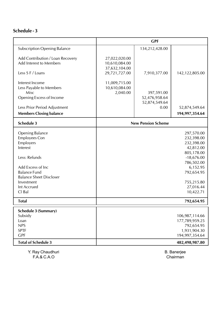### **Schedule - 3**

|                                                                                                                                                                                                               |                                                                  | <b>GPF</b>                                           |                                                                                                                                                                   |
|---------------------------------------------------------------------------------------------------------------------------------------------------------------------------------------------------------------|------------------------------------------------------------------|------------------------------------------------------|-------------------------------------------------------------------------------------------------------------------------------------------------------------------|
| <b>Subscription Opening Balance</b>                                                                                                                                                                           |                                                                  | 134,212,428.00                                       |                                                                                                                                                                   |
| Add Contribution / Loan Recovery<br>Add Interest to Members<br>Less S F / Loans                                                                                                                               | 27,022,020.00<br>10,610,084.00<br>37,632,104.00<br>29,721,727.00 | 7,910,377.00                                         | 142,122,805.00                                                                                                                                                    |
| Interest Income<br>Less Payable to Members<br>Misc<br>Opening Excess of Income<br>Less Prior Period Adjustment<br><b>Members Closing balance</b>                                                              | 11,009,715.00<br>10,610,084.00<br>2,040.00                       | 397,591.00<br>52,476,958.64<br>52,874,549.64<br>0.00 | 52,874,549.64<br>194,997,354.64                                                                                                                                   |
| Schedule 3                                                                                                                                                                                                    |                                                                  | <b>New Pension Scheme</b>                            |                                                                                                                                                                   |
| <b>Opening Balance</b><br><b>Employees Con</b><br>Employers<br>Interest<br>Less: Refunds<br>Add Excess of Inc<br><b>Balance Fund</b><br><b>Balance Sheet Discloser</b><br>Investment<br>Int Accrued<br>Cl Bal |                                                                  |                                                      | 297,570.00<br>232,398.00<br>232,398.00<br>42,812.00<br>805,178.00<br>$-18,676.00$<br>786,502.00<br>6,152.95<br>792,654.95<br>755,215.80<br>27,016.44<br>10,422.71 |
| <b>Total</b>                                                                                                                                                                                                  |                                                                  |                                                      | 792,654.95                                                                                                                                                        |
| <b>Schedule 3 (Summary)</b><br>Subsidy<br>Loan<br><b>NPS</b><br><b>SPTF</b><br><b>GPF</b><br><b>Total of Schedule 3</b>                                                                                       |                                                                  |                                                      | 106,987,114.66<br>177,789,959.25<br>792,654.95<br>1,931,904.30<br>194,997,354.64<br>482,498,987.80                                                                |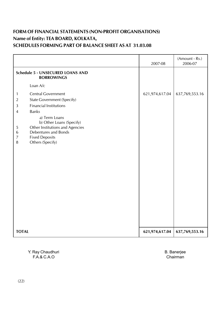|                                                                                                      |                                                                                                                                                                                                                                                                      | 2007-08        | (Amount - Rs.)<br>2006-07 |
|------------------------------------------------------------------------------------------------------|----------------------------------------------------------------------------------------------------------------------------------------------------------------------------------------------------------------------------------------------------------------------|----------------|---------------------------|
|                                                                                                      | <b>Schedule 5 - UNSECURED LOANS AND</b><br><b>BORROWINGS</b>                                                                                                                                                                                                         |                |                           |
|                                                                                                      | Loan A/c                                                                                                                                                                                                                                                             |                |                           |
| $\mathbf{1}$<br>$\overline{2}$<br>3<br>$\overline{4}$<br>$\sqrt{5}$<br>6<br>$\overline{7}$<br>$\, 8$ | <b>Central Government</b><br><b>State Government (Specify)</b><br><b>Financial Institutions</b><br><b>Banks</b><br>a) Term Loans<br>b) Other Loans (Specify)<br>Other Institutions and Agencies<br>Debentures and Bonds<br><b>Fixed Deposits</b><br>Others (Specify) | 621,974,617.04 | 637,769,553.16            |
| <b>TOTAL</b>                                                                                         |                                                                                                                                                                                                                                                                      | 621,974,617.04 | 637,769,553.16            |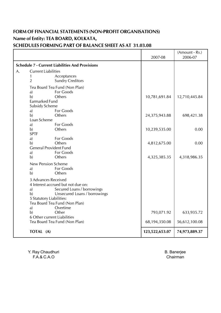|             |                               |                                                        | 2007-08        | (Amount - Rs.)<br>2006-07 |
|-------------|-------------------------------|--------------------------------------------------------|----------------|---------------------------|
|             |                               |                                                        |                |                           |
|             |                               | <b>Schedule 7 - Current Liabilities And Provisions</b> |                |                           |
| $A_{\cdot}$ | <b>Current Liabilities</b>    |                                                        |                |                           |
|             | $\mathbf{1}$                  | Acceptances                                            |                |                           |
|             | $\overline{2}$                | <b>Sundry Creditors</b>                                |                |                           |
|             |                               | Tea Board Tea Fund (Non Plan)                          |                |                           |
|             | a)                            | For Goods                                              |                |                           |
|             | b)                            | Others                                                 | 10,781,691.84  | 12,710,445.84             |
|             | <b>Earmarked Fund</b>         |                                                        |                |                           |
|             | <b>Subsidy Scheme</b>         |                                                        |                |                           |
|             | a)                            | For Goods                                              |                |                           |
|             | b)                            | Others                                                 | 24,375,943.88  | 698,421.38                |
|             | Loan Scheme                   |                                                        |                |                           |
|             | a)<br>b)                      | For Goods<br>Others                                    |                | 0.00                      |
|             | <b>SPTF</b>                   |                                                        | 10,239,535.00  |                           |
|             | a)                            | For Goods                                              |                |                           |
|             | $\mathbf{b}$                  | Others                                                 | 4,812,675.00   | 0.00                      |
|             | <b>General Provident Fund</b> |                                                        |                |                           |
|             | a)                            | For Goods                                              |                |                           |
|             | b)                            | Others                                                 | 4,325,385.35   | 4,318,986.35              |
|             | New Pension Scheme            |                                                        |                |                           |
|             | a)                            | For Goods                                              |                |                           |
|             | b)                            | Others                                                 |                |                           |
|             |                               |                                                        |                |                           |
|             | 3 Advances Received           | 4 Interest accrued but not due on:                     |                |                           |
|             | a)                            | Secured Loans / borrowings                             |                |                           |
|             | b)                            | Unsecured Loans / borrowings                           |                |                           |
|             | 5 Statutory Liabilities:      |                                                        |                |                           |
|             |                               | Tea Board Tea Fund (Non Plan)                          |                |                           |
|             | a)                            | Overtime                                               |                |                           |
|             | b)                            | Other                                                  | 793,071.92     | 633,935.72                |
|             | 6 Other current Liabilities   |                                                        |                |                           |
|             |                               | Tea Board Tea Fund (Non Plan)                          | 68,194,350.08  | 56,612,100.08             |
|             | TOTAL (A)                     |                                                        | 123,522,653.07 | 74,973,889.37             |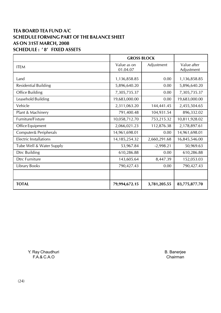### **TEA BOARD TEA FUND A/C SCHEDULE FORMING PART OF THE BALANCE SHEET AS ON 31ST MARCH, 2008 SCHEDULE : ' 8' FIXED ASSETS**

|                               | <b>GROSS BLOCK</b>      |              |                           |
|-------------------------------|-------------------------|--------------|---------------------------|
| <b>ITEM</b>                   | Value as on<br>01.04.07 | Adjustment   | Value after<br>Adjustment |
| Land                          | 1,136,858.85            | 0.00         | 1,136,858.85              |
| <b>Residential Building</b>   | 5,896,640.20            | 0.00         | 5,896,640.20              |
| Office Building               | 7,305,735.37            | 0.00         | 7,305,735.37              |
| Leasehold Building            | 19,683,000.00           | 0.00         | 19,683,000.00             |
| Vehicle                       | 2,311,063.20            | 144,441.45   | 2,455,504.65              |
| Plant & Machinery             | 791,400.48              | 104,931.54   | 896,332.02                |
| Furniture/Fixture             | 10,058,712.70           | 753,215.32   | 10,811,928.02             |
| Office Equipment              | 2,066,021.23            | 112,876.38   | 2,178,897.61              |
| Computer& Peripherals         | 14,961,698.01           | 0.00         | 14,961,698.01             |
| <b>Electric Installations</b> | 14, 185, 254. 32        | 2,660,291.68 | 16,845,546.00             |
| Tube Well & Water Supply      | 53,967.84               | $-2,998.21$  | 50,969.63                 |
| Dtrc Building                 | 610,286.88              | 0.00         | 610,286.88                |
| <b>Dtrc Furniture</b>         | 143,605.64              | 8,447.39     | 152,053.03                |
| Library Books                 | 790,427.43              | 0.00         | 790,427.43                |
|                               |                         |              |                           |
| <b>TOTAL</b>                  | 79,994,672.15           | 3,781,205.55 | 83,775,877.70             |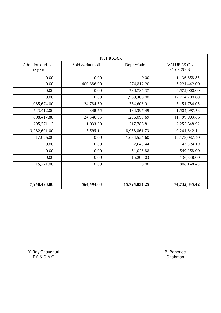| <b>NET BLOCK</b>             |                   |               |                                  |  |
|------------------------------|-------------------|---------------|----------------------------------|--|
| Addiition during<br>the year | Sold /written off | Depreciation  | <b>VALUE AS ON</b><br>31.03.2008 |  |
| 0.00                         | 0.00              | 0.00          | 1,136,858.85                     |  |
| 0.00                         | 400,386.00        | 274,812.20    | 5,221,442.00                     |  |
| 0.00                         | 0.00              | 730,735.37    | 6,575,000.00                     |  |
| 0.00                         | 0.00              | 1,968,300.00  | 17,714,700.00                    |  |
| 1,085,674.00                 | 24,784.59         | 364,608.01    | 3,151,786.05                     |  |
| 743,412.00                   | 348.75            | 134,397.49    | 1,504,997.78                     |  |
| 1,808,417.88                 | 124,346.55        | 1,296,095.69  | 11,199,903.66                    |  |
| 295,571.12                   | 1,033.00          | 217,786.81    | 2,255,648.92                     |  |
| 3,282,601.00                 | 13,595.14         | 8,968,861.73  | 9,261,842.14                     |  |
| 17,096.00                    | 0.00              | 1,684,554.60  | 15,178,087.40                    |  |
| 0.00                         | 0.00              | 7,645.44      | 43,324.19                        |  |
| 0.00                         | 0.00              | 61,028.88     | 549,258.00                       |  |
| 0.00                         | 0.00              | 15,205.03     | 136,848.00                       |  |
| 15,721.00                    | 0.00              | 0.00          | 806,148.43                       |  |
|                              |                   |               |                                  |  |
| 7,248,493.00                 | 564,494.03        | 15,724,031.25 | 74,735,845.42                    |  |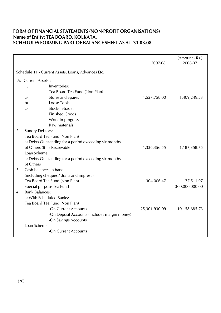|    |                                                        | 2007-08       | (Amount - Rs.)<br>2006-07 |
|----|--------------------------------------------------------|---------------|---------------------------|
|    | Schedule 11 - Current Assets, Loans, Advances Etc.     |               |                           |
|    | A. Current Assets:                                     |               |                           |
|    | 1.<br>Inventories:                                     |               |                           |
|    | Tea Board Tea Fund (Non Plan)                          |               |                           |
|    | <b>Stores and Spares</b><br>a)                         | 1,527,758.00  | 1,409,249.53              |
|    | Loose Tools<br>b)                                      |               |                           |
|    | Stock-in-trade:<br>$\mathbf{C}$                        |               |                           |
|    | <b>Finished Goods</b>                                  |               |                           |
|    | Work-in-progress                                       |               |                           |
|    | Raw materials                                          |               |                           |
| 2. | <b>Sundry Debtors:</b>                                 |               |                           |
|    | Tea Board Tea Fund (Non Plan)                          |               |                           |
|    | a) Debts Outstanding for a period exceeding six months |               |                           |
|    | b) Others (Bills Receivable)                           | 1,336,356.55  | 1,187,358.75              |
|    | Loan Scheme                                            |               |                           |
|    | a) Debts Outstanding for a period exceeding six months |               |                           |
|    | b) Others                                              |               |                           |
| 3. | Cash balances in hand                                  |               |                           |
|    | (including cheques / drafts and imprest)               |               |                           |
|    | Tea Board Tea Fund (Non Plan)                          | 304,006.47    | 177,511.97                |
|    | Special purpose Tea Fund                               |               | 300,000,000.00            |
| 4. | <b>Bank Balances:</b>                                  |               |                           |
|    | a) With Scheduled Banks:                               |               |                           |
|    | Tea Board Tea Fund (Non Plan)                          |               |                           |
|    | -On Current Accounts                                   | 25,301,930.09 | 10,158,685.73             |
|    | -On Deposit Accounts (includes margin money)           |               |                           |
|    | -On Savings Accounts                                   |               |                           |
|    | Loan Scheme                                            |               |                           |
|    | -On Current Accounts                                   |               |                           |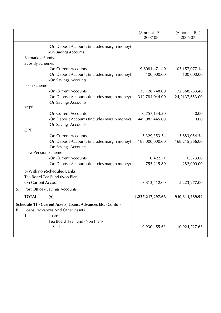|    |                           |                                                                      | (Amount - Rs.)<br>2007-08 | (Amount - Rs.)<br>2006-07 |
|----|---------------------------|----------------------------------------------------------------------|---------------------------|---------------------------|
|    |                           | -On Deposit Accounts (includes margin money)<br>-On Savings Accounts |                           |                           |
|    | <b>Earmarked Funds</b>    |                                                                      |                           |                           |
|    | <b>Subsidy Schemes</b>    |                                                                      |                           |                           |
|    |                           | -On Current Accounts                                                 | 19,6081,471.40            | 103, 157, 077. 14         |
|    |                           | -On Deposit Accounts (includes margin money)                         | 100,000.00                | 100,000.00                |
|    |                           | -On Savings Accounts                                                 |                           |                           |
|    | Loan Scheme               |                                                                      |                           |                           |
|    |                           | -On Current Accounts                                                 | 35,128,748.00             | 72,368,783.46             |
|    |                           | -On Deposit Accounts (includes margin money)                         | 312,784,044.00            | 24,2137,653.00            |
|    |                           | -On Savings Accounts                                                 |                           |                           |
|    | <b>SPTF</b>               |                                                                      |                           |                           |
|    |                           | -On Current Accounts                                                 | 6,757,134.30              | 0.00                      |
|    |                           | -On Deposit Accounts (includes margin money)                         | 449,987,445.00            | 0.00                      |
|    |                           | -On Savings Accounts                                                 |                           |                           |
|    | <b>GPF</b>                |                                                                      |                           |                           |
|    |                           | -On Current Accounts                                                 | 5,329,353.34              | 5,883,054.34              |
|    |                           | -On Deposit Accounts (includes margin money)<br>-On Savings Accounts | 188,000,000.00            | 168,215,366.00            |
|    | New Pension Scheme        |                                                                      |                           |                           |
|    |                           | -On Current Accounts                                                 | 10,422.71                 | 10,573.00                 |
|    |                           | -On Deposit Accounts (includes margin money)                         | 755,215.80                | 282,000.00                |
|    |                           | b) With non-Scheduled Banks:                                         |                           |                           |
|    |                           | Tea Board Tea Fund (Non Plan)                                        |                           |                           |
|    | <b>On Current Account</b> |                                                                      | 3,813,412.00              | 5,223,977.00              |
| 5. |                           | Post Office - Savings Accounts                                       |                           |                           |
|    | TOTAL                     | (A)                                                                  | 1,227,217,297.66          | 910,311,289.92            |
|    |                           | Schedule 11 - Current Assets, Loans, Advances Etc. (Contd.)          |                           |                           |
| B  |                           | Loans, Advances And Other Assets                                     |                           |                           |
|    | 1.                        | Loans:                                                               |                           |                           |
|    |                           | Tea Board Tea Fund (Non Plan)                                        |                           |                           |
|    |                           | a) Staff                                                             | 9,930,455.63              | 10,924,727.63             |
|    |                           |                                                                      |                           |                           |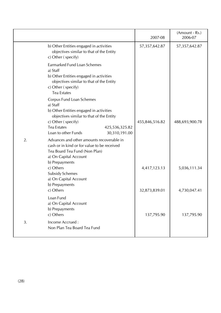|    |                                                                                                                                                                                                                                   | 2007-08                       | (Amount - Rs.)<br>2006-07    |
|----|-----------------------------------------------------------------------------------------------------------------------------------------------------------------------------------------------------------------------------------|-------------------------------|------------------------------|
|    | b) Other Entities engaged in activities<br>objectives similar to that of the Entity<br>c) Other (specify)                                                                                                                         | 57, 357, 642.87               | 57, 357, 642.87              |
|    | <b>Earmarked Fund Loan Schemes</b><br>a) Staff<br>b) Other Entities engaged in activities<br>objectives similar to that of the Entity<br>c) Other (specify)<br><b>Tea Estates</b>                                                 |                               |                              |
|    | Corpus Fund Loan Schemes<br>a) Staff<br>b) Other Entities engaged in activities<br>objectives similar to that of the Entity<br>c) Other (specify)<br><b>Tea Estates</b><br>425,536,325.82<br>Loan to other Funds<br>30,310,191.00 | 455,846,516.82                | 488,693,900.78               |
| 2. | Advances and other amounts recoverable in<br>cash or in kind or for value to be received<br>Tea Board Tea Fund (Non Plan)<br>a) On Capital Account<br>b) Prepayments                                                              |                               |                              |
|    | c) Others<br><b>Subsidy Schemes</b><br>a) On Capital Account<br>b) Prepayments<br>c) Others                                                                                                                                       | 4,417,123.13<br>32,873,839.01 | 5,036,111.34<br>4,730,047.41 |
|    | Loan Fund<br>a) On Capital Account<br>b) Prepayments<br>c) Others                                                                                                                                                                 | 137,795.90                    | 137,795.90                   |
| 3. | Income Accrued:<br>Non Plan Tea Board Tea Fund                                                                                                                                                                                    |                               |                              |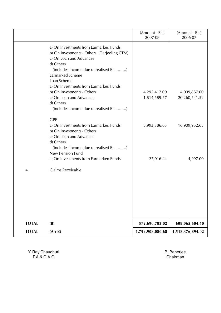|              |                                                                                                                                                                                                                                                                                                                                                                | (Amount - Rs.)<br>2007-08    | (Amount - Rs.)<br>2006-07     |
|--------------|----------------------------------------------------------------------------------------------------------------------------------------------------------------------------------------------------------------------------------------------------------------------------------------------------------------------------------------------------------------|------------------------------|-------------------------------|
|              | a) On Investments from Earmarked Funds<br>b) On Investments - Others (Darjeeling CTM)<br>c) On Loan and Advances<br>d) Others<br>(includes income due unrealised Rs)<br>Earmarked Scheme<br>Loan Scheme<br>a) On Investments from Earmarked Funds<br>b) On Investments - Others<br>c) On Loan and Advances<br>d) Others<br>(includes income due unrealised Rs) | 4,292,417.00<br>1,814,589.57 | 4,009,887.00<br>20,260,541.52 |
|              | <b>GPF</b><br>a) On Investments from Earmarked Funds<br>b) On Investments - Others<br>c) On Loan and Advances<br>d) Others<br>(includes income due unrealised Rs)<br>New Pension Fund<br>a) On Investments from Earmarked Funds                                                                                                                                | 5,993,386.65<br>27,016.44    | 16,909,952.65<br>4,997.00     |
| 4.           | Claims Receivable                                                                                                                                                                                                                                                                                                                                              |                              |                               |
| <b>TOTAL</b> | (B)                                                                                                                                                                                                                                                                                                                                                            | 572,690,783.02               | 608,065,604.10                |
| <b>TOTAL</b> | $(A + B)$                                                                                                                                                                                                                                                                                                                                                      | 1,799,908,080.68             | 1,518,376,894.02              |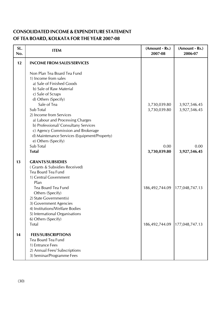# **CONSOLIDATED INCOME & EXPENDITURE STATEMENT OF TEA BOARD, KOLKATA FOR THE YEAR 2007-08**

| SL.<br>No. | <b>ITEM</b>                                                                                                                                                                                                                                                                                                                      | (Amount - Rs.)<br>2007-08    | (Amount - Rs.)<br>2006-07    |
|------------|----------------------------------------------------------------------------------------------------------------------------------------------------------------------------------------------------------------------------------------------------------------------------------------------------------------------------------|------------------------------|------------------------------|
| 12         | <b>INCOME FROM SALES/SERVICES</b>                                                                                                                                                                                                                                                                                                |                              |                              |
|            | Non Plan Tea Board Tea Fund<br>1) Income from sales<br>a) Sale of Finished Goods<br>b) Sale of Raw Material<br>c) Sale of Scraps<br>d) Others (Specify)<br>Sale of Tea<br>Sub Total<br>2) Income from Services<br>a) Labour and Processing Charges<br>b) Professional/ Consultany Services<br>c) Agency Commission and Brokerage | 3,730,039.80<br>3,730,039.80 | 3,927,546.45<br>3,927,546.45 |
|            | d) Maintenance Services (Equipment/Property)<br>e) Others (Specify)<br>Sub Total<br><b>Total</b>                                                                                                                                                                                                                                 | 0.00<br>3,730,039.80         | 0.00<br>3,927,546.45         |
| 13         | <b>GRANTS/SUBSIDIES</b><br>(Grants & Subsidies Received)<br>Tea Board Tea Fund<br>1) Central Government<br>Plan<br>Tea Board Tea Fund<br>Others (Specify)<br>2) State Government(s)<br>3) Government Agencies<br>4) Institutions/Welfare Bodies<br>5) International Organisations                                                | 186,492,744.09               | 177,048,747.13               |
| 14         | 6) Others (Specify)<br>Total<br><b>FEES/SUBSCRIPTIONS</b><br>Tea Board Tea Fund<br>1) Entrance Fees<br>2) Annual Fees/ Subscriptions<br>3) Seminar/Programme Fees                                                                                                                                                                | 186,492,744.09               | 177,048,747.13               |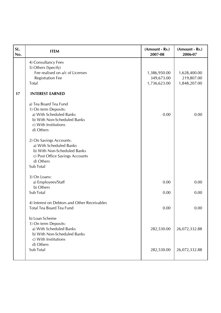| SL.<br>No. | <b>ITEM</b>                                  | (Amount - Rs.)<br>2007-08 | (Amount - Rs.)<br>2006-07 |
|------------|----------------------------------------------|---------------------------|---------------------------|
|            | 4) Consultancy Fees                          |                           |                           |
|            | 5) Others (Specify)                          |                           |                           |
|            | Fee realised on a/c of Licenses              | 1,386,950.00              | 1,628,400.00              |
|            | <b>Registration Fee</b>                      | 349,673.00                | 219,807.00                |
|            | Total                                        | 1,736,623.00              | 1,848,207.00              |
| 17         | <b>INTEREST EARNED</b>                       |                           |                           |
|            | a) Tea Board Tea Fund                        |                           |                           |
|            | 1) On term Deposits:                         |                           |                           |
|            | a) With Scheduled Banks                      | 0.00                      | 0.00                      |
|            | b) With Non-Scheduled Banks                  |                           |                           |
|            | c) With Institutions                         |                           |                           |
|            | d) Others                                    |                           |                           |
|            | 2) On Savings Accounts:                      |                           |                           |
|            | a) With Scheduled Banks                      |                           |                           |
|            | b) With Non-Scheduled Banks                  |                           |                           |
|            | c) Post Office Savings Accounts              |                           |                           |
|            | d) Others                                    |                           |                           |
|            | Sub Total                                    |                           |                           |
|            | 3) On Loans:                                 |                           |                           |
|            | a) Employees/Staff                           | 0.00                      | 0.00                      |
|            | b) Others                                    |                           |                           |
|            | Sub Total                                    | 0.00                      | 0.00                      |
|            | 4) Interest on Debtors and Other Receivables |                           |                           |
|            | <b>Total Tea Board Tea Fund</b>              | 0.00                      | 0.00                      |
|            | b) Loan Scheme                               |                           |                           |
|            | 1) On term Deposits:                         |                           |                           |
|            | a) With Scheduled Banks                      | 282,530.00                | 26,072,332.88             |
|            | b) With Non-Scheduled Banks                  |                           |                           |
|            | c) With Institutions                         |                           |                           |
|            | d) Others                                    |                           |                           |
|            | Sub Total                                    | 282,530.00                | 26,072,332.88             |
|            |                                              |                           |                           |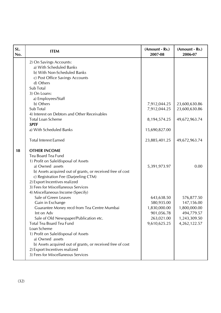| SL.<br>No. | <b>ITEM</b>                                                                                                                                                                                                                                                                                                                                                                                       | (Amount - Rs.)<br>2007-08                                                            | (Amount - Rs.)<br>2006-07                                                              |
|------------|---------------------------------------------------------------------------------------------------------------------------------------------------------------------------------------------------------------------------------------------------------------------------------------------------------------------------------------------------------------------------------------------------|--------------------------------------------------------------------------------------|----------------------------------------------------------------------------------------|
|            | 2) On Savings Accounts:<br>a) With Scheduled Banks<br>b) With Non-Scheduled Banks<br>c) Post Office Savings Accounts<br>d) Others<br>Sub Total<br>3) On Loans:<br>a) Employees/Staff<br>b) Others<br>Sub Total<br>4) Interest on Debtors and Other Receivables                                                                                                                                    | 7,912,044.25<br>7,912,044.25                                                         | 23,600,630.86<br>23,600,630.86                                                         |
|            | <b>Total Loan Scheme</b>                                                                                                                                                                                                                                                                                                                                                                          | 8,194,574.25                                                                         | 49,672,963.74                                                                          |
|            | <b>SPTF</b><br>a) With Scheduled Banks                                                                                                                                                                                                                                                                                                                                                            | 15,690,827.00                                                                        |                                                                                        |
|            | <b>Total Interest Earned</b>                                                                                                                                                                                                                                                                                                                                                                      | 23,885,401.25                                                                        | 49,672,963.74                                                                          |
| 18         | <b>OTHER INCOME</b><br>Tea Board Tea Fund<br>1) Profit on Sale/disposal of Assets<br>a) Owned assets<br>b) Assets acquired out of grants, or received free of cost<br>c) Registration Fee (Darjeeling CTM)<br>2) Export Incentives realized<br>3) Fees for Miscellaneous Services<br>4) Miscellaneous Income (Specify)                                                                            | 5,391,973.97                                                                         | 0.00                                                                                   |
|            | Sale of Green Leaves<br>Gain in Exchange<br>Guarantee Money recd from Tea Centre Mumbai<br>Int on Adv<br>Sale of Old Newspaper/Publication etc.<br><b>Total Tea Board Tea Fund</b><br>Loan Scheme<br>1) Profit on Sale/disposal of Assets<br>a) Owned assets<br>b) Assets acquired out of grants, or received free of cost<br>2) Export Incentives realized<br>3) Fees for Miscellaneous Services | 643,638.50<br>580,935.00<br>1,830,000.00<br>901,056.78<br>263,021.00<br>9,610,625.25 | 576,877.50<br>147,156.00<br>1,800,000.00<br>494,779.57<br>1,243,309.50<br>4,262,122.57 |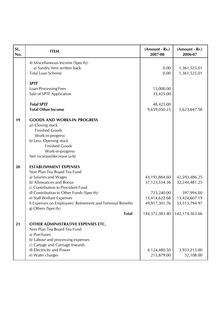| SL.<br>No. | <b>ITEM</b>                                                                                                                                                                                                                                                                                                                         | (Amount - Rs.)<br>2007-08                                                                        | (Amount - Rs.)<br>2006-07                                                                           |
|------------|-------------------------------------------------------------------------------------------------------------------------------------------------------------------------------------------------------------------------------------------------------------------------------------------------------------------------------------|--------------------------------------------------------------------------------------------------|-----------------------------------------------------------------------------------------------------|
|            | 4) Miscellaneous Income (Specify)<br>a) Sundry item written back<br><b>Total Loan Scheme</b>                                                                                                                                                                                                                                        | 0.00<br>0.00                                                                                     | 1,361,525.01<br>1,361,525.01                                                                        |
|            | <b>SPTF</b><br><b>Loan Processing Fees</b><br>Sale of SPTF Application                                                                                                                                                                                                                                                              | 15,000.00<br>33,425.00                                                                           |                                                                                                     |
|            | <b>Total SPTF</b><br><b>Total Other Income</b>                                                                                                                                                                                                                                                                                      | 48,425.00<br>9,659,050.25                                                                        | 5,623,647.58                                                                                        |
| 19         | <b>GOODS AND WORKS-IN PROGRESS</b><br>a)) Closing stock<br><b>Finished Goods</b><br>Work-in-progress<br>b) Less: Opening stock<br><b>Finished Goods</b><br>Work-in-progress<br>Net increase/decrease (a-b)                                                                                                                          |                                                                                                  |                                                                                                     |
| 20         | <b>ESTABLISHMENT EXPENSES</b><br>Non Plan Tea Board Tea Fund<br>a) Salaries and Wages<br>b) Allowances and Bonus<br>c) Contribution to Provident Fund<br>d) Contribution to Other Funds (Specify)<br>e) Staff Welfare Expenses<br>f) Expenses on Employees' Retirement and Terminal Benefits<br>g) Others (Specify)<br><b>Total</b> | 43,193,884.60<br>37,123,334.36<br>723,240.00<br>13,414,622.68<br>49,917,301.76<br>144,372,383.40 | 42,593,486.25<br>32,244,481.25<br>397,994.00<br>13,424,607.19<br>53,513,794.97<br>142, 174, 363. 66 |
| 21         | OTHER ADMINISTRATIVE EXPENSES ETC.<br>Non Plan Tea Board Tea Fund<br>a) Purchases<br>b) Labour and processing expenses<br>c) Cartage and Carriage Inwards<br>d) Electricity and Power<br>e) Water charges                                                                                                                           | 4,124,480.50<br>215,879.00                                                                       | 3,933,213.00<br>32,108.00                                                                           |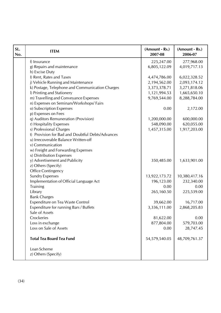| SL.<br>No. | <b>ITEM</b>                                      | (Amount - Rs.)<br>2007-08 | (Amount - Rs.)<br>2006-07 |
|------------|--------------------------------------------------|---------------------------|---------------------------|
|            | f) Insurance                                     | 225,247.00                | 277,968.00                |
|            | g) Repairs and maintenance                       | 6,805,122.09              | 4,019,717.13              |
|            | h) Excise Duty                                   |                           |                           |
|            | I) Rent, Rates and Taxes                         | 4,474,786.00              | 6,022,328.52              |
|            | j) Vehicle Running and Maintenance               | 2,194,562.00              | 2,093,174.12              |
|            | k) Postage, Telephone and Communication Charges  | 3,373,378.71              | 3,271,818.06              |
|            | I) Printing and Stationery                       | 1,121,994.53              | 1,665,650.10              |
|            | m) Travelling and Conveyance Expenses            | 9,769,544.00              | 8,288,784.00              |
|            | n) Expenses on Seminars/Workshops/Fairs          |                           |                           |
|            | o) Subscription Expenses                         | 0.00                      | 2,172.00                  |
|            | p) Expenses on Fees                              |                           |                           |
|            | q) Auditors Remuneration (Provision)             | 1,200,000.00              | 600,000.00                |
|            | r) Hospitality Expenses                          | 548,090.00                | 620,055.00                |
|            | s) Professional Charges                          | 1,457,315.00              | 1,917,203.00              |
|            | t) Provision for Bad and Doubtful Debts/Advances |                           |                           |
|            | u) Irrecoverable Balance Written-off             |                           |                           |
|            | v) Communication                                 |                           |                           |
|            | w) Freight and Forwarding Expenses               |                           |                           |
|            | x) Distribution Expenses                         |                           |                           |
|            | y) Advertisement and Publicity                   | 350,485.00                | 1,633,901.00              |
|            | z) Others (Specify)                              |                           |                           |
|            | Office Contingency                               |                           |                           |
|            | <b>Sundry Expenses</b>                           | 13,922,173.72             | 10,380,417.16             |
|            | Implementation of Official Language Act          | 196,123.00                | 232,340.00                |
|            | <b>Training</b>                                  | 0.00                      | 0.00                      |
|            | Library                                          | 265,160.50                | 225,539.00                |
|            | <b>Bank Charges</b>                              |                           |                           |
|            | Expenditure on Tea Waste Control                 | 39,662.00                 | 16,717.00                 |
|            | Expenditure for running Bars / Buffets           | 3,336,111.00              | 2,868,205.83              |
|            | Sale of Assets                                   |                           |                           |
|            | Crockeries                                       | 81,622.00                 | 0.00                      |
|            | Loss in exchange                                 | 877,804.00                | 579,703.00                |
|            | Loss on Sale of Assets                           | 0.00                      | 28,747.45                 |
|            | <b>Total Tea Board Tea Fund</b>                  | 54,579,540.05             | 48,709,761.37             |
|            | Loan Scheme                                      |                           |                           |
|            | z) Others (Specify)                              |                           |                           |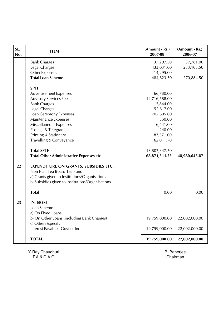| SL.<br>No. | <b>ITEM</b>                                                                                                                                                               | (Amount - Rs.)<br>2007-08 | (Amount - Rs.)<br>2006-07 |
|------------|---------------------------------------------------------------------------------------------------------------------------------------------------------------------------|---------------------------|---------------------------|
|            | <b>Bank Charges</b>                                                                                                                                                       | 37,297.50                 | 37,781.00                 |
|            | Legal Charges                                                                                                                                                             | 433,031.00                | 233,103.50                |
|            | Other Expenses                                                                                                                                                            | 14,295.00                 |                           |
|            | <b>Total Loan Scheme</b>                                                                                                                                                  | 484,623.50                | 270,884.50                |
|            | <b>SPTF</b>                                                                                                                                                               |                           |                           |
|            | <b>Advertisement Expenses</b>                                                                                                                                             | 66,780.00                 |                           |
|            | <b>Advisory Services Fees</b>                                                                                                                                             | 12,716,588.00             |                           |
|            | <b>Bank Charges</b>                                                                                                                                                       | 15,844.00                 |                           |
|            | Legal Charges                                                                                                                                                             | 152,617.00                |                           |
|            | Loan Ceremony Expenses                                                                                                                                                    | 702,605.00                |                           |
|            | Maintenance Expenses                                                                                                                                                      | 550.00                    |                           |
|            | Miscellaneous Expenses                                                                                                                                                    | 6,541.00                  |                           |
|            | Postage & Telegram                                                                                                                                                        | 240.00                    |                           |
|            | <b>Printing &amp; Stationery</b>                                                                                                                                          | 83,571.00                 |                           |
|            | Travelling & Conveyance                                                                                                                                                   | 62,011.70                 |                           |
|            | <b>Total SPTF</b>                                                                                                                                                         | 13,807,347.70             |                           |
|            | <b>Total Other Administrative Expenses etc</b>                                                                                                                            | 68,871,511.25             | 48,980,645.87             |
| 22         | EXPENDITURE ON GRANTS, SUBSIDIES ETC.<br>Non Plan Tea Board Tea Fund<br>a) Grants given to Institutions/Organisations<br>b) Subsidies given to Institutions/Organisations |                           |                           |
|            | <b>Total</b>                                                                                                                                                              | 0.00                      | 0.00                      |
| 23         | <b>INTEREST</b><br>Loan Scheme<br>a) On Fixed Loans                                                                                                                       |                           |                           |
|            | b) On Other Loans (including Bank Charges)                                                                                                                                | 19,759,000.00             | 22,002,000.00             |
|            | c) Others (specify)                                                                                                                                                       |                           |                           |
|            | Interest Payable - Govt of India                                                                                                                                          | 19,759,000.00             | 22,002,000.00             |
|            | <b>TOTAL</b>                                                                                                                                                              | 19,759,000.00             | 22,002,000.00             |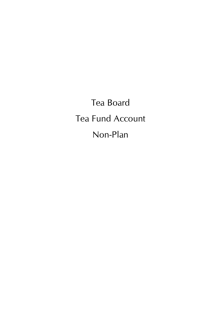Tea Board Tea Fund Account Non-Plan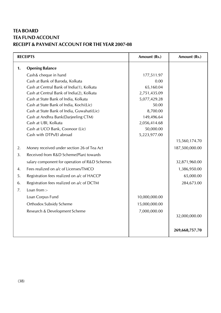# **TEA BOARD TEA FUND ACCOUNT RECEIPT & PAYMENT ACCOUNT FOR THE YEAR 2007-08**

| <b>RECEIPTS</b> |                                               | Amount (Rs.)  | Amount (Rs.)   |
|-----------------|-----------------------------------------------|---------------|----------------|
| 1.              | <b>Opening Balance</b>                        |               |                |
|                 | Cash& cheque in hand                          | 177,511.97    |                |
|                 | Cash at Bank of Baroda, Kolkata               | 0.00          |                |
|                 | Cash at Central Bank of India(1), Kolkata     | 65,160.04     |                |
|                 | Cash at Central Bank of India(2), Kolkata     | 2,751,435.09  |                |
|                 | Cash at State Bank of India, Kolkata          | 5,077,429.28  |                |
|                 | Cash at State Bank of India, Kochi(Lic)       | 50.00         |                |
|                 | Cash at State Bank of India, Guwahati(Lic)    | 8,700.00      |                |
|                 | Cash at Andhra Bank(Darjeeling CTM)           | 149,496.64    |                |
|                 | Cash at UBI, Kolkata                          | 2,056,414.68  |                |
|                 | Cash at UCO Bank, Coonoor (Lic)               | 50,000.00     |                |
|                 | Cash with DTPs/EI abroad                      | 5,223,977.00  |                |
|                 |                                               |               | 15,560,174.70  |
| 2.              | Money received under section 26 of Tea Act    |               | 187,500,000.00 |
| 3.              | Received from R&D Scheme(Plan) towards        |               |                |
|                 | salary component for operation of R&D Schemes |               | 32,871,960.00  |
| 4.              | Fees realized on a/c of Licenses/TMCO         |               | 1,386,950.00   |
| 5.              | Registration fees realized on a/c of HACCP    |               | 65,000.00      |
| 6.              | Registration fees realized on a/c of DCTM     |               | 284,673.00     |
| 7.              | Loan from :-                                  |               |                |
|                 | Loan Corpus Fund                              | 10,000,000.00 |                |
|                 | <b>Orthodox Subsidy Scheme</b>                | 15,000,000.00 |                |
|                 | Research & Development Scheme                 | 7,000,000.00  |                |
|                 |                                               |               | 32,000,000.00  |
|                 |                                               |               |                |
|                 |                                               |               | 269,668,757.70 |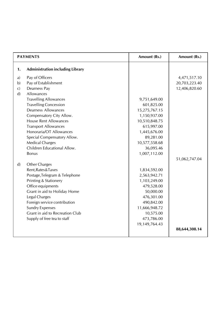|              | <b>PAYMENTS</b>                         | Amount (Rs.)  | Amount (Rs.)  |
|--------------|-----------------------------------------|---------------|---------------|
| 1.           | <b>Administration including Library</b> |               |               |
| a)           | Pay of Officers                         |               | 4,471,517.10  |
| b)           | Pay of Establishment                    |               | 20,703,223.40 |
| $\mathbf{C}$ | Dearness Pay                            |               | 12,406,820.60 |
| $\mathbf{d}$ | Allowances                              |               |               |
|              | <b>Travelling Allowances</b>            | 9,751,649.00  |               |
|              | <b>Travelling Concession</b>            | 601,825.00    |               |
|              | <b>Dearness Allowances</b>              | 15,275,767.15 |               |
|              | Compensatory City Allow.                | 1,150,937.00  |               |
|              | <b>House Rent Allowances</b>            | 10,510,848.75 |               |
|              | <b>Transport Allowances</b>             | 615,997.00    |               |
|              | Honoraria/OT Allowances                 | 1,445,676.00  |               |
|              | Special Compensatory Allow.             | 89,281.00     |               |
|              | <b>Medical Charges</b>                  | 10,577,558.68 |               |
|              | Children Educational Allow.             | 36,095.46     |               |
|              | <b>Bonus</b>                            | 1,007,112.00  |               |
|              |                                         |               | 51,062,747.04 |
| $\mathbf{d}$ | <b>Other Charges</b>                    |               |               |
|              | Rent, Rates & Taxes                     | 1,834,592.00  |               |
|              | Postage, Telegram & Telephone           | 2,563,942.71  |               |
|              | <b>Printing &amp; Stationery</b>        | 1,103,249.00  |               |
|              | Office equipments                       | 479,528.00    |               |
|              | Grant in aid to Holiday Home            | 50,000.00     |               |
|              | Legal Charges                           | 476,301.00    |               |
|              | Foreign service contribution            | 490,842.00    |               |
|              | <b>Sundry Expenses</b>                  | 11,666,948.72 |               |
|              | Grant in aid to Recreation Club         | 10,575.00     |               |
|              | Supply of free tea to staff             | 473,786.00    |               |
|              |                                         | 19,149,764.43 |               |
|              |                                         |               | 88,644,308.14 |
|              |                                         |               |               |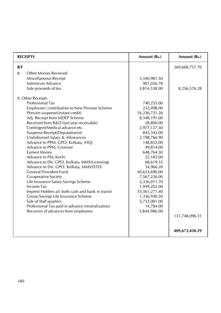| <b>RECEIPTS</b> |                                                   | Amount (Rs.)  | Amount (Rs.)   |
|-----------------|---------------------------------------------------|---------------|----------------|
| B/F             |                                                   |               | 269,668,757.70 |
| 8.              | <b>Other Monies Received</b>                      |               |                |
|                 | Miscellaneous Receipt                             | 3,540,981.50  |                |
|                 | Interest on Advance                               | 901,056.78    |                |
|                 | Sale proceeds of tea                              | 3,814,538.00  | 8,256,576.28   |
|                 | 9. Other Receipts                                 |               |                |
|                 | <b>Professional Tax</b>                           | 740,255.00    |                |
|                 | Employees' contribution to New Pension Scheme     | 232,498.00    |                |
|                 | Pension suspense(instant credit)                  | 16,236,731.26 |                |
|                 | Adj. Receipt from MDEP Scheme                     | 8,548,191.00  |                |
|                 | Received from R&D (last year receivable)          | 28,800.00     |                |
|                 | Contingent/Medical advance etc.                   | 2,977,127.50  |                |
|                 | <b>Suspense Receipt (Deputationist)</b>           | 845,343.00    |                |
|                 | Undisbursed Salary & Allowances                   | 2,198,766.90  |                |
|                 | Advance to PPM, GPO, Kolkata, (HQ)                | 148,852.00    |                |
|                 | Advance to PPM, Coonoor                           | 49,814.00     |                |
|                 | <b>Earnest Money</b>                              | 648,764.50    |                |
|                 | Advance to PM, Kochi                              | 22,185.00     |                |
|                 | Advance to Dir. GPO. Kolkata, MMS(Licensing)      | 68,619.35     |                |
|                 | Advance to Dir. GPO. Kolkata, MMS(DTD)            | 34,966.20     |                |
|                 | <b>General Provident Fund</b>                     | 40,623,690.00 |                |
|                 | Co-operative Society                              | 7,567,226.00  |                |
|                 | Life Insurance Salary Savings Scheme              | 2,336,011.70  |                |
|                 | Income Tax                                        | 1,949,202.00  |                |
|                 | Imprest Holders a/c both cash and bank in transit | 35,561,271.40 |                |
|                 | Group Savings Life Insurance Scheme               | 1,336,930.50  |                |
|                 | Sale of Staff quarters                            | 5,733,081.00  |                |
|                 | Professional Tax paid in advance (neutralization) | 14,784.00     |                |
|                 | Recovery of advances from employees               | 3,844,986.00  |                |
|                 |                                                   |               | 131,748,096.31 |
|                 |                                                   |               |                |
|                 |                                                   |               | 409,673,430.29 |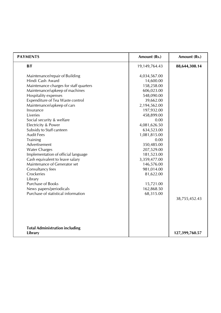| <b>PAYMENTS</b>                                                                                                                                                                                                                                                                                                                                                                                                                                                                                                                                                                                                                                                         | Amount (Rs.)                                                                                                                                                                                                                                                                                                                          | Amount (Rs.)   |
|-------------------------------------------------------------------------------------------------------------------------------------------------------------------------------------------------------------------------------------------------------------------------------------------------------------------------------------------------------------------------------------------------------------------------------------------------------------------------------------------------------------------------------------------------------------------------------------------------------------------------------------------------------------------------|---------------------------------------------------------------------------------------------------------------------------------------------------------------------------------------------------------------------------------------------------------------------------------------------------------------------------------------|----------------|
| B/F                                                                                                                                                                                                                                                                                                                                                                                                                                                                                                                                                                                                                                                                     | 19,149,764.43                                                                                                                                                                                                                                                                                                                         | 88,644,308.14  |
| Maintenance/repair of Building<br>Hindi Cash Award<br>Maintenance charges for staff quarters<br>Maintenance/upkeep of machines<br>Hospitality expenses<br>Expenditure of Tea Waste control<br>Maintenance/upkeep of cars<br>Insurance<br>Liveries<br>Social security & welfare<br>Electricity & Power<br>Subsidy to Staff canteen<br><b>Audit Fees</b><br><b>Training</b><br>Advertisement<br><b>Water Charges</b><br>Implementation of official language<br>Cash equivalent to leave salary<br>Maintenance of Generator set<br>Consultancy fees<br>Crockeries<br>Library<br><b>Purchase of Books</b><br>News papers/periodicals<br>Purchase of statistical information | 4,034,567.00<br>14,600.00<br>158,258.00<br>606,023.00<br>548,090.00<br>39,662.00<br>2,194,562.00<br>197,932.00<br>458,899.00<br>0.00<br>4,081,626.50<br>634,523.00<br>1,081,815.00<br>0.00<br>350,485.00<br>207,529.00<br>181,523.00<br>3,359,477.00<br>146,576.00<br>981,014.00<br>81,622.00<br>15,721.00<br>162,868.50<br>68,315.00 | 38,755,452.43  |
| <b>Total Administration including</b><br>Library                                                                                                                                                                                                                                                                                                                                                                                                                                                                                                                                                                                                                        |                                                                                                                                                                                                                                                                                                                                       | 127,399,760.57 |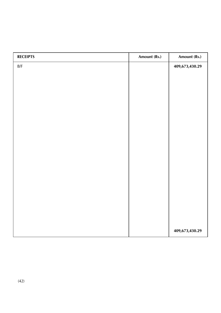| <b>RECEIPTS</b>         | Amount (Rs.) | Amount (Rs.)   |
|-------------------------|--------------|----------------|
| $\mathsf{B}/\mathsf{F}$ |              | 409,673,430.29 |
|                         |              |                |
|                         |              |                |
|                         |              |                |
|                         |              |                |
|                         |              |                |
|                         |              |                |
|                         |              |                |
|                         |              |                |
|                         |              |                |
|                         |              |                |
|                         |              |                |
|                         |              |                |
|                         |              |                |
|                         |              |                |
|                         |              |                |
|                         |              |                |
|                         |              |                |
|                         |              | 409,673,430.29 |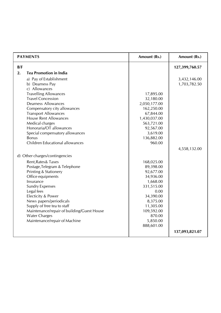| <b>PAYMENTS</b>                            | Amount (Rs.) | Amount (Rs.)   |
|--------------------------------------------|--------------|----------------|
| B/F                                        |              | 127,399,760.57 |
| <b>Tea Promotion in India</b><br>2.        |              |                |
| a) Pay of Establishment                    |              | 3,432,146.00   |
| b) Dearness Pay                            |              | 1,703,782.50   |
| c) Allowances                              |              |                |
| <b>Travelling Allowances</b>               | 17,895.00    |                |
| <b>Travel Concession</b>                   | 32,180.00    |                |
| <b>Dearness Allowances</b>                 | 2,050,177.00 |                |
| Compensatory city allowances               | 162,250.00   |                |
| <b>Transport Allowances</b>                | 67,844.00    |                |
| <b>House Rent Allowances</b>               | 1,430,037.00 |                |
| Medical charges                            | 563,721.00   |                |
| Honoraria/OT allowances                    | 92,567.00    |                |
| Special compensatory allowances            | 3,619.00     |                |
| <b>Bonus</b>                               | 136,882.00   |                |
| Children Educational allowances            | 960.00       |                |
|                                            |              | 4,558,132.00   |
| d) Other charges/contingencies             |              |                |
| Rent, Rates & Taxes                        | 168,025.00   |                |
| Postage, Telegram & Telephone              | 89,398.00    |                |
| <b>Printing &amp; Stationery</b>           | 92,677.00    |                |
| Office equipments                          | 34,936.00    |                |
| Insurance                                  | 1,668.00     |                |
| <b>Sundry Expenses</b>                     | 331,515.00   |                |
| Legal fees                                 | 0.00         |                |
| Electicity & Power                         | 34,390.00    |                |
| News papers/periodicals                    | 8,375.00     |                |
| Supply of free tea to staff                | 11,305.00    |                |
| Maintenance/repair of building/Guest House | 109,592.00   |                |
| <b>Water Charges</b>                       | 870.00       |                |
| Maintenance/repair of Machine              | 5,850.00     |                |
|                                            | 888,601.00   |                |
|                                            |              | 137,093,821.07 |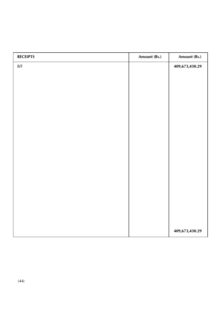| <b>RECEIPTS</b>         | Amount (Rs.) | Amount (Rs.)   |
|-------------------------|--------------|----------------|
| $\mathsf{B}/\mathsf{F}$ |              | 409,673,430.29 |
|                         |              |                |
|                         |              |                |
|                         |              |                |
|                         |              |                |
|                         |              |                |
|                         |              |                |
|                         |              |                |
|                         |              |                |
|                         |              |                |
|                         |              |                |
|                         |              |                |
|                         |              |                |
|                         |              |                |
|                         |              |                |
|                         |              |                |
|                         |              |                |
|                         |              |                |
|                         |              | 409,673,430.29 |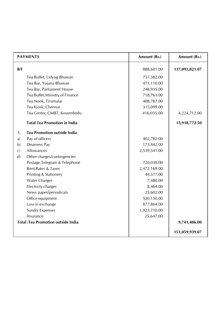|              | <b>PAYMENTS</b>                           | Amount (Rs.) | Amount (Rs.)   |
|--------------|-------------------------------------------|--------------|----------------|
| B/F          |                                           | 888,601.00   | 137,093,821.07 |
|              | Tea Buffet, Udyog Bhawan                  | 757,382.00   |                |
|              | Tea Bar, Yojana Bhawan                    | 471,110.00   |                |
|              | Tea Bar, Parliament House                 | 248,935.00   |                |
|              | Tea Buffet, Ministry of Finance           | 718,763.00   |                |
|              | Tea Nook, Tirumalai                       | 408,787.00   |                |
|              | Tea Kiosk, Chennai                        | 315,099.00   |                |
|              | Tea Center, CMBT, Koyembedu               | 416,035.00   | 4,224,712.00   |
|              | <b>Total Tea Promotion in India</b>       |              | 13,918,772.50  |
| 3.           | <b>Tea Promotion outside India</b>        |              |                |
| a)           | Pay of officers                           | 402,782.00   |                |
| b)           | Dearness Pay                              | 173,442.00   |                |
| $\mathbf{C}$ | Allowances                                | 2,539,541.00 |                |
| $\mathbf{d}$ | Other charges/contingencies               |              |                |
|              | Postage, Telegram & Telephone             | 720,038.00   |                |
|              | Rent, Rates & Taxes                       | 2,472,169.00 |                |
|              | Printing & Stationery                     | 44,577.00    |                |
|              | <b>Water Charges</b>                      | 7,480.00     |                |
|              | <b>Electricty charges</b>                 | 8,464.00     |                |
|              | News paper/periodicals                    | 25,602.00    |                |
|              | Office equipment                          | 520,150.00   |                |
|              | Loss in exchange                          | 877,804.00   |                |
|              | <b>Sundry Expenses</b>                    | 1,923,710.00 |                |
|              | Insurance                                 | 25,647.00    |                |
|              | <b>Total: Tea Promotion outside India</b> |              | 9,741,406.00   |
|              |                                           |              | 151,059,939.07 |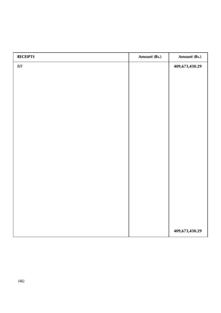| <b>RECEIPTS</b>         | Amount (Rs.) | Amount (Rs.)   |
|-------------------------|--------------|----------------|
| $\mathsf{B}/\mathsf{F}$ |              | 409,673,430.29 |
|                         |              |                |
|                         |              |                |
|                         |              |                |
|                         |              |                |
|                         |              |                |
|                         |              |                |
|                         |              |                |
|                         |              |                |
|                         |              |                |
|                         |              |                |
|                         |              |                |
|                         |              |                |
|                         |              |                |
|                         |              |                |
|                         |              |                |
|                         |              |                |
|                         |              |                |
|                         |              | 409,673,430.29 |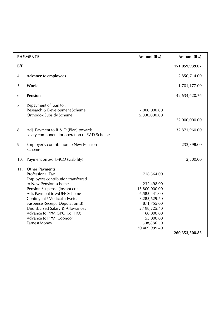|     | <b>PAYMENTS</b>                                                                                                                                                                                                                                                                                                                                                             | Amount (Rs.)                                                                                                                                                      | Amount (Rs.)   |
|-----|-----------------------------------------------------------------------------------------------------------------------------------------------------------------------------------------------------------------------------------------------------------------------------------------------------------------------------------------------------------------------------|-------------------------------------------------------------------------------------------------------------------------------------------------------------------|----------------|
| B/F |                                                                                                                                                                                                                                                                                                                                                                             |                                                                                                                                                                   | 151,059,939.07 |
| 4.  | <b>Advance to employees</b>                                                                                                                                                                                                                                                                                                                                                 |                                                                                                                                                                   | 2,850,714.00   |
| 5.  | Works                                                                                                                                                                                                                                                                                                                                                                       |                                                                                                                                                                   | 1,701,177.00   |
| 6.  | <b>Pension</b>                                                                                                                                                                                                                                                                                                                                                              |                                                                                                                                                                   | 49,634,620.76  |
| 7.  | Repayment of loan to:<br>Research & Development Scheme<br><b>Orthodox Subsidy Scheme</b>                                                                                                                                                                                                                                                                                    | 7,000,000.00<br>15,000,000.00                                                                                                                                     | 22,000,000.00  |
| 8.  | Adj. Payment to R & D (Plan) towards<br>salary component for operation of R&D Schemes                                                                                                                                                                                                                                                                                       |                                                                                                                                                                   | 32,871,960.00  |
| 9.  | Employer's contribution to New Pension<br>Scheme                                                                                                                                                                                                                                                                                                                            |                                                                                                                                                                   | 232,398.00     |
| 10. | Payment on a/c TMCO (Liability)                                                                                                                                                                                                                                                                                                                                             |                                                                                                                                                                   | 2,500.00       |
| 11. | <b>Other Payments</b><br>Professional Tax<br>Employees contribution transferred<br>to New Pension scheme<br>Pension Suspense (instant cr.)<br>Adj. Payment to MDEP Scheme<br>Contingent / Medical adv.etc.<br><b>Suspense Receipt (Deputationist)</b><br>Undisbursed Salary & Allowances<br>Advance to PPM, GPO, Kol(HQ)<br>Advance to PPM, Coonoor<br><b>Earnest Money</b> | 716,564.00<br>232,498.00<br>15,800,000.00<br>6,583,441.00<br>3,283,629.50<br>871,755.00<br>2,198,225.40<br>160,000.00<br>55,000.00<br>508,886.50<br>30,409,999.40 | 260,353,308.83 |
|     |                                                                                                                                                                                                                                                                                                                                                                             |                                                                                                                                                                   |                |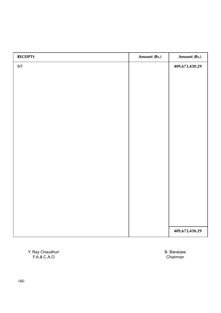| <b>RECEIPTS</b>         | Amount (Rs.) | Amount (Rs.)   |
|-------------------------|--------------|----------------|
| $\mathsf{B}/\mathsf{F}$ |              | 409,673,430.29 |
|                         |              |                |
|                         |              |                |
|                         |              |                |
|                         |              |                |
|                         |              |                |
|                         |              |                |
|                         |              |                |
|                         |              |                |
|                         |              |                |
|                         |              |                |
|                         |              |                |
|                         |              |                |
|                         |              |                |
|                         |              |                |
|                         |              |                |
|                         |              |                |
|                         |              |                |
|                         |              | 409,673,430.29 |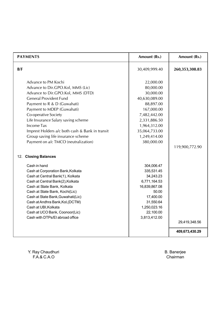| <b>PAYMENTS</b>                                                                                                                                                                                                                                                                                                                                                                                           | Amount (Rs.)                                                                                                                                                                   | Amount (Rs.)   |
|-----------------------------------------------------------------------------------------------------------------------------------------------------------------------------------------------------------------------------------------------------------------------------------------------------------------------------------------------------------------------------------------------------------|--------------------------------------------------------------------------------------------------------------------------------------------------------------------------------|----------------|
| B/F                                                                                                                                                                                                                                                                                                                                                                                                       | 30,409,999.40                                                                                                                                                                  | 260,353,308.83 |
| Advance to PM Kochi<br>Advance to Dir.GPO.Kol, MMS (Lic)<br>Advance to Dir.GPO.Kol, MMS (DTD)<br><b>General Provident Fund</b><br>Payment to R & D (Guwahati)<br>Payment to MDEP (Guwahati)<br>Co-operative Society<br>Life Insurance Salary saving scheme<br>Income Tax<br>Imprest Holders a/c both cash & Bank in transit<br>Group saving life insurance scheme<br>Payment on a/c TMCO (neutralization) | 22,000.00<br>80,000.00<br>30,000.00<br>40,630,089.00<br>88,897.00<br>167,000.00<br>7,482,442.00<br>2,331,886.50<br>1,964,312.00<br>35,064,733.00<br>1,249,414.00<br>380,000.00 | 119,900,772.90 |
| 12. Closing Balances                                                                                                                                                                                                                                                                                                                                                                                      |                                                                                                                                                                                |                |
| Cash in hand<br>Cash at Corporation Bank, Kolkata<br>Cash at Central Bank(1), Kolkata<br>Cash at Central Bank(2), Kolkata<br>Cash at State Bank, Kolkata<br>Cash at State Bank, Kochi(Lic)<br>Cash at State Bank, Guwahati(Lic)<br>Cash at Andhra Bank, Kol, (DCTM)<br>Cash at UBI, Kolkata<br>Cash at UCO Bank, Coonoor(Lic)<br>Cash with DTPs/EI abroad office                                          | 304,006.47<br>335,531.45<br>34,243.23<br>6,771,164.53<br>16,839,867.08<br>50.00<br>17,400.00<br>31,550.64<br>1,250,023.16<br>22,100.00<br>3,813,412.00                         | 29,419,348.56  |
|                                                                                                                                                                                                                                                                                                                                                                                                           |                                                                                                                                                                                | 409,673,430.29 |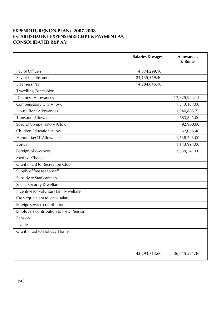#### **EXPENDITURE(NON-PLAN) 2007-2008 ESTABLISHMENT EXPENSES(RECEIPT & PAYMENT A/C ) CONSOLIDATED R&P A/c**

| Salaries & wages<br><b>Allowances</b><br>& Bonus |
|--------------------------------------------------|
| 4,874,299.10                                     |
| 24,135,369.40                                    |
| 14,284,045.10                                    |
|                                                  |
| 17,325,944.15                                    |
| 1,313,187.00                                     |
| 11,940,885.75                                    |
| 683,841.00                                       |
| 92,900.00                                        |
| 37,055.46                                        |
| 1,538,243.00                                     |
| 1,143,994.00                                     |
| 2,539,541.00                                     |
|                                                  |
|                                                  |
|                                                  |
|                                                  |
|                                                  |
|                                                  |
|                                                  |
|                                                  |
|                                                  |
|                                                  |
|                                                  |
|                                                  |
| 43,293,713.60<br>36,615,591.36                   |
|                                                  |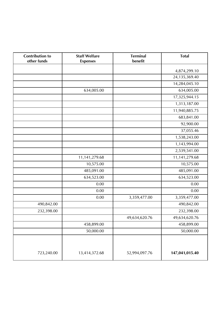| <b>Contribution to</b><br>other funds | <b>Staff Welfare</b><br><b>Expenses</b> | <b>Terminal</b><br>benefit | <b>Total</b>    |
|---------------------------------------|-----------------------------------------|----------------------------|-----------------|
|                                       |                                         |                            |                 |
|                                       |                                         |                            | 4,874,299.10    |
|                                       |                                         |                            | 24,135,369.40   |
|                                       |                                         |                            | 14,284,045.10   |
|                                       | 634,005.00                              |                            | 634,005.00      |
|                                       |                                         |                            | 17,325,944.15   |
|                                       |                                         |                            | 1,313,187.00    |
|                                       |                                         |                            | 11,940,885.75   |
|                                       |                                         |                            | 683,841.00      |
|                                       |                                         |                            | 92,900.00       |
|                                       |                                         |                            | 37,055.46       |
|                                       |                                         |                            | 1,538,243.00    |
|                                       |                                         |                            | 1,143,994.00    |
|                                       |                                         |                            | 2,539,541.00    |
|                                       | 11, 141, 279.68                         |                            | 11, 141, 279.68 |
|                                       | 10,575.00                               |                            | 10,575.00       |
|                                       | 485,091.00                              |                            | 485,091.00      |
|                                       | 634,523.00                              |                            | 634,523.00      |
|                                       | 0.00                                    |                            | 0.00            |
|                                       | 0.00                                    |                            | 0.00            |
|                                       | 0.00                                    | 3,359,477.00               | 3,359,477.00    |
| 490,842.00                            |                                         |                            | 490,842.00      |
| 232,398.00                            |                                         |                            | 232,398.00      |
|                                       |                                         | 49,634,620.76              | 49,634,620.76   |
|                                       | 458,899.00                              |                            | 458,899.00      |
|                                       | 50,000.00                               |                            | 50,000.00       |
|                                       |                                         |                            |                 |
| 723,240.00                            | 13,414,372.68                           | 52,994,097.76              | 147,041,015.40  |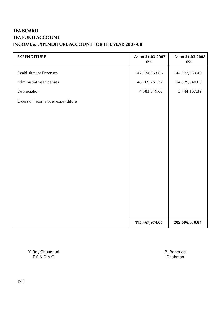# **TEA BOARD TEA FUND ACCOUNT INCOME & EXPENDITURE ACCOUNT FOR THE YEAR 2007-08**

| <b>EXPENDITURE</b>                | As on 31.03.2007<br>(Rs.) | As on 31.03.2008<br>(Rs.) |
|-----------------------------------|---------------------------|---------------------------|
| Establishment Expenses            | 142, 174, 363.66          | 144,372,383.40            |
| Administrative Expenses           | 48,709,761.37             | 54,579,540.05             |
| Depreciation                      | 4,583,849.02              | 3,744,107.39              |
| Excess of Income over expenditure |                           |                           |
|                                   |                           |                           |
|                                   |                           |                           |
|                                   |                           |                           |
|                                   |                           |                           |
|                                   |                           |                           |
|                                   |                           |                           |
|                                   |                           |                           |
|                                   |                           |                           |
|                                   |                           |                           |
|                                   |                           |                           |
|                                   |                           |                           |
|                                   |                           |                           |
|                                   | 195,467,974.05            | 202,696,030.84            |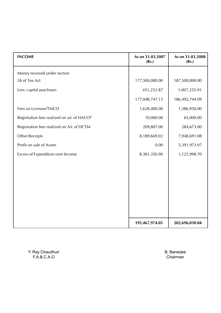| <b>INCOME</b>                              | As on 31.03.2007<br>(Rs.) | As on 31.03.2008<br>(Rs.) |
|--------------------------------------------|---------------------------|---------------------------|
| Money received under section               |                           |                           |
| 26 of Tea Act                              | 177,500,000.00            | 187,500,000.00            |
| Less: capital purchases                    | 451,252.87                | 1,007,255.91              |
|                                            | 177,048,747.13            | 186,492,744.09            |
| Fees on Licenses/TMCO                      | 1,628,400.00              | 1,386,950.00              |
| Registration fees realized on a/c of HACCP | 10,000.00                 | 65,000.00                 |
| Registration fees realized on A/c of DCTM  | 209,807.00                | 284,673.00                |
| <b>Other Receipts</b>                      | 8,189,669.02              | 7,948,691.08              |
| Profit on sale of Assets                   | 0.00                      | 5,391,973.97              |
| Excess of Expenditure over Income          | 8,381,350.90              | 1,125,998.70              |
|                                            |                           |                           |
|                                            |                           |                           |
|                                            |                           |                           |
|                                            |                           |                           |
|                                            |                           |                           |
|                                            |                           |                           |
|                                            | 195,467,974.05            | 202,696,030.84            |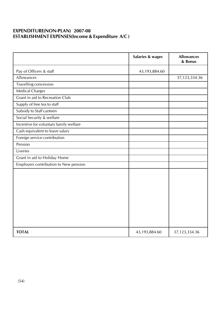## **EXPENDITURE(NON-PLAN) 2007-08 ESTABLISHMENT EXPENSES(Income & Expenditure A/C )**

|                                        | Salaries & wages | <b>Allowances</b><br>& Bonus |
|----------------------------------------|------------------|------------------------------|
| Pay of Officers & staff                | 43,193,884.60    |                              |
| Allowances                             |                  | 37, 123, 334. 36             |
| Travelling concession                  |                  |                              |
| <b>Medical Charges</b>                 |                  |                              |
| Grant in aid to Recreation Club        |                  |                              |
| Supply of free tea to staff            |                  |                              |
| Subsidy to Staff canteen               |                  |                              |
| Social Security & welfare              |                  |                              |
| Incentive for voluntary family welfare |                  |                              |
| Cash equivalent to leave salary        |                  |                              |
| Foreign service contribution           |                  |                              |
| Pension                                |                  |                              |
| Liveries                               |                  |                              |
| Grant in aid to Holiday Home           |                  |                              |
| Employers contribution to New pension  |                  |                              |
|                                        |                  |                              |
| <b>TOTAL</b>                           | 43,193,884.60    | 37, 123, 334. 36             |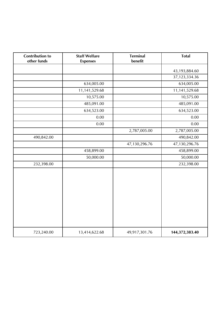| <b>Contribution to</b><br>other funds | <b>Staff Welfare</b><br><b>Expenses</b> | <b>Terminal</b><br>benefit | <b>Total</b>   |
|---------------------------------------|-----------------------------------------|----------------------------|----------------|
|                                       |                                         |                            |                |
|                                       |                                         |                            | 43,193,884.60  |
|                                       |                                         |                            | 37,123,334.36  |
|                                       | 634,005.00                              |                            | 634,005.00     |
|                                       | 11,141,529.68                           |                            | 11,141,529.68  |
|                                       | 10,575.00                               |                            | 10,575.00      |
|                                       | 485,091.00                              |                            | 485,091.00     |
|                                       | 634,523.00                              |                            | 634,523.00     |
|                                       | 0.00                                    |                            | 0.00           |
|                                       | 0.00                                    |                            | 0.00           |
|                                       |                                         | 2,787,005.00               | 2,787,005.00   |
| 490,842.00                            |                                         |                            | 490,842.00     |
|                                       |                                         | 47,130,296.76              | 47,130,296.76  |
|                                       | 458,899.00                              |                            | 458,899.00     |
|                                       | 50,000.00                               |                            | 50,000.00      |
| 232,398.00                            |                                         |                            | 232,398.00     |
|                                       |                                         |                            |                |
| 723,240.00                            | 13,414,622.68                           | 49,917,301.76              | 144,372,383.40 |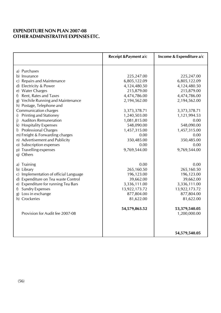#### **EXPENDITURE NON PLAN 2007-08 OTHER ADMINISTRATIVE EXPENSES ETC.**

|                                                                                                                                                                                                                                                                                                                                                                                                                                                                                         | Receipt & Payment a/c                                                                                                                                                                                                | Income & Expenditure a/c                                                                                                                                                                                     |
|-----------------------------------------------------------------------------------------------------------------------------------------------------------------------------------------------------------------------------------------------------------------------------------------------------------------------------------------------------------------------------------------------------------------------------------------------------------------------------------------|----------------------------------------------------------------------------------------------------------------------------------------------------------------------------------------------------------------------|--------------------------------------------------------------------------------------------------------------------------------------------------------------------------------------------------------------|
| a) Purchases<br>b) Insurance<br>c) Repairs and Maintenance<br>d) Electricity & Power<br>e) Water Charges<br>f) Rent, Rates and Taxes<br>g) Vechile Running and Maintenance<br>h) Postage, Telephone and<br>Communication charges<br>i) Printing and Stationey<br>j) Auditors Remuneration<br>k) Hospitality Expenses<br>I) Professional Charges<br>m) Freight & Forwarding charges<br>n) Advertisement and Publicity<br>o) Subscription expenses<br>p) Travelling expenses<br>q) Others | 225,247.00<br>6,805,122.09<br>4,124,480.50<br>215,879.00<br>4,474,786.00<br>2,194,562.00<br>3,373,378.71<br>1,240,503.00<br>1,081,815.00<br>548,090.00<br>1,457,315.00<br>0.00<br>350,485.00<br>0.00<br>9,769,544.00 | 225,247.00<br>6,805,122.09<br>4,124,480.50<br>215,879.00<br>4,474,786.00<br>2,194,562.00<br>3,373,378.71<br>1,121,994.53<br>0.00<br>548,090.00<br>1,457,315.00<br>0.00<br>350,485.00<br>0.00<br>9,769,544.00 |
| a) Training<br>b) Library<br>c) Implementation of official Language<br>d) Expenditure on Tea waste Control<br>e) Expenditure for running Tea Bars<br><b>Sundry Expenses</b><br>f<br>g) Loss in exchange<br>h) Crockeries<br>Provision for Audit fee 2007-08                                                                                                                                                                                                                             | 0.00<br>265,160.50<br>196,123.00<br>39,662.00<br>3,336,111.00<br>13,922,173.72<br>877,804.00<br>81,622.00<br>54,579,863.52                                                                                           | 0.00<br>265,160.50<br>196,123.00<br>39,662.00<br>3,336,111.00<br>13,922,173.72<br>877,804.00<br>81,622.00<br>53,379,540.05<br>1,200,000.00                                                                   |
|                                                                                                                                                                                                                                                                                                                                                                                                                                                                                         |                                                                                                                                                                                                                      | 54,579,540.05                                                                                                                                                                                                |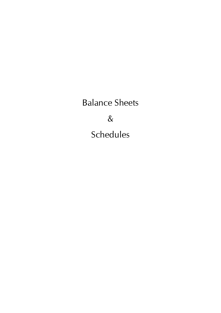# Balance Sheets & Schedules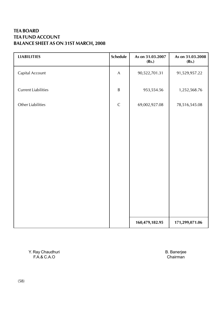## **TEA BOARD TEA FUND ACCOUNT BALANCE SHEET AS ON 31ST MARCH, 2008**

| <b>LIABILITIES</b>         | <b>Schedule</b> | As on 31.03.2007<br>(Rs.) | As on 31.03.2008<br>(Rs.) |
|----------------------------|-----------------|---------------------------|---------------------------|
| Capital Account            | $\mathsf{A}$    | 90,522,701.31             | 91,529,957.22             |
| <b>Current Liabilities</b> | $\sf B$         | 953,554.56                | 1,252,568.76              |
| Other Liabilities          | $\mathsf{C}$    | 69,002,927.08             | 78,516,545.08             |
|                            |                 |                           |                           |
|                            |                 |                           |                           |
|                            |                 |                           |                           |
|                            |                 |                           |                           |
|                            |                 |                           |                           |
|                            |                 |                           |                           |
|                            |                 |                           |                           |
|                            |                 | 160,479,182.95            | 171,299,071.06            |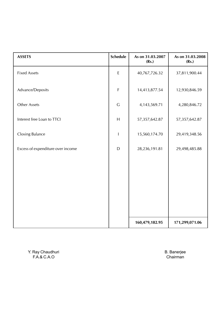| <b>ASSETS</b>                     | <b>Schedule</b> | As on 31.03.2007<br>(Rs.) | As on 31.03.2008<br>(Rs.) |
|-----------------------------------|-----------------|---------------------------|---------------------------|
| <b>Fixed Assets</b>               | $\mathsf E$     | 40,767,726.32             | 37,811,900.44             |
| Advance/Deposits                  | $\mathsf F$     | 14,413,877.54             | 12,930,846.59             |
| Other Assets                      | $\mathsf C$     | 4, 143, 569. 71           | 4,280,846.72              |
| Interest free Loan to TTCI        | H               | 57, 357, 642.87           | 57, 357, 642.87           |
| <b>Closing Balance</b>            | $\mathbf{I}$    | 15,560,174.70             | 29,419,348.56             |
| Excess of expenditure over income | $\mathsf{D}%$   | 28,236,191.81             | 29,498,485.88             |
|                                   |                 |                           |                           |
|                                   |                 |                           |                           |
|                                   |                 |                           |                           |
|                                   |                 |                           |                           |
|                                   |                 | 160,479,182.95            | 171,299,071.06            |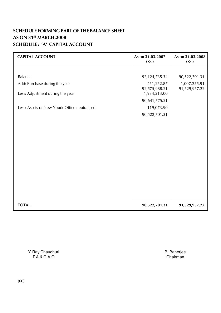# **SCHEDULE FORMING PART OF THE BALANCE SHEET AS ON 31ST MARCH,2008 SCHEDULE : 'A' CAPITAL ACCOUNT**

| <b>CAPITAL ACCOUNT</b>                                                                                                       | As on 31.03.2007<br>(Rs.)                                                                                    | As on 31.03.2008<br>(Rs.)                      |
|------------------------------------------------------------------------------------------------------------------------------|--------------------------------------------------------------------------------------------------------------|------------------------------------------------|
| Balance<br>Add: Purchase during the year<br>Less: Adjustment during the year<br>Less: Assets of New Yourk Office neutralised | 92,124,735.34<br>451,252.87<br>92,575,988.21<br>1,934,213.00<br>90,641,775.21<br>119,073.90<br>90,522,701.31 | 90,522,701.31<br>1,007,255.91<br>91,529,957.22 |
|                                                                                                                              |                                                                                                              |                                                |
| <b>TOTAL</b>                                                                                                                 | 90,522,701.31                                                                                                | 91,529,957.22                                  |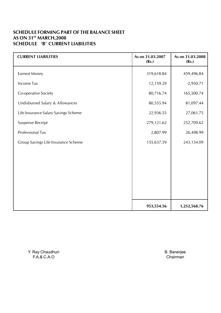#### **SCHEDULE FORMING PART OF THE BALANCE SHEET AS ON 31ST MARCH,2008 SCHEDULE 'B' CURRENT LIABILITIES**

| <b>CURRENT LIABILITIES</b>           | As on 31.03.2007<br>(Rs.) | As on 31.03.2008<br>(Rs.) |
|--------------------------------------|---------------------------|---------------------------|
| Earnest Money                        | 319,618.84                | 459,496.84                |
| <b>Income Tax</b>                    | 12,159.29                 | $-2,950.71$               |
| Co-operative Society                 | 80,716.74                 | 165,500.74                |
| Undisbursed Salary & Allowances      | 80,555.94                 | 81,097.44                 |
| Life Insurance Salary Savings Scheme | 22,936.55                 | 27,061.75                 |
| <b>Suspense Receipt</b>              | 279,121.62                | 252,709.62                |
| Professional Tax                     | 2,807.99                  | 26,498.99                 |
| Group Savings Life Insurance Scheme  | 155,637.59                | 243,154.09                |
|                                      |                           |                           |
|                                      |                           |                           |
|                                      |                           |                           |
|                                      |                           |                           |
|                                      |                           |                           |
|                                      | 953,554.56                | 1,252,568.76              |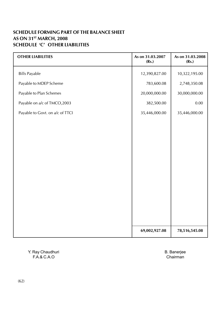## **SCHEDULE FORMING PART OF THE BALANCE SHEET AS ON 31ST MARCH, 2008 SCHEDULE 'C' OTHER LIABILITIES**

| <b>OTHER LIABILITIES</b>        | As on 31.03.2007<br>(Rs.) | As on 31.03.2008<br>(Rs.) |
|---------------------------------|---------------------------|---------------------------|
| <b>Bills Payable</b>            | 12,390,827.00             | 10,322,195.00             |
| Payable to MDEP Scheme          | 783,600.08                | 2,748,350.08              |
| Payable to Plan Schemes         | 20,000,000.00             | 30,000,000.00             |
| Payable on a/c of TMCO, 2003    | 382,500.00                | 0.00                      |
| Payable to Govt. on a/c of TTCI | 35,446,000.00             | 35,446,000.00             |
|                                 |                           |                           |
|                                 |                           |                           |
|                                 |                           |                           |
|                                 |                           |                           |
|                                 |                           |                           |
|                                 |                           |                           |
|                                 |                           |                           |
|                                 |                           |                           |
|                                 |                           |                           |
|                                 |                           |                           |
|                                 | 69,002,927.08             | 78,516,545.08             |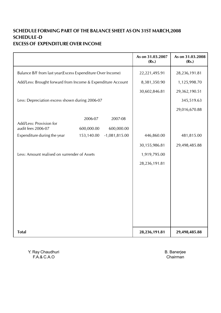#### **SCHEDULE FORMING PART OF THE BALANCE SHEET AS ON 31ST MARCH,2008 SCHEDULE -D EXCESS OF EXPENDITURE OVER INCOME**

|                                                             |            |                 | As on 31.03.2007<br>(Rs.) | As on 31.03.2008<br>(Rs.) |
|-------------------------------------------------------------|------------|-----------------|---------------------------|---------------------------|
| Balance B/F from last year(Excess Expenditure Over Income)  |            | 22,221,495.91   | 28,236,191.81             |                           |
| Add/Less: Brought forward from Income & Expenditure Account |            | 8,381,350.90    | 1,125,998.70              |                           |
|                                                             |            | 30,602,846.81   | 29,362,190.51             |                           |
| Less: Depreciation excess shown during 2006-07              |            |                 | 345,519.63                |                           |
|                                                             |            |                 |                           | 29,016,670.88             |
|                                                             | 2006-07    | 2007-08         |                           |                           |
| Add/Less: Provision for<br>audit fees 2006-07               | 600,000.00 | 600,000.00      |                           |                           |
| Expenditure during the year                                 | 153,140.00 | $-1,081,815.00$ | 446,860.00                | 481,815.00                |
|                                                             |            |                 | 30,155,986.81             | 29,498,485.88             |
| Less: Amount realised on surrender of Assets                |            |                 | 1,919,795.00              |                           |
|                                                             |            |                 | 28,236,191.81             |                           |
|                                                             |            |                 |                           |                           |
|                                                             |            |                 |                           |                           |
|                                                             |            |                 |                           |                           |
|                                                             |            |                 |                           |                           |
|                                                             |            |                 |                           |                           |
|                                                             |            |                 |                           |                           |
| <b>Total</b>                                                |            |                 | 28,236,191.81             | 29,498,485.88             |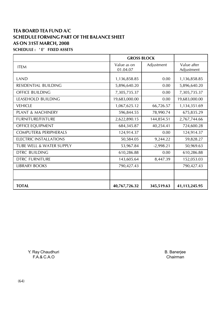#### **TEA BOARD TEA FUND A/C SCHEDULE FORMING PART OF THE BALANCE SHEET AS ON 31ST MARCH, 2008 SCHEDULE : ' E' FIXED ASSETS**

|                                     | <b>GROSS BLOCK</b>      |             |                           |
|-------------------------------------|-------------------------|-------------|---------------------------|
| <b>ITEM</b>                         | Value as on<br>01.04.07 | Adjustment  | Value after<br>Adjustment |
| LAND                                | 1,136,858.85            | 0.00        | 1,136,858.85              |
| RESIDENTIAL BUILDING                | 5,896,640.20            | 0.00        | 5,896,640.20              |
| OFFICE BUILDING                     | 7,305,735.37            | 0.00        | 7,305,735.37              |
| LEASEHOLD BUILDING                  | 19,683,000.00           | 0.00        | 19,683,000.00             |
| <b>VEHICLE</b>                      | 1,067,625.12            | 66,726.57   | 1,134,351.69              |
| <b>PLANT &amp; MACHINERY</b>        | 596,844.55              | 78,990.74   | 675,835.29                |
| <b>FURNITURE/FIXTURE</b>            | 2,622,890.15            | 144,854.51  | 2,767,744.66              |
| OFFICE EQUIPMENT                    | 684,345.87              | 40,254.41   | 724,600.28                |
| <b>COMPUTER&amp; PERIPHERALS</b>    | 124,914.37              | 0.00        | 124,914.37                |
| <b>ELECTRIC INSTALLATIONS</b>       | 50,584.05               | 9,244.22    | 59,828.27                 |
| <b>TUBE WELL &amp; WATER SUPPLY</b> | 53,967.84               | $-2,998.21$ | 50,969.63                 |
| DTRC BUILDING                       | 610,286.88              | 0.00        | 610,286.88                |
| <b>DTRC FURNITURE</b>               | 143,605.64              | 8,447.39    | 152,053.03                |
| <b>LIBRARY BOOKS</b>                | 790,427.43              |             | 790,427.43                |
|                                     |                         |             |                           |
| <b>TOTAL</b>                        | 40,767,726.32           | 345,519.63  | 41, 113, 245. 95          |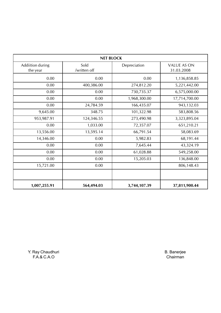| <b>NET BLOCK</b>             |                      |              |                                  |
|------------------------------|----------------------|--------------|----------------------------------|
| Addiition during<br>the year | Sold<br>/written off | Depreciation | <b>VALUE AS ON</b><br>31.03.2008 |
| 0.00                         | 0.00                 | 0.00         | 1,136,858.85                     |
| 0.00                         | 400,386.00           | 274,812.20   | 5,221,442.00                     |
| 0.00                         | 0.00                 | 730,735.37   | 6,575,000.00                     |
| 0.00                         | 0.00                 | 1,968,300.00 | 17,714,700.00                    |
| 0.00                         | 24,784.59            | 166,435.07   | 943,132.03                       |
| 9,645.00                     | 348.75               | 101,322.98   | 583,808.56                       |
| 953,987.91                   | 124,346.55           | 273,490.98   | 3,323,895.04                     |
| 0.00                         | 1,033.00             | 72,357.07    | 651,210.21                       |
| 13,556.00                    | 13,595.14            | 66,791.54    | 58,083.69                        |
| 14,346.00                    | 0.00                 | 5,982.83     | 68,191.44                        |
| 0.00                         | 0.00                 | 7,645.44     | 43,324.19                        |
| 0.00                         | 0.00                 | 61,028.88    | 549,258.00                       |
| 0.00                         | 0.00                 | 15,205.03    | 136,848.00                       |
| 15,721.00                    | 0.00                 |              | 806,148.43                       |
|                              |                      |              |                                  |
| 1,007,255.91                 | 564,494.03           | 3,744,107.39 | 37,811,900.44                    |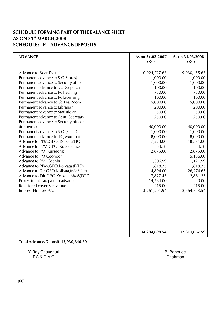#### **SCHEDULE FORMING PART OF THE BALANCE SHEET AS ON 31ST MARCH,2008 SCHEDULE : ' F' ADVANCE/DEPOSITS**

| <b>ADVANCE</b>                                                                                                                                                                                                                                                                                                                                                                                                                                                                                                                                                                                                                                                                                                                                                                                                                                                                     | As on 31.03.2007<br>(Rs.)                                                                                                                                                                                                                                                  | As on 31.03.2008<br>(Rs.)                                                                                                                                                                                                                                                         |
|------------------------------------------------------------------------------------------------------------------------------------------------------------------------------------------------------------------------------------------------------------------------------------------------------------------------------------------------------------------------------------------------------------------------------------------------------------------------------------------------------------------------------------------------------------------------------------------------------------------------------------------------------------------------------------------------------------------------------------------------------------------------------------------------------------------------------------------------------------------------------------|----------------------------------------------------------------------------------------------------------------------------------------------------------------------------------------------------------------------------------------------------------------------------|-----------------------------------------------------------------------------------------------------------------------------------------------------------------------------------------------------------------------------------------------------------------------------------|
| Advance to Board's staff<br>Permanent advance to S.O(Stores)<br>Permanent advance to Security officer<br>Permanent advance to I/c Despatch<br>Permanent advance to I/c Packing<br>Permanent advance to I/c Licensing<br>Permanent advance to I/c Tea Room<br>Permanent advance to Librarian<br>Permanent advance to Statistician<br>Permanent advance to Asstt. Secretary<br>Permanent advance to Security officer<br>(for petrol)<br>Permanent advance to S.O. (Sectt.)<br>Permanent advance to TC, Mumbai<br>Advance to PPM, GPO. Kolkata (HQ)<br>Advance to PPM, GPO. Kolkata(Lic)<br>Advance to PM, Kurseong<br>Advance to PM, Coonoor<br>Advance to PM, Cochin<br>Advance to PPM, GPO, Kolkata (DTD)<br>Advance to Dir.GPO.Kolkata, MMS(Lic)<br>Advance to Dir.GPO.Kolkata, MMS(DTD)<br>Professional Tax paid in advance<br>Registered cover & revenue<br>Imprest Holders A/c | 10,924,727.63<br>1,000.00<br>1,000.00<br>100.00<br>750.00<br>100.00<br>5,000.00<br>200.00<br>50.00<br>250.00<br>40,000.00<br>1,000.00<br>8,000.00<br>7,223.00<br>84.78<br>2,875.00<br>1,306.99<br>1,818.75<br>14,894.00<br>7,827.45<br>14,784.00<br>415.00<br>3,261,291.94 | 9,930,455.63<br>1,000.00<br>1,000.00<br>100.00<br>750.00<br>100.00<br>5,000.00<br>200.00<br>50.00<br>250.00<br>40,000.00<br>1,000.00<br>8,000.00<br>18,371.00<br>84.78<br>2,875.00<br>5,186.00<br>1,121.99<br>1,818.75<br>26,274.65<br>2,861.25<br>0.00<br>415.00<br>2,764,753.54 |
|                                                                                                                                                                                                                                                                                                                                                                                                                                                                                                                                                                                                                                                                                                                                                                                                                                                                                    | 14,294,698.54                                                                                                                                                                                                                                                              | 12,811,667.59                                                                                                                                                                                                                                                                     |

**Total Advance/Deposit 12,930,846.59**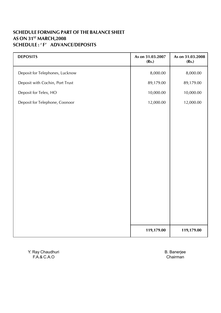## **SCHEDULE FORMING PART OF THE BALANCE SHEET AS ON 31ST MARCH,2008 SCHEDULE : ' F' ADVANCE/DEPOSITS**

| <b>DEPOSITS</b>                 | As on 31.03.2007<br>(Rs.) | As on 31.03.2008<br>(Rs.) |
|---------------------------------|---------------------------|---------------------------|
| Deposit for Telephones, Lucknow | 8,000.00                  | 8,000.00                  |
| Deposit with Cochin, Port Trust | 89,179.00                 | 89,179.00                 |
| Deposit for Telex, HO           | 10,000.00                 | 10,000.00                 |
| Deposit for Telephone, Coonoor  | 12,000.00                 | 12,000.00                 |
|                                 |                           |                           |
|                                 |                           |                           |
|                                 |                           |                           |
|                                 |                           |                           |
|                                 |                           |                           |
|                                 |                           |                           |
|                                 |                           |                           |
|                                 |                           |                           |
|                                 |                           |                           |
|                                 |                           |                           |
|                                 |                           |                           |
|                                 |                           |                           |
|                                 | 119,179.00                | 119,179.00                |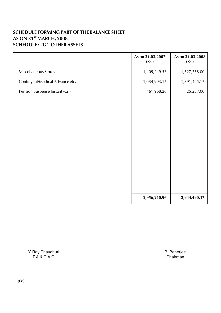## **SCHEDULE FORMING PART OF THE BALANCE SHEET AS ON 31ST MARCH, 2008 SCHEDULE : 'G' OTHER ASSETS**

|                                 | As on 31.03.2007<br>(Rs.) | As on 31.03.2008<br>(Rs.) |
|---------------------------------|---------------------------|---------------------------|
| Miscellaneous Stores            | 1,409,249.53              | 1,527,758.00              |
| Contingent/Medical Advance etc. | 1,084,993.17              | 1,391,495.17              |
| Pension Suspense Instant (Cr.)  | 461,968.26                | 25,237.00                 |
|                                 |                           |                           |
|                                 |                           |                           |
|                                 |                           |                           |
|                                 |                           |                           |
|                                 |                           |                           |
|                                 |                           |                           |
|                                 |                           |                           |
|                                 |                           |                           |
|                                 |                           |                           |
|                                 | 2,956,210.96              | 2,944,490.17              |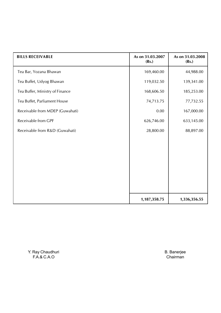| <b>BILLS RECEIVABLE</b>         | As on 31.03.2007<br>(Rs.) | As on 31.03.2008<br>(Rs.) |
|---------------------------------|---------------------------|---------------------------|
| Tea Bar, Yozana Bhawan          | 169,460.00                | 44,988.00                 |
| Tea Buffet, Udyog Bhawan        | 119,032.50                | 139,341.00                |
| Tea Buffer, Ministry of Finance | 168,606.50                | 185,253.00                |
| Tea Buffet, Parliament House    | 74,713.75                 | 77,732.55                 |
| Receivable from MDEP (Guwahati) | 0.00                      | 167,000.00                |
| Receivable from GPF             | 626,746.00                | 633,145.00                |
| Receivable from R&D (Guwahati)  | 28,800.00                 | 88,897.00                 |
|                                 |                           |                           |
|                                 |                           |                           |
|                                 |                           |                           |
|                                 |                           |                           |
|                                 |                           |                           |
|                                 |                           |                           |
|                                 | 1,187,358.75              | 1,336,356.55              |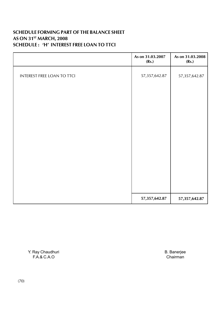## **SCHEDULE FORMING PART OF THE BALANCE SHEET AS ON 31ST MARCH, 2008 SCHEDULE : 'H' INTEREST FREE LOAN TO TTCI**

|                                   | As on 31.03.2007<br>(Rs.) | As on 31.03.2008<br>(Rs.) |
|-----------------------------------|---------------------------|---------------------------|
| <b>INTEREST FREE LOAN TO TTCI</b> | 57, 357, 642.87           | 57, 357, 642. 87          |
|                                   |                           |                           |
|                                   |                           |                           |
|                                   |                           |                           |
|                                   |                           |                           |
|                                   |                           |                           |
|                                   |                           |                           |
|                                   |                           |                           |
|                                   |                           |                           |
|                                   | 57, 357, 642.87           | 57, 357, 642.87           |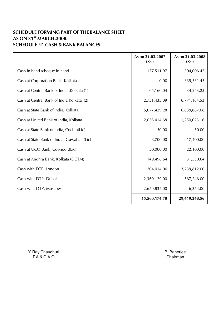#### **SCHEDULE FORMING PART OF THE BALANCE SHEET AS ON 31ST MARCH,2008. SCHEDULE 'I' CASH & BANK BALANCES**

|                                             | As on 31.03.2007<br>(Rs.) | As on 31.03.2008<br>(Rs.) |
|---------------------------------------------|---------------------------|---------------------------|
| Cash in hand / cheque in hand               | 177,511.97                | 304,006.47                |
| Cash at Corporation Bank, Kolkata           | 0.00                      | 335,531.45                |
| Cash at Central Bank of India, Kolkata (1)  | 65,160.04                 | 34,243.23                 |
| Cash at Central Bank of India, Kolkata (2)  | 2,751,435.09              | 6,771,164.53              |
| Cash at State Bank of India, Kolkata        | 5,077,429.28              | 16,839,867.08             |
| Cash at United Bank of India, Kolkata       | 2,056,414.68              | 1,250,023.16              |
| Cash at State Bank of India, Cochin(Lic)    | 50.00                     | 50.00                     |
| Cash at State Bank of India, Guwahati (Lic) | 8,700.00                  | 17,400.00                 |
| Cash at UCO Bank, Coonoor, (Lic)            | 50,000.00                 | 22,100.00                 |
| Cash at Andhra Bank, Kolkata (DCTM)         | 149,496.64                | 31,550.64                 |
| Cash with DTP, London                       | 204,014.00                | 3,239,812.00              |
| Cash with DTP, Dubai                        | 2,360,129.00              | 567,246.00                |
| Cash with DTP, Moscow                       | 2,659,834.00              | 6,354.00                  |
|                                             | 15,560,174.70             | 29,419,348.56             |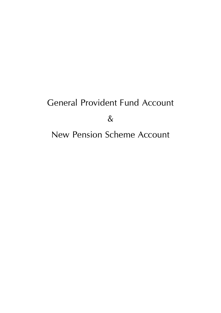# General Provident Fund Account & New Pension Scheme Account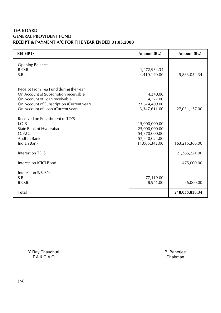#### **TEA BOARD GENERAL PROVIDENT FUND RECEIPT & PAYMENT A/C FOR THE YEAR ENDED 31.03.2008**

| <b>RECEIPTS</b>                           | Amount (Rs.)  | Amount (Rs.)   |
|-------------------------------------------|---------------|----------------|
| <b>Opening Balance</b><br>B.O.B.          | 1,472,934.34  |                |
| S.B.I.                                    | 4,410,120.00  | 5,883,054.34   |
| Receipt From Tea Fund during the year     |               |                |
| On Account of Subscription receivable     | 4,340.00      |                |
| On Account of Loan receivable             | 4,777.00      |                |
| On Account of Subscription (Current year) | 23,674,409.00 |                |
| On Account of Loan (Current year)         | 3,347,611.00  | 27,031,137.00  |
| Received on Encashment of TD'S            |               |                |
| I.O.B                                     | 15,000,000.00 |                |
| State Bank of Hyderabad                   | 25,000,000.00 |                |
| O.B.C.                                    | 54,370,000.00 |                |
| Andhra Bank                               | 57,840,024.00 |                |
| Indian Bank                               | 11,005,342.00 | 163,215,366.00 |
| Interest on TD'S                          |               | 21,365,221.00  |
| Interest on ICICI Bond                    |               | 475,000.00     |
| Interest on S/B A/cs                      |               |                |
| S.B.I.                                    | 77,119.00     |                |
| B.O.B.                                    | 8,941.00      | 86,060.00      |
| <b>Total</b>                              |               | 218,055,838.34 |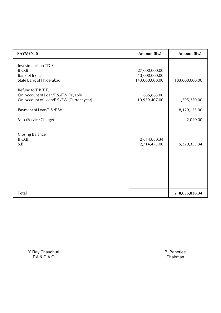| <b>PAYMENTS</b>                                                                                                                                                                                                                        | Amount (Rs.)                                                                    | Amount (Rs.)                                                 |
|----------------------------------------------------------------------------------------------------------------------------------------------------------------------------------------------------------------------------------------|---------------------------------------------------------------------------------|--------------------------------------------------------------|
| Investments on TD'S<br>B.O.B<br>Bank of India<br>State Bank of Hyderabad<br>Refund to T.B.T.F.<br>On Account of Loan/F.S./FW Payable<br>On Account of Loan/F.S./FW (Current year)<br>Payment of Loan/F.S./F.W.<br>Misc(Service Charge) | 27,000,000.00<br>13,000,000.00<br>143,000,000.00<br>635,863.00<br>10,959,407.00 | 183,000,000.00<br>11,595,270.00<br>18,129,175.00<br>2,040.00 |
| <b>Closing Balance</b><br>B.O.B.<br>S.B.I.                                                                                                                                                                                             | 2,614,880.34<br>2,714,473.00                                                    | 5,329,353.34                                                 |
| <b>Total</b>                                                                                                                                                                                                                           |                                                                                 | 218,055,838.34                                               |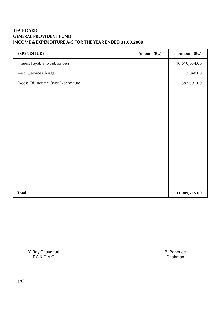#### **TEA BOARD GENERAL PROVIDENT FUND INCOME & EXPENDITURE A/C FOR THE YEAR ENDED 31.03.2008**

| <b>EXPENDITURE</b>                | Amount (Rs.) | Amount (Rs.)  |
|-----------------------------------|--------------|---------------|
| Interest Payable to Subscribers   |              | 10,610,084.00 |
| Misc. (Service Charge)            |              | 2,040.00      |
| Excess Of Income Over Expenditure |              | 397,591.00    |
|                                   |              |               |
|                                   |              |               |
|                                   |              |               |
|                                   |              |               |
|                                   |              |               |
|                                   |              |               |
|                                   |              |               |
|                                   |              |               |
|                                   |              |               |
|                                   |              |               |
| <b>Total</b>                      |              | 11,009,715.00 |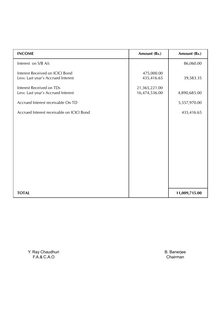| <b>INCOME</b>                                                         | Amount (Rs.)                   | Amount (Rs.)  |
|-----------------------------------------------------------------------|--------------------------------|---------------|
| Interest on S/B A/c                                                   |                                | 86,060.00     |
| Interest Received on ICICI Bond<br>Less: Last year's Accrued Interest | 475,000.00<br>435,416.65       | 39,583.35     |
| <b>Interest Received on TDs</b><br>Less: Last year's Accrued Interest | 21,365,221.00<br>16,474,536.00 | 4,890,685.00  |
| Accrued Interest receivable On TD                                     |                                | 5,557,970.00  |
| Accrued Interest receivable on ICICI Bond                             |                                | 435,416.65    |
|                                                                       |                                |               |
|                                                                       |                                |               |
|                                                                       |                                |               |
|                                                                       |                                |               |
|                                                                       |                                |               |
|                                                                       |                                |               |
|                                                                       |                                |               |
| <b>TOTAL</b>                                                          |                                | 11,009,715.00 |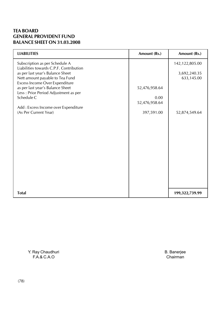#### **TEA BOARD GENERAL PROVIDENT FUND BALANCE SHEET ON 31.03.2008**

| <b>LIABILITIES</b>                                                        | Amount (Rs.)  | Amount (Rs.)   |
|---------------------------------------------------------------------------|---------------|----------------|
| Subscription as per Schedule A<br>Liabilities towards C.P.F. Contribution |               | 142,122,805.00 |
| as per last year's Balance Sheet                                          |               | 3,692,240.35   |
| Nett amount payable to Tea Fund<br><b>Excess Income Over Expenditure</b>  |               | 633,145.00     |
| as per last year's Balance Sheet                                          | 52,476,958.64 |                |
| Less : Prior Period Adjustment as per<br>Schedule C                       | 0.00          |                |
| Add : Excess Income over Expenditure                                      | 52,476,958.64 |                |
| (As Per Current Year)                                                     | 397,591.00    | 52,874,549.64  |
|                                                                           |               |                |
|                                                                           |               |                |
|                                                                           |               |                |
|                                                                           |               |                |
|                                                                           |               |                |
|                                                                           |               |                |
|                                                                           |               |                |
|                                                                           |               |                |
|                                                                           |               |                |
| <b>Total</b>                                                              |               | 199,322,739.99 |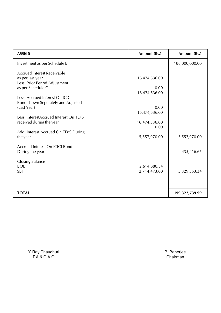| <b>ASSETS</b>                                                                                                                                                                                                                                                               | Amount (Rs.)                                                                     | Amount (Rs.)   |
|-----------------------------------------------------------------------------------------------------------------------------------------------------------------------------------------------------------------------------------------------------------------------------|----------------------------------------------------------------------------------|----------------|
| Investment as per Schedule B                                                                                                                                                                                                                                                |                                                                                  | 188,000,000.00 |
| <b>Accrued Interest Receivable</b><br>as per last year<br>Less: Prior Period Adjustment<br>as per Schedule C<br>Less: Accrued Interest On ICICI<br>Bond, shown Seperately and Adjusted<br>(Last Year)<br>Less: InterestAccrued Interest On TD'S<br>received during the year | 16,474,536.00<br>0.00<br>16,474,536.00<br>0.00<br>16,474,536.00<br>16,474,536.00 |                |
| Add: Interest Accrued On TD'S During<br>the year                                                                                                                                                                                                                            | 0.00<br>5,557,970.00                                                             | 5,557,970.00   |
| Accrued Interest On ICICI Bond<br>During the year                                                                                                                                                                                                                           |                                                                                  | 435,416.65     |
| <b>Closing Balance</b><br><b>BOB</b><br><b>SBI</b>                                                                                                                                                                                                                          | 2,614,880.34<br>2,714,473.00                                                     | 5,329,353.34   |
| <b>TOTAL</b>                                                                                                                                                                                                                                                                |                                                                                  | 199,322,739.99 |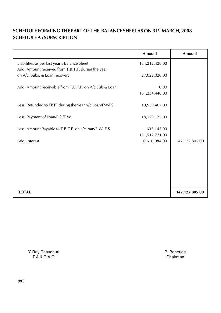# SCHEDULE FORMING THE PART OF THE BALANCE SHEET AS ON 31<sup>ST</sup> MARCH, 2008 **SCHEDULE A : SUBSCRIPTION**

|                                                                                     | Amount                          | <b>Amount</b>    |
|-------------------------------------------------------------------------------------|---------------------------------|------------------|
| Liabilities as per last year's Balance Sheet                                        | 134,212,428.00                  |                  |
| Add: Amount received from T.B.T.F. during the year<br>on A/c. Subs. & Loan recovery | 27,022,020.00                   |                  |
| Add: Amount receivable from T.B.T.F. on A/c Sub & Loan.                             | 0.00<br>161,234,448.00          |                  |
| Less: Refunded to TBTF during the year A/c Loan/FW/FS                               | 10,959,407.00                   |                  |
| Less: Payment of Loan/F.S./F.W.                                                     | 18,129,175.00                   |                  |
| Less: Amount Payable to T.B.T.F. on a/c loan/F.W. F.S.                              | 633,145.00                      |                  |
| Add: Interest                                                                       | 131,512,721.00<br>10,610,084.00 | 142, 122, 805.00 |
|                                                                                     |                                 |                  |
|                                                                                     |                                 |                  |
|                                                                                     |                                 |                  |
| <b>TOTAL</b>                                                                        |                                 | 142, 122, 805.00 |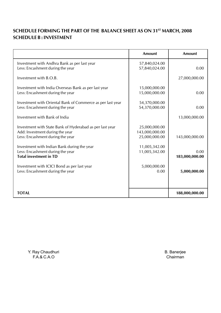# SCHEDULE FORMING THE PART OF THE BALANCE SHEET AS ON 31<sup>ST</sup> MARCH, 2008 **SCHEDULE B : INVESTMENT**

|                                                                                                                                 | <b>Amount</b>                                    | <b>Amount</b>          |
|---------------------------------------------------------------------------------------------------------------------------------|--------------------------------------------------|------------------------|
| Investment with Andhra Bank as per last year<br>Less: Encashment during the year                                                | 57,840,024.00<br>57,840,024.00                   | 0.00                   |
| Investment with B.O.B.                                                                                                          |                                                  | 27,000,000.00          |
| Investment with India Overseas Bank as per last year<br>Less: Encashment during the year                                        | 15,000,000.00<br>15,000,000.00                   | 0.00                   |
| Investment with Oriental Bank of Commerce as per last year<br>Less: Encashment during the year                                  | 54,370,000.00<br>54,370,000.00                   | 0.00                   |
| Investment with Bank of India                                                                                                   |                                                  | 13,000,000.00          |
| Investment with State Bank of Hyderabad as per last year<br>Add: Investment during the year<br>Less: Encashment during the year | 25,000,000.00<br>143,000,000.00<br>25,000,000.00 | 143,000,000.00         |
| Investment with Indian Bank during the year<br>Less: Encashment during the year<br><b>Total investment in TD</b>                | 11,005,342.00<br>11,005,342.00                   | 0.00<br>183,000,000.00 |
| Investment with ICICI Bond as per last year<br>Less: Encashment during the year                                                 | 5,000,000.00<br>0.00                             | 5,000,000.00           |
| <b>TOTAL</b>                                                                                                                    |                                                  | 188,000,000.00         |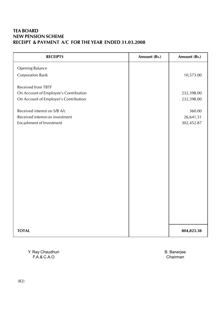#### **TEA BOARD NEW PENSION SCHEME RECEIPT & PAYMENT A/C FOR THE YEAR ENDED 31.03.2008**

| <b>RECEIPTS</b>                       | Amount (Rs.) | Amount (Rs.) |
|---------------------------------------|--------------|--------------|
| <b>Opening Balance</b>                |              |              |
| <b>Corporation Bank</b>               |              | 10,573.00    |
| <b>Received from TBTF</b>             |              |              |
| On Account of Employee's Contribution |              | 232,398.00   |
| On Account of Employer's Contribution |              | 232,398.00   |
| Received interest on S/B A/c          |              | 360.00       |
| Received interest on investment       |              | 26,641.51    |
| <b>Encashment of Investment</b>       |              | 302,452.87   |
|                                       |              |              |
|                                       |              |              |
|                                       |              |              |
|                                       |              |              |
|                                       |              |              |
|                                       |              |              |
|                                       |              |              |
|                                       |              |              |
|                                       |              |              |
|                                       |              |              |
|                                       |              |              |
|                                       |              |              |
|                                       |              |              |
|                                       |              |              |
|                                       |              |              |
| <b>TOTAL</b>                          |              | 804,823.38   |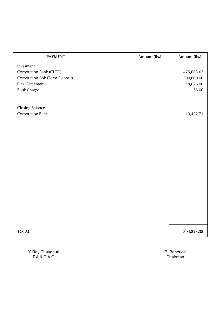| <b>PAYMENT</b>                        | Amount (Rs.) | Amount (Rs.) |
|---------------------------------------|--------------|--------------|
| Invesment                             |              |              |
| Corporation Bank (CLTD)               |              | 475,668.67   |
| <b>Corporation Bnk (Term Deposit)</b> |              | 300,000.00   |
| <b>Final Settlement</b>               |              | 18,676.00    |
| <b>Bank Charge</b>                    |              | 56.00        |
|                                       |              |              |
| <b>Closing Balance</b>                |              |              |
| Corporation Bank                      |              | 10,422.71    |
|                                       |              |              |
|                                       |              |              |
|                                       |              |              |
|                                       |              |              |
|                                       |              |              |
|                                       |              |              |
|                                       |              |              |
|                                       |              |              |
|                                       |              |              |
|                                       |              |              |
|                                       |              |              |
|                                       |              |              |
|                                       |              |              |
|                                       |              |              |
|                                       |              |              |
|                                       |              |              |
|                                       |              |              |
| <b>TOTAL</b>                          |              | 804,823.38   |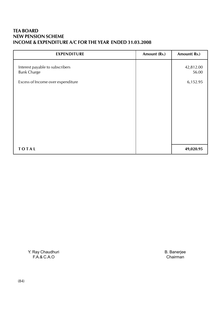#### **TEA BOARD NEW PENSION SCHEME INCOME & EXPENDITURE A/C FOR THE YEAR ENDED 31.03.2008**

| <b>EXPENDITURE</b>                                    | Amount (Rs.) | Amount(Rs.)        |
|-------------------------------------------------------|--------------|--------------------|
| Interest payable to subscribers<br><b>Bank Charge</b> |              | 42,812.00<br>56.00 |
| Excess of Income over expenditure                     |              | 6,152.95           |
|                                                       |              |                    |
|                                                       |              |                    |
|                                                       |              |                    |
|                                                       |              |                    |
|                                                       |              |                    |
|                                                       |              |                    |
| TOTAL                                                 |              | 49,020.95          |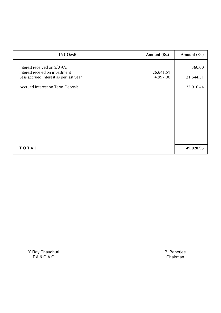| <b>INCOME</b>                                                            | Amount (Rs.)          | Amount (Rs.) |
|--------------------------------------------------------------------------|-----------------------|--------------|
| Interest received on S/B A/c                                             |                       | 360.00       |
| Interest receied on investment<br>Less accrued interest as per last year | 26,641.51<br>4,997.00 | 21,644.51    |
| Accrued Interest on Term Deposit                                         |                       | 27,016.44    |
|                                                                          |                       |              |
|                                                                          |                       |              |
|                                                                          |                       |              |
|                                                                          |                       |              |
|                                                                          |                       |              |
|                                                                          |                       |              |
| TOTAL                                                                    |                       | 49,020.95    |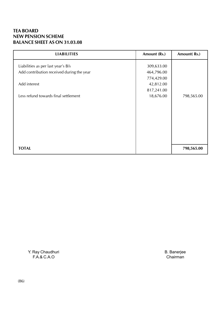#### **TEA BOARD NEW PENSION SCHEME BALANCE SHEET AS ON 31.03.08**

| <b>LIABILITIES</b>                        | Amount (Rs.) | Amount(Rs.) |
|-------------------------------------------|--------------|-------------|
| Liabilities as per last year's B/s        | 309,633.00   |             |
| Add contribution received during the year | 464,796.00   |             |
|                                           | 774,429.00   |             |
| Add interest                              | 42,812.00    |             |
|                                           | 817,241.00   |             |
| Less refund towards final settlement      | 18,676.00    | 798,565.00  |
|                                           |              |             |
|                                           |              |             |
|                                           |              |             |
|                                           |              |             |
|                                           |              |             |
|                                           |              |             |
|                                           |              |             |
| <b>TOTAL</b>                              |              | 798,565.00  |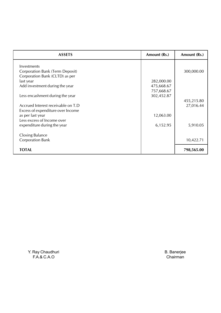| <b>ASSETS</b>                          | Amount (Rs.) | Amount (Rs.) |
|----------------------------------------|--------------|--------------|
| Investments                            |              |              |
| <b>Corporation Bank (Term Deposit)</b> |              | 300,000.00   |
| Corporation Bank (CLTD) as per         |              |              |
| last year                              | 282,000.00   |              |
| Add investment during the year         | 475,668.67   |              |
|                                        | 757,668.67   |              |
| Less encashment during the year        | 302,452.87   |              |
|                                        |              | 455,215.80   |
| Accrued Interest receivable on T.D     |              | 27,016.44    |
| Excess of expenditure over Income      |              |              |
| as per last year                       | 12,063.00    |              |
| Less excess of Income over             |              |              |
| expenditure during the year            | 6,152.95     | 5,910.05     |
|                                        |              |              |
| Closing Balance                        |              |              |
| Corporation Bank                       |              | 10,422.71    |
| <b>TOTAL</b>                           |              | 798,565.00   |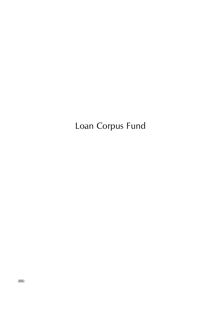Loan Corpus Fund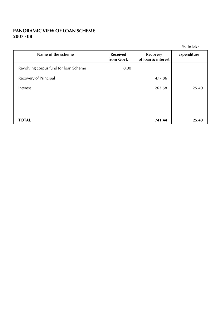## **PANORAMIC VIEW OF LOAN SCHEME 2007 - 08**

| Name of the scheme                    | <b>Received</b><br>from Govt. | <b>Recovery</b><br>of loan & interest | $133.1111$ $19.11$<br>Expenditure |
|---------------------------------------|-------------------------------|---------------------------------------|-----------------------------------|
| Revolving corpus fund for loan Scheme | 0.00                          |                                       |                                   |
| Recovery of Principal                 |                               | 477.86                                |                                   |
| Interest                              |                               | 263.58                                | 25.40                             |
|                                       |                               |                                       |                                   |
|                                       |                               |                                       |                                   |
| <b>TOTAL</b>                          |                               | 741.44                                | 25.40                             |

Rs. in lakh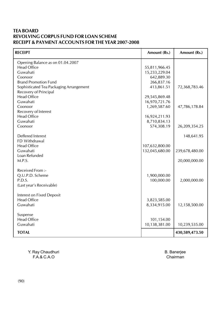#### **TEA BOARD REVOLVING CORPUS FUND FOR LOAN SCHEME RECEIPT & PAYMENT ACCOUNTS FOR THE YEAR 2007-2008**

| <b>RECEIPT</b>                                                            | Amount (Rs.)               | Amount (Rs.)   |
|---------------------------------------------------------------------------|----------------------------|----------------|
| Opening Balance as on 01.04.2007                                          |                            |                |
| <b>Head Office</b>                                                        | 55,811,966.45              |                |
| Guwahati                                                                  | 15,233,229.04              |                |
| Coonoor                                                                   | 642,889.30                 |                |
| <b>Brand Promotion Fund</b>                                               | 266,837.16                 |                |
| Sophisticated Tea Packaging Arrangement                                   | 413,861.51                 | 72,368,783.46  |
| <b>Recovery of Principal</b>                                              |                            |                |
| <b>Head Office</b>                                                        | 29,545,869.48              |                |
| Guwahati                                                                  | 16,970,721.76              |                |
| Coonoor                                                                   | 1,269,587.60               | 47,786,178.84  |
| Recovery of Interest                                                      |                            |                |
| <b>Head Office</b>                                                        | 16,924,211.93              |                |
| Guwahati                                                                  | 8,710,834.13               |                |
| Coonoor                                                                   | 574,308.19                 | 26,209,354.25  |
| <b>Deffered Interest</b><br>FD Withdrawal                                 |                            | 148,641.95     |
| <b>Head Office</b>                                                        | 107,632,800.00             |                |
| Guwahati                                                                  | 132,045,680.00             | 239,678,480.00 |
| Loan Refunded                                                             |                            |                |
| M.P.S.                                                                    |                            | 20,000,000.00  |
| Received From :-<br>Q.U.P.D. Scheme<br>P.D.S.<br>(Last year's Receivable) | 1,900,000.00<br>100,000.00 | 2,000,000.00   |
| <b>Interest on Fixed Deposit</b>                                          |                            |                |
| <b>Head Office</b>                                                        | 3,823,585.00               |                |
| Guwahati                                                                  | 8,334,915.00               | 12,158,500.00  |
|                                                                           |                            |                |
| Suspense                                                                  |                            |                |
| <b>Head Office</b>                                                        | 101,154.00                 |                |
| Guwahati                                                                  | 10,138,381.00              | 10,239,535.00  |
| <b>TOTAL</b>                                                              |                            | 430,589,473.50 |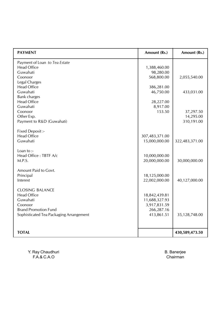| <b>PAYMENT</b>                          | Amount (Rs.)   | Amount (Rs.)   |
|-----------------------------------------|----------------|----------------|
| Payment of Loan to Tea Estate           |                |                |
| <b>Head Office</b>                      | 1,388,460.00   |                |
| Guwahati                                | 98,280.00      |                |
| Coonoor                                 | 568,800.00     | 2,055,540.00   |
| Legal Charges                           |                |                |
| <b>Head Office</b>                      | 386,281.00     |                |
| Guwahati                                | 46,750.00      | 433,031.00     |
| <b>Bank charges</b>                     |                |                |
| <b>Head Office</b>                      | 28,227.00      |                |
| Guwahati                                | 8,917.00       |                |
| Coonoor                                 | 153.50         | 37,297.50      |
| Other Exp.                              |                | 14,295.00      |
| Payment to R&D (Guwahati)               |                | 310,191.00     |
| Fixed Deposit :-                        |                |                |
| <b>Head Office</b>                      | 307,483,371.00 |                |
| Guwahati                                | 15,000,000.00  | 322,483,371.00 |
| Loan to $\cdot$ -                       |                |                |
| Head Office: TBTF A/c                   | 10,000,000.00  |                |
| M.P.S.                                  | 20,000,000.00  | 30,000,000.00  |
| Amount Paid to Govt.                    |                |                |
| Principal                               | 18,125,000.00  |                |
| Interest                                | 22,002,000.00  | 40,127,000.00  |
| <b>CLOSING BALANCE</b>                  |                |                |
| <b>Head Office</b>                      | 18,842,439.81  |                |
| Guwahati                                | 11,688,327.93  |                |
| Coonoor                                 | 3,917,831.59   |                |
| <b>Brand Promotion Fund</b>             | 266,287.16     |                |
| Sophisticated Tea Packaging Arrangement | 413,861.51     | 35,128,748.00  |
|                                         |                |                |
| <b>TOTAL</b>                            |                | 430,589,473.50 |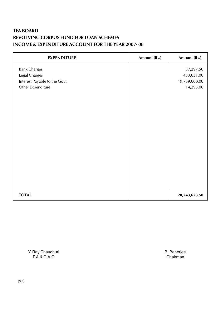# **TEA BOARD REVOLVING CORPUS FUND FOR LOAN SCHEMES INCOME & EXPENDITURE ACCOUNT FOR THE YEAR 2007- 08**

| <b>EXPENDITURE</b>                                                                         | Amount (Rs.) | Amount (Rs.)                                          |
|--------------------------------------------------------------------------------------------|--------------|-------------------------------------------------------|
| <b>Bank Charges</b><br>Legal Charges<br>Interest Payable to the Govt.<br>Other Expenditure |              | 37,297.50<br>433,031.00<br>19,759,000.00<br>14,295.00 |
|                                                                                            |              |                                                       |
| <b>TOTAL</b>                                                                               |              | 20,243,623.50                                         |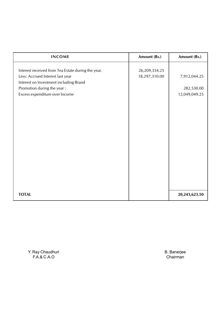| <b>INCOME</b>                                                                                                                                                                                    | Amount (Rs.)                   | Amount (Rs.)                                |
|--------------------------------------------------------------------------------------------------------------------------------------------------------------------------------------------------|--------------------------------|---------------------------------------------|
| Interest received from Tea Estate during the year.<br>Less: Accrued Interest last year<br>Interest on Investment including Brand<br>Promotion during the year:<br>Excess expenditure over Income | 26,209,354.25<br>18,297,310.00 | 7,912,044.25<br>282,530.00<br>12,049,049.25 |
| <b>TOTAL</b>                                                                                                                                                                                     |                                | 20,243,623.50                               |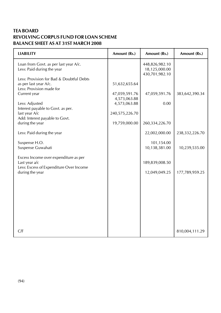# **TEA BOARD REVOLVING CORPUS FUND FOR LOAN SCHEME BALANCE SHEET AS AT 31ST MARCH 2008**

| <b>LIABILITY</b>                                                                                  | Amount (Rs.)                  | Amount (Rs.)                                      | Amount (Rs.)      |
|---------------------------------------------------------------------------------------------------|-------------------------------|---------------------------------------------------|-------------------|
| Loan from Govt. as per last year A/c.<br>Less: Paid during the year                               |                               | 448,826,982.10<br>18,125,000.00<br>430,701,982.10 |                   |
| Less: Provision for Bad & Doubtful Debts<br>as per last year A/c.<br>Less: Provision made for     | 51,632,655.64                 |                                                   |                   |
| Current year                                                                                      | 47,059,591.76<br>4,573,063.88 | 47,059,591.76                                     | 383,642,390.34    |
| Less: Adjusted<br>Interest payable to Govt. as per.                                               | 4,573,063.88                  | 0.00                                              |                   |
| last year A/c<br>Add: Interest payable to Govt.                                                   | 240,575,226.70                |                                                   |                   |
| during the year                                                                                   | 19,759,000.00                 | 260, 334, 226. 70                                 |                   |
| Less: Paid during the year                                                                        |                               | 22,002,000.00                                     | 238, 332, 226. 70 |
| Suspense H.O.<br>Suspense Guwahati                                                                |                               | 101,154.00<br>10,138,381.00                       | 10,239,535.00     |
| Excess Income over expenditure as per<br>Last year a/c<br>Less: Excess of Expenditure Over Income |                               | 189,839,008.50                                    |                   |
| during the year                                                                                   |                               | 12,049,049.25                                     | 177,789,959.25    |
|                                                                                                   |                               |                                                   |                   |
|                                                                                                   |                               |                                                   |                   |
|                                                                                                   |                               |                                                   |                   |
|                                                                                                   |                               |                                                   |                   |
| C/F                                                                                               |                               |                                                   | 810,004,111.29    |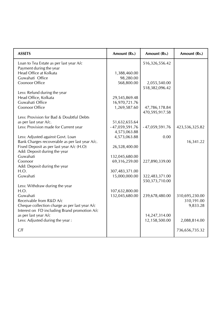| <b>ASSETS</b>                                  | Amount (Rs.)     | Amount (Rs.)     | Amount (Rs.)   |
|------------------------------------------------|------------------|------------------|----------------|
| Loan to Tea Estate as per last year A/c        |                  | 516,326,556.42   |                |
| Payment during the year                        |                  |                  |                |
| Head Office at Kolkata                         | 1,388,460.00     |                  |                |
| Guwahati Office                                | 98,280.00        |                  |                |
| Coonoor Office                                 | 568,800.00       | 2,055,540.00     |                |
|                                                |                  | 518,382,096.42   |                |
| Less: Refund during the year                   |                  |                  |                |
| Head Office, Kolkata                           | 29,545,869.48    |                  |                |
| Guwahati Office                                | 16,970,721.76    |                  |                |
| Coonoor Office                                 | 1,269,587.60     | 47,786,178.84    |                |
|                                                |                  | 470,595,917.58   |                |
| Less: Provision for Bad & Doubtful Debts       |                  |                  |                |
| as per last year A/c.                          | 51,632,655.64    |                  |                |
| Less: Provision made for Current year          | $-47,059,591.76$ | $-47,059,591.76$ | 423,536,325.82 |
|                                                | 4,573,063.88     |                  |                |
| Less: Adjusted against Govt. Loan              | 4,573,063.88     | 0.00             |                |
| Bank Charges recoverable as per last year A/c. |                  |                  | 16,341.22      |
| Fixed Deposit as per last year A/c (H.O)       | 26,528,400.00    |                  |                |
| Add: Deposit during the year                   |                  |                  |                |
| Guwahati                                       | 132,045,680.00   |                  |                |
| Coonoor                                        | 69,316,259.00    | 227,890,339.00   |                |
| Add: Deposit during the year                   |                  |                  |                |
| H.O.                                           | 307,483,371.00   |                  |                |
| Guwahati                                       | 15,000,000.00    | 322,483,371.00   |                |
|                                                |                  | 550,373,710.00   |                |
| Less: Withdraw during the year                 |                  |                  |                |
| H.O.                                           | 107,632,800.00   |                  |                |
| Guwahati                                       | 132,045,680.00   | 239,678,480.00   | 310,695,230.00 |
| Receivable from R&D A/c                        |                  |                  | 310,191.00     |
| Cheque collection charge as per last year A/c  |                  |                  | 9,833.28       |
| Interest on FD including Brand promotion A/c   |                  |                  |                |
| as per last year A/c                           |                  | 14,247,314.00    |                |
| Less: Adjusted during the year :               |                  | 12,158,500.00    | 2,088,814.00   |
| C/F                                            |                  |                  | 736,656,735.32 |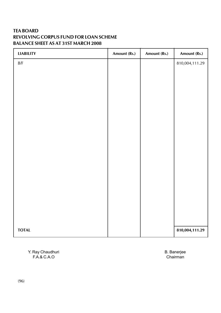# **TEA BOARD REVOLVING CORPUS FUND FOR LOAN SCHEME BALANCE SHEET AS AT 31ST MARCH 2008**

| <b>LIABILITY</b>        | Amount (Rs.) | Amount (Rs.) | Amount (Rs.)   |
|-------------------------|--------------|--------------|----------------|
| $\mathsf{B}/\mathsf{F}$ |              |              | 810,004,111.29 |
|                         |              |              |                |
|                         |              |              |                |
|                         |              |              |                |
|                         |              |              |                |
|                         |              |              |                |
|                         |              |              |                |
|                         |              |              |                |
|                         |              |              |                |
|                         |              |              |                |
|                         |              |              |                |
|                         |              |              |                |
|                         |              |              |                |
|                         |              |              |                |
|                         |              |              |                |
|                         |              |              |                |
| <b>TOTAL</b>            |              |              | 810,004,111.29 |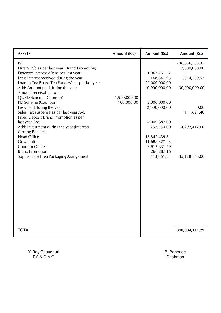| <b>ASSETS</b>                                                                                                  | Amount (Rs.)               | Amount (Rs.)                  | Amount (Rs.)                   |
|----------------------------------------------------------------------------------------------------------------|----------------------------|-------------------------------|--------------------------------|
| B/F<br>Hirer's A/c as per last year (Brand Promotion)<br>Deferred Interest A/c as per last year                |                            | 1,963,231.52                  | 736,656,735.32<br>2,000,000.00 |
| Less: Interest received during the year<br>Loan to Tea Board Tea Fund A/c as per last year                     |                            | 148,641.95<br>20,000,000.00   | 1,814,589.57                   |
| Add: Amount paid during the year<br>Amount receivable from:                                                    |                            | 10,000,000.00                 | 30,000,000.00                  |
| QUPD Scheme (Coonoor)<br>PD Scheme (Coonoor)                                                                   | 1,900,000.00<br>100,000.00 | 2,000,000.00                  |                                |
| Less: Paid during the year<br>Sales Tax suspense as per last year A/c.<br>Fixed Deposit Brand Promotion as per |                            | 2,000,000.00                  | 0.00<br>111,621.40             |
| last year A/c.<br>Add: Investment during the year (interest).                                                  |                            | 4,009,887.00<br>282,530.00    | 4,292,417.00                   |
| Closing Balance:<br><b>Head Office</b>                                                                         |                            | 18,842,439.81                 |                                |
| Guwahati<br>Coonoor Office                                                                                     |                            | 11,688,327.93<br>3,917,831.59 |                                |
| <b>Brand Promotion</b><br>Sophisticated Tea Packaging Arangement                                               |                            | 266,287.16<br>413,861.51      | 35,128,748.00                  |
|                                                                                                                |                            |                               |                                |
|                                                                                                                |                            |                               |                                |
|                                                                                                                |                            |                               |                                |
|                                                                                                                |                            |                               |                                |
|                                                                                                                |                            |                               |                                |
|                                                                                                                |                            |                               |                                |
| <b>TOTAL</b>                                                                                                   |                            |                               | 810,004,111.29                 |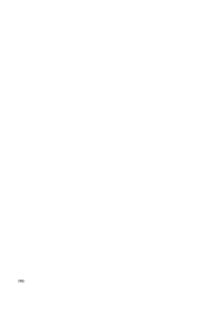(98)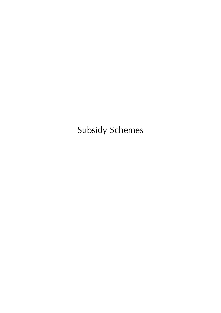Subsidy Schemes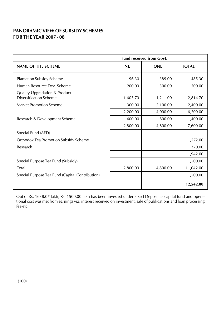## **PANORAMIC VIEW OF SUBSIDY SCHEMES FOR THE YEAR 2007 - 08**

|                                                                |           | <b>Fund received from Govt.</b> |              |
|----------------------------------------------------------------|-----------|---------------------------------|--------------|
| <b>NAME OF THE SCHEME</b>                                      | <b>NE</b> | <b>ONE</b>                      | <b>TOTAL</b> |
| <b>Plantation Subsidy Scheme</b>                               | 96.30     | 389.00                          | 485.30       |
| Human Resource Dev. Scheme                                     | 200.00    | 300.00                          | 500.00       |
| Quality Upgradation & Product<br><b>Diversification Scheme</b> | 1,603.70  | 1,211.00                        | 2,814.70     |
| <b>Market Promotion Scheme</b>                                 | 300.00    | 2,100.00                        | 2,400.00     |
|                                                                | 2,200.00  | 4,000.00                        | 6,200.00     |
| Research & Development Scheme                                  | 600.00    | 800.00                          | 1,400.00     |
|                                                                | 2,800.00  | 4,800.00                        | 7,600.00     |
| Special Fund (AED)                                             |           |                                 |              |
| <b>Orthodox Tea Promotion Subsidy Scheme</b>                   |           |                                 | 1,572.00     |
| Research                                                       |           |                                 | 370.00       |
|                                                                |           |                                 | 1,942.00     |
| Special Purpose Tea Fund (Subsidy)                             |           |                                 | 1,500.00     |
| Total                                                          | 2,800.00  | 4,800.00                        | 11,042.00    |
| Special Purpose Tea Fund (Capital Contribution)                |           |                                 | 1,500.00     |
|                                                                |           |                                 | 12,542.00    |

Out of Rs. 1638.07 lakh, Rs. 1500.00 lakh has been invested under Fixed Deposit as capital fund and operational cost was met from earnings viz. interest received on investment, sale of publications and loan processing fee etc.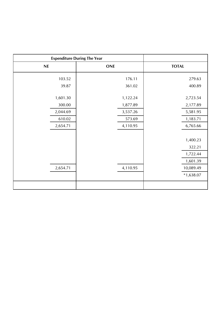|                    | <b>Expenditure During The Year</b> |                      |
|--------------------|------------------------------------|----------------------|
| NE                 | ONE                                | <b>TOTAL</b>         |
| 103.52             | 176.11                             | 279.63               |
| 39.87              | 361.02                             | 400.89               |
| 1,601.30<br>300.00 | 1,122.24<br>1,877.89               | 2,723.54<br>2,177.89 |
| 2,044.69           | 3,537.26                           | 5,581.95             |
| 610.02             | 573.69                             | 1,183.71             |
| 2,654.71           | 4,110.95                           | 6,765.66             |
|                    |                                    |                      |
|                    |                                    | 1,400.23             |
|                    |                                    | 322.21               |
|                    |                                    | 1,722.44             |
|                    |                                    | 1,601.39             |
| 2,654.71           | 4,110.95                           | 10,089.49            |
|                    |                                    | $*1,638.07$          |
|                    |                                    |                      |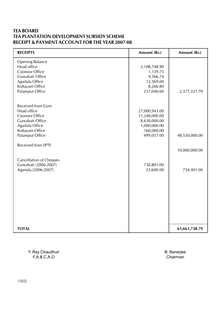#### **TEA BOARD TEA PLANTATION DEVELOPMENT SUBSIDY SCHEME RECEIPT & PAYMENT ACCOUNT FOR THE YEAR 2007-08**

| <b>RECEIPTS</b>                                                                                                                            | Amount (Rs.)                                                                               | Amount (Rs.)  |
|--------------------------------------------------------------------------------------------------------------------------------------------|--------------------------------------------------------------------------------------------|---------------|
| <b>Opening Balance</b><br>Head office<br><b>Coonoor Office</b><br>Guwahati Office<br>Agartala Office<br>Kottayam Office<br>Palampur Office | 2,108,748.90<br>1,139.75<br>9,566.74<br>12,569.00<br>8,266.80<br>237,046.60                | 2,377,337.79  |
| <b>Received from Govt</b><br>Head office<br>Coonoor Office<br>Guwahati Office<br>Agartala Office<br>Kottayam Office<br>Palampur Office     | 27,000,943.00<br>11,240,000.00<br>8,630,000.00<br>1,000,000.00<br>160,000.00<br>499,057.00 | 48,530,000.00 |
| <b>Received from SPTF</b>                                                                                                                  |                                                                                            | 10,000,000.00 |
| <b>Cancellation of Cheques</b><br>Guwahati (2006-2007)<br>Agartala (2006-2007)                                                             | 730,801.00<br>23,600.00                                                                    | 754,401.00    |
| <b>TOTAL</b>                                                                                                                               |                                                                                            | 61,661,738.79 |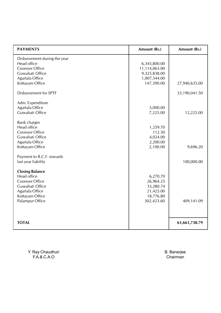| <b>PAYMENTS</b>              | Amount (Rs.)  | Amount (Rs.)  |
|------------------------------|---------------|---------------|
| Disbursement during the year |               |               |
| Head office                  | 6,345,800.00  |               |
| <b>Coonoor Office</b>        | 11,114,063.00 |               |
| Guwahati Office              | 9,325,838.00  |               |
| Agartala Office              | 1,007,544.00  |               |
| Kottayam Office              | 147,390.00    | 27,940,635.00 |
| <b>Disbursement for SPTF</b> |               | 33,190,041.50 |
| Adm. Expenditure             |               |               |
| Agartala Office              | 5,000.00      |               |
| Guwahati Office              | 7,225.00      | 12,225.00     |
| <b>Bank charges</b>          |               |               |
| Head office                  | 1,259.70      |               |
| Coonoor Office               | 112.50        |               |
| Guwahati Office              | 4,024.00      |               |
| Agartala Office              | 2,200.00      |               |
| Kottayam Office              | 2,100.00      | 9,696.20      |
| Payment to R.C.F. towards    |               |               |
| last year liability          |               | 100,000.00    |
| <b>Closing Balance</b>       |               |               |
| Head office                  | 6,270.70      |               |
| Coonoor Office               | 26,964.25     |               |
| Guwahati Office              | 33,280.74     |               |
| Agartala Office              | 21,425.00     |               |
| Kottayam Office              | 18,776.80     |               |
| Palampur Office              | 302,423.60    | 409,141.09    |
|                              |               |               |
| <b>TOTAL</b>                 |               |               |
|                              |               | 61,661,738.79 |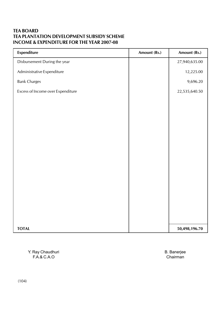#### **TEA BOARD TEA PLANTATION DEVELOPMENT SUBSIDY SCHEME INCOME & EXPENDITURE FOR THE YEAR 2007-08**

| Expenditure                       | Amount (Rs.) | Amount (Rs.)  |
|-----------------------------------|--------------|---------------|
| Disbursement During the year      |              | 27,940,635.00 |
| Administrative Expenditure        |              | 12,225.00     |
| <b>Bank Charges</b>               |              | 9,696.20      |
| Excess of Income over Expenditure |              | 22,535,640.50 |
|                                   |              |               |
|                                   |              |               |
|                                   |              |               |
|                                   |              |               |
|                                   |              |               |
|                                   |              |               |
|                                   |              |               |
|                                   |              |               |
|                                   |              |               |
|                                   |              |               |
|                                   |              |               |
|                                   |              |               |
|                                   |              |               |
|                                   |              |               |
| <b>TOTAL</b>                      |              | 50,498,196.70 |

Y. Ray Chaudhuri B. Banerjee F.A.& C.A.O Chairman

(104)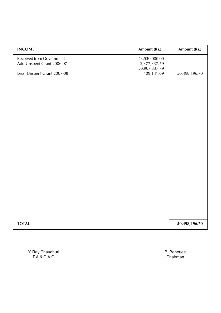| <b>INCOME</b>                                                 | Amount (Rs.)                                   | Amount (Rs.)  |
|---------------------------------------------------------------|------------------------------------------------|---------------|
| <b>Received from Government</b><br>Add: Unspent Grant 2006-07 | 48,530,000.00<br>2,377,337.79<br>50,907,337.79 |               |
| Less: Unspent Grant 2007-08                                   | 409,141.09                                     | 50,498,196.70 |
|                                                               |                                                |               |
|                                                               |                                                |               |
|                                                               |                                                |               |
|                                                               |                                                |               |
|                                                               |                                                |               |
|                                                               |                                                |               |
|                                                               |                                                |               |
|                                                               |                                                |               |
|                                                               |                                                |               |
| <b>TOTAL</b>                                                  |                                                | 50,498,196.70 |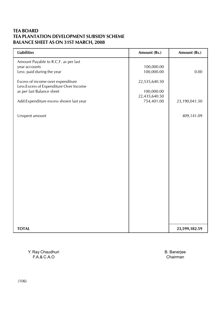#### **TEA BOARD TEA PLANTATION DEVELOPMENT SUBSIDY SCHEME BALANCE SHEET AS ON 31ST MARCH, 2008**

| <b>Liabilities</b>                                                                                                                                  | Amount (Rs.)                                               | Amount (Rs.)  |
|-----------------------------------------------------------------------------------------------------------------------------------------------------|------------------------------------------------------------|---------------|
| Amount Payable to R.C.F. as per last<br>year accounts<br>Less: paid during the year                                                                 | 100,000.00<br>100,000.00                                   | 0.00          |
| Excess of income over expenditure<br>Less: Excess of Expenditure Over Income<br>as per last Balance sheet<br>Add:Expenditure excess shown last year | 22,535,640.50<br>100,000.00<br>22,435,640.50<br>754,401.00 | 23,190,041.50 |
| Unspent amount                                                                                                                                      |                                                            | 409,141.09    |
|                                                                                                                                                     |                                                            |               |
|                                                                                                                                                     |                                                            |               |
|                                                                                                                                                     |                                                            |               |
|                                                                                                                                                     |                                                            |               |
|                                                                                                                                                     |                                                            |               |
|                                                                                                                                                     |                                                            |               |
|                                                                                                                                                     |                                                            |               |
| <b>TOTAL</b>                                                                                                                                        |                                                            | 23,599,182.59 |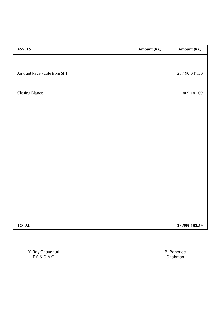| <b>ASSETS</b>               | Amount (Rs.) | Amount (Rs.)  |
|-----------------------------|--------------|---------------|
|                             |              |               |
| Amount Receivable from SPTF |              | 23,190,041.50 |
| <b>Closing Blance</b>       |              | 409,141.09    |
|                             |              |               |
|                             |              |               |
|                             |              |               |
|                             |              |               |
|                             |              |               |
|                             |              |               |
|                             |              |               |
|                             |              |               |
|                             |              |               |
| <b>TOTAL</b>                |              | 23,599,182.59 |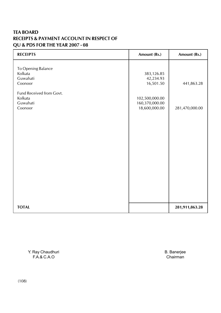# **TEA BOARD RECEIPTS & PAYMENT ACCOUNT IN RESPECT OF QU & PDS FOR THE YEAR 2007 - 08**

| <b>RECEIPTS</b>                                                                                                    | Amount (Rs.)                                                                              | Amount (Rs.)                 |
|--------------------------------------------------------------------------------------------------------------------|-------------------------------------------------------------------------------------------|------------------------------|
| To Opening Balance<br>Kolkata<br>Guwahati<br>Coonoor<br>Fund Received from Govt.<br>Kolkata<br>Guwahati<br>Coonoor | 383,126.85<br>42,234.93<br>16,501.50<br>102,500,000.00<br>160,370,000.00<br>18,600,000.00 | 441,863.28<br>281,470,000.00 |
| <b>TOTAL</b>                                                                                                       |                                                                                           | 281,911,863.28               |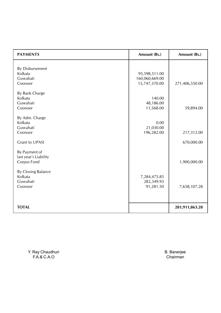| <b>PAYMENTS</b>                                       | Amount (Rs.)                            | Amount (Rs.)   |
|-------------------------------------------------------|-----------------------------------------|----------------|
| By Disbursement<br>Kolkata<br>Guwahati                | 95,598,511.00                           |                |
| Coonoor                                               | 160,060,669.00<br>15,747,370.00         | 271,406,550.00 |
| By Bank Charge<br>Kolkata<br>Guwahati<br>Coonoor      | 140.00<br>48,186.00<br>11,568.00        | 59,894.00      |
| By Adm. Charge<br>Kolkata<br>Guwahati<br>Coonoor      | 0.00<br>21,030.00<br>196,282.00         | 217,312.00     |
| <b>Grant to UPASI</b>                                 |                                         | 670,000.00     |
| By Payment of<br>last year's Liability<br>Corpus Fund |                                         | 1,900,000.00   |
| By Closing Balance<br>Kolkata<br>Guwahati<br>Coonoor  | 7,284,475.85<br>282,349.93<br>91,281.50 | 7,658,107.28   |
| <b>TOTAL</b>                                          |                                         | 281,911,863.28 |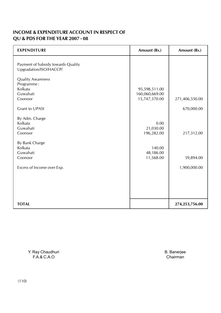### **INCOME & EXPENDITURE ACCOUNT IN RESPECT OF QU & PDS FOR THE YEAR 2007 - 08**

| <b>EXPENDITURE</b>                                                       | Amount (Rs.)                                     | Amount (Rs.)   |
|--------------------------------------------------------------------------|--------------------------------------------------|----------------|
| Payment of Subsidy towards Quality<br>Upgradation/ISO/HACCP/             |                                                  |                |
| <b>Quality Awareness</b><br>Programme:<br>Kolkata<br>Guwahati<br>Coonoor | 95,598,511.00<br>160,060,669.00<br>15,747,370.00 | 271,406,550.00 |
| <b>Grant to UPASI</b>                                                    |                                                  | 670,000.00     |
| By Adm. Charge<br>Kolkata<br>Guwahati<br>Coonoor                         | 0.00<br>21,030.00<br>196,282.00                  | 217,312.00     |
| By Bank Charge<br>Kolkata<br>Guwahati<br>Coonoor                         | 140.00<br>48,186.00<br>11,568.00                 | 59,894.00      |
| Excess of Income over Exp.                                               |                                                  | 1,900,000.00   |
|                                                                          |                                                  |                |
| <b>TOTAL</b>                                                             |                                                  | 274,253,756.00 |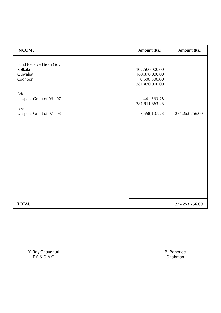| <b>INCOME</b>                                                                                  | Amount (Rs.)                                                                                        | Amount (Rs.)     |
|------------------------------------------------------------------------------------------------|-----------------------------------------------------------------------------------------------------|------------------|
| Fund Received from Govt.<br>Kolkata<br>Guwahati<br>Coonoor<br>Add:<br>Unspent Grant of 06 - 07 | 102,500,000.00<br>160,370,000.00<br>18,600,000.00<br>281,470,000.00<br>441,863.28<br>281,911,863.28 |                  |
| Less :<br>Unspent Grant of 07 - 08                                                             | 7,658,107.28                                                                                        | 274,253,756.00   |
| <b>TOTAL</b>                                                                                   |                                                                                                     | 274, 253, 756.00 |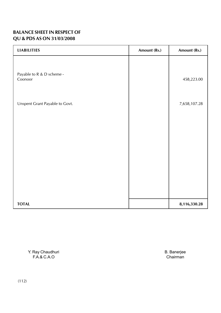### **BALANCE SHEET IN RESPECT OF QU & PDS AS ON 31/03/2008**

| <b>LIABILITIES</b>                   | Amount (Rs.) | Amount (Rs.) |
|--------------------------------------|--------------|--------------|
| Payable to R & D scheme -<br>Coonoor |              | 458,223.00   |
| Unspent Grant Payable to Govt.       |              | 7,658,107.28 |
|                                      |              |              |
|                                      |              |              |
|                                      |              |              |
|                                      |              |              |
|                                      |              |              |
|                                      |              |              |
| <b>TOTAL</b>                         |              | 8,116,330.28 |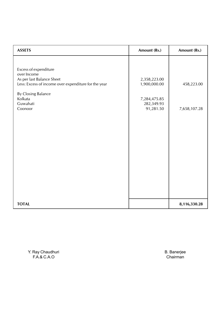| <b>ASSETS</b>                                                                                                                                                                     | Amount (Rs.)                                                            | Amount (Rs.)               |
|-----------------------------------------------------------------------------------------------------------------------------------------------------------------------------------|-------------------------------------------------------------------------|----------------------------|
| Excess of expenditure<br>over Income<br>As per last Balance Sheet<br>Less: Excess of income over expenditure for the year<br>By Closing Balance<br>Kolkata<br>Guwahati<br>Coonoor | 2,358,223.00<br>1,900,000.00<br>7,284,475.85<br>282,349.93<br>91,281.50 | 458,223.00<br>7,658,107.28 |
| <b>TOTAL</b>                                                                                                                                                                      |                                                                         | 8,116,330.28               |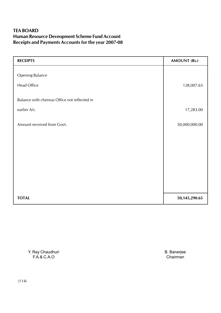#### **TEA BOARD Human Resource Deveopment Scheme Fund Account Receipts and Payments Accounts for the year 2007-08**

| <b>RECEIPTS</b>                              | AMOUNT (Rs.)        |
|----------------------------------------------|---------------------|
|                                              |                     |
| <b>Opening Balance</b>                       |                     |
| <b>Head Office</b>                           | 128,007.65          |
| Balance with chennai Office not reflected in |                     |
| earlier A/c.                                 | 17,283.00           |
| Amount received from Govt.                   | $50,\!000,\!000.00$ |
|                                              |                     |
|                                              |                     |
|                                              |                     |
|                                              |                     |
|                                              |                     |
|                                              |                     |
| <b>TOTAL</b>                                 | 50, 145, 290. 65    |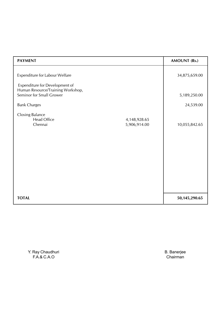| <b>PAYMENT</b>                                                                                  |                              | AMOUNT (Rs.)     |
|-------------------------------------------------------------------------------------------------|------------------------------|------------------|
| Expenditure for Labour Welfare                                                                  |                              | 34,875,659.00    |
| Expenditure for Development of<br>Human Resource/Training Workshop,<br>Seminor for Small Grower |                              | 5,189,250.00     |
| <b>Bank Charges</b>                                                                             |                              | 24,539.00        |
| <b>Closing Balance</b><br><b>Head Office</b><br>Chennai                                         | 4,148,928.65<br>5,906,914.00 | 10,055,842.65    |
| <b>TOTAL</b>                                                                                    |                              | 50, 145, 290. 65 |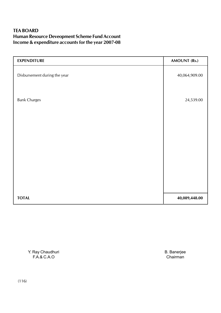#### **TEA BOARD Human Resource Deveopment Scheme Fund Account Income & expenditure accounts for the year 2007-08**

| <b>EXPENDITURE</b>           | AMOUNT (Rs.)  |
|------------------------------|---------------|
| Disbursement during the year | 40,064,909.00 |
| <b>Bank Charges</b>          | 24,539.00     |
|                              |               |
|                              |               |
|                              |               |
|                              |               |
| <b>TOTAL</b>                 | 40,089,448.00 |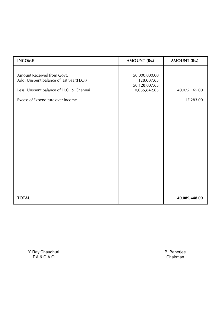| <b>INCOME</b>                           | AMOUNT (Rs.)  | AMOUNT (Rs.)  |
|-----------------------------------------|---------------|---------------|
|                                         |               |               |
| Amount Received from Govt.              | 50,000,000.00 |               |
| Add: Unspent balance of last year(H.O.) | 128,007.65    |               |
|                                         | 50,128,007.65 |               |
| Less: Unspent balance of H.O. & Chennai | 10,055,842.65 | 40,072,165.00 |
| Excess of Expenditure over income       |               | 17,283.00     |
|                                         |               |               |
|                                         |               |               |
|                                         |               |               |
|                                         |               |               |
|                                         |               |               |
|                                         |               |               |
|                                         |               |               |
|                                         |               |               |
|                                         |               |               |
|                                         |               |               |
|                                         |               |               |
|                                         |               |               |
|                                         |               |               |
|                                         |               |               |
| <b>TOTAL</b>                            |               | 40,089,448.00 |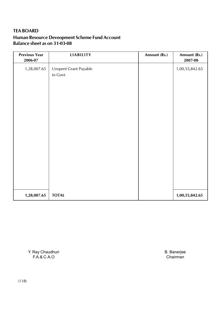#### **TEA BOARD**

### **Human Resource Deveopment Scheme Fund Account Balance sheet as on 31-03-08**

| <b>Previous Year</b><br>2006-07 | <b>LIABILITY</b>                  | Amount (Rs.) | Amount (Rs.)<br>2007-08 |
|---------------------------------|-----------------------------------|--------------|-------------------------|
| 1,28,007.65                     | Unspent Grant Payable<br>to Govt. |              | 1,00,55,842.65          |
| 1,28,007.65                     | <b>TOTAL</b>                      |              | 1,00,55,842.65          |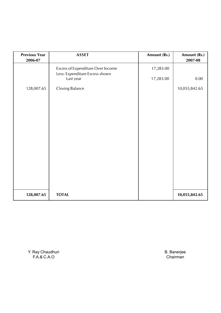| <b>Previous Year</b> | <b>ASSET</b>                                | Amount (Rs.) | Amount (Rs.)  |
|----------------------|---------------------------------------------|--------------|---------------|
| 2006-07              | Excess of Expenditure Over Income           | 17,283.00    | 2007-08       |
|                      | Less: Expenditure Excess shown<br>Last year | 17,283.00    | $0.00\,$      |
| 128,007.65           | <b>Closing Balance</b>                      |              | 10,055,842.65 |
|                      |                                             |              |               |
|                      |                                             |              |               |
|                      |                                             |              |               |
|                      |                                             |              |               |
|                      |                                             |              |               |
|                      |                                             |              |               |
|                      |                                             |              |               |
|                      |                                             |              |               |
| 128,007.65           | <b>TOTAL</b>                                |              | 10,055,842.65 |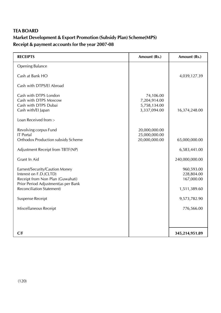## **TEA BOARD Market Development & Export Promotion (Subsidy Plan) Scheme(MPS) Receipt & payment accounts for the year 2007-08**

| <b>RECEIPTS</b>                                                                                                                                                         | Amount (Rs.)                                              | Amount (Rs.)                                           |
|-------------------------------------------------------------------------------------------------------------------------------------------------------------------------|-----------------------------------------------------------|--------------------------------------------------------|
| <b>Opening Balance</b>                                                                                                                                                  |                                                           |                                                        |
| Cash at Bank HO                                                                                                                                                         |                                                           | 4,039,127.39                                           |
| Cash with DTPS/El Abroad                                                                                                                                                |                                                           |                                                        |
| Cash with DTPS London<br>Cash with DTPS Moscow<br>Cash with DTPS Dubai<br>Cash with/El Japan                                                                            | 74,106.00<br>7,204,914.00<br>5,758,134.00<br>3,337,094.00 | 16,374,248.00                                          |
| Loan Received from :-                                                                                                                                                   |                                                           |                                                        |
| Revolving corpus Fund<br><b>IT Portal</b><br><b>Orthodox Production subsidy Scheme</b>                                                                                  | 20,000,000.00<br>25,000,000.00<br>20,000,000.00           | 65,000,000.00                                          |
| Adjustment Receipt from TBTF(NP)                                                                                                                                        |                                                           | 6,583,441.00                                           |
| Grant In Aid                                                                                                                                                            |                                                           | 240,000,000.00                                         |
| Earnest/Security/Caution Money<br>Interest on F.D.(CLTD)<br>Receipt from Non Plan (Guwahati)<br>Prior Period Adjustment(as per Bank<br><b>Reconciliation Statement)</b> |                                                           | 960,593.00<br>228,804.00<br>167,000.00<br>1,511,389.60 |
| <b>Suspense Receipt</b>                                                                                                                                                 |                                                           | 9,573,782.90                                           |
| Miscellaneous Receipt                                                                                                                                                   |                                                           | 776,566.00                                             |
|                                                                                                                                                                         |                                                           |                                                        |
| C/F                                                                                                                                                                     |                                                           | 345,214,951.89                                         |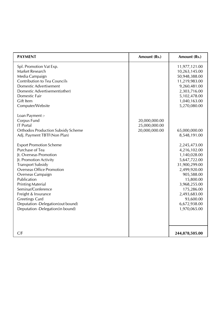| <b>PAYMENT</b>                                                                                                                                                                                                                                                                                                                                                                                                                                                                                                                                                                                                                                                                                                                                     | Amount (Rs.)                                    | Amount (Rs.)                                                                                                                                                                                                                                                                                                                                                                                             |
|----------------------------------------------------------------------------------------------------------------------------------------------------------------------------------------------------------------------------------------------------------------------------------------------------------------------------------------------------------------------------------------------------------------------------------------------------------------------------------------------------------------------------------------------------------------------------------------------------------------------------------------------------------------------------------------------------------------------------------------------------|-------------------------------------------------|----------------------------------------------------------------------------------------------------------------------------------------------------------------------------------------------------------------------------------------------------------------------------------------------------------------------------------------------------------------------------------------------------------|
| Spl. Promotion Vat Exp.<br>Market Research<br>Media Campaign<br><b>Contribution to Tea Councils</b><br><b>Domestic Advertisement</b><br>Domestic Advertisement(other)<br>Domestic Fair<br>Gift Item<br>Computer/Website<br>Loan Payment :-<br>Corpus Fund<br><b>IT Portal</b><br><b>Orthodox Production Subsidy Scheme</b><br>Adj. Payment TBTF(Non Plan)<br><b>Export Promotion Scheme</b><br>Purchase of Tea<br>It. Overseas Promotion<br>Jt. Promotion Activity<br><b>Transport Subsidy</b><br><b>Overseas Office Promotion</b><br>Overseas Campaign<br>Publication<br><b>Printing Material</b><br>Seminar/Conference<br>Freight & Insurance<br><b>Greetings Card</b><br>Deputation-Delegation(out bound)<br>Deputation - Delegation (in bound) | 20,000,000.00<br>25,000,000.00<br>20,000,000.00 | 11,977,121.00<br>10,263,145.00<br>50,948,388.00<br>11,219,983.00<br>9,260,481.00<br>2,303,716.00<br>5,102,478.00<br>1,040,163.00<br>5,270,080.00<br>65,000,000.00<br>8,548,191.00<br>2,245,473.00<br>4,216,102.00<br>1,140,028.00<br>5,647,722.00<br>31,900,299.00<br>2,499,920.00<br>905,588.00<br>15,800.00<br>3,968,255.00<br>175,286.00<br>2,493,683.00<br>93,600.00<br>6,672,938.00<br>1,970,065.00 |
| C/F                                                                                                                                                                                                                                                                                                                                                                                                                                                                                                                                                                                                                                                                                                                                                |                                                 | 244,878,505.00                                                                                                                                                                                                                                                                                                                                                                                           |
|                                                                                                                                                                                                                                                                                                                                                                                                                                                                                                                                                                                                                                                                                                                                                    |                                                 |                                                                                                                                                                                                                                                                                                                                                                                                          |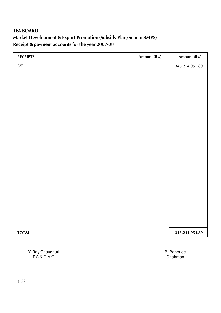### **TEA BOARD Market Development & Export Promotion (Subsidy Plan) Scheme(MPS) Receipt & payment accounts for the year 2007-08**

| <b>RECEIPTS</b>         | Amount (Rs.) | Amount (Rs.)   |
|-------------------------|--------------|----------------|
| $\mathsf{B}/\mathsf{F}$ |              | 345,214,951.89 |
|                         |              |                |
|                         |              |                |
|                         |              |                |
|                         |              |                |
|                         |              |                |
|                         |              |                |
|                         |              |                |
|                         |              |                |
|                         |              |                |
|                         |              |                |
|                         |              |                |
|                         |              |                |
|                         |              |                |
|                         |              |                |
|                         |              |                |
|                         |              |                |
|                         |              |                |
| <b>TOTAL</b>            |              | 345,214,951.89 |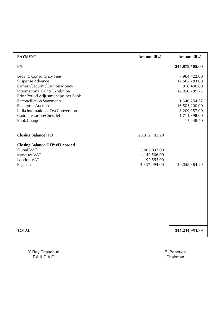| <b>PAYMENT</b>                                                                                                                                                                                                                                                                                                            | Amount (Rs.)                                               | Amount (Rs.)                                                                                                                               |
|---------------------------------------------------------------------------------------------------------------------------------------------------------------------------------------------------------------------------------------------------------------------------------------------------------------------------|------------------------------------------------------------|--------------------------------------------------------------------------------------------------------------------------------------------|
| B/F                                                                                                                                                                                                                                                                                                                       |                                                            | 244,878,505.00                                                                                                                             |
| Legal & Consultancy Fees<br>Suspense Advance<br><b>Earnest/Security/Caution Money</b><br>Intermational Fair & Exhibition<br>Prior Period Adjustment (as per Bank<br><b>Reconciliation Statement)</b><br><b>Electronic Auction</b><br>India International Tea Convention<br>Caddies/Carton/Chest let<br><b>Bank Charge</b> |                                                            | 7,964,422.00<br>12,562,783.00<br>910,400.00<br>12,050,799.73<br>1,346,254.37<br>16,505,200.00<br>8,209,357.00<br>1,711,398.00<br>17,448.50 |
| <b>Closing Balance HO</b>                                                                                                                                                                                                                                                                                                 | 28,372,192.29                                              |                                                                                                                                            |
| <b>Closing Balance DTP's/El abroad</b><br>Dubai VAT<br>Moscow VAT<br>London VAT<br>El Japan                                                                                                                                                                                                                               | 3,007,037.00<br>4,149,506.00<br>192,555.00<br>3,337,094.00 | 39,058,384.29                                                                                                                              |
| <b>TOTAL</b>                                                                                                                                                                                                                                                                                                              |                                                            |                                                                                                                                            |
|                                                                                                                                                                                                                                                                                                                           |                                                            | 345,214,951.89                                                                                                                             |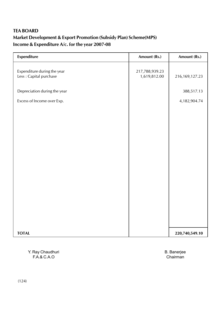## **TEA BOARD Market Development & Export Promotion (Subsidy Plan) Scheme(MPS) Income & Expenditure A/c. for the year 2007-08**

| Expenditure                                            | Amount (Rs.)                   | Amount (Rs.)      |
|--------------------------------------------------------|--------------------------------|-------------------|
| Expenditure during the year<br>Less : Capital purchase | 217,788,939.23<br>1,619,812.00 | 216, 169, 127. 23 |
| Depreciation during the year                           |                                | 388,517.13        |
| Excess of Income over Exp.                             |                                | 4, 182, 904. 74   |
|                                                        |                                |                   |
|                                                        |                                |                   |
|                                                        |                                |                   |
|                                                        |                                |                   |
|                                                        |                                |                   |
|                                                        |                                |                   |
|                                                        |                                |                   |
|                                                        |                                |                   |
|                                                        |                                |                   |
|                                                        |                                |                   |
|                                                        |                                |                   |
|                                                        |                                |                   |
| <b>TOTAL</b>                                           |                                | 220,740,549.10    |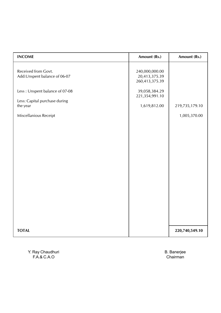| <b>INCOME</b>                                       | Amount (Rs.)                                      | Amount (Rs.)   |
|-----------------------------------------------------|---------------------------------------------------|----------------|
| Received from Govt.<br>Add:Unspent balance of 06-07 | 240,000,000.00<br>20,413,375.39<br>260,413,375.39 |                |
| Less: Unspent balance of 07-08                      | 39,058,384.29<br>221,354,991.10                   |                |
| Less: Capital purchase during<br>the year           | 1,619,812.00                                      | 219,735,179.10 |
| Miscellanious Receipt                               |                                                   | 1,005,370.00   |
|                                                     |                                                   |                |
|                                                     |                                                   |                |
|                                                     |                                                   |                |
|                                                     |                                                   |                |
|                                                     |                                                   |                |
|                                                     |                                                   |                |
|                                                     |                                                   |                |
|                                                     |                                                   |                |
| <b>TOTAL</b>                                        |                                                   | 220,740,549.10 |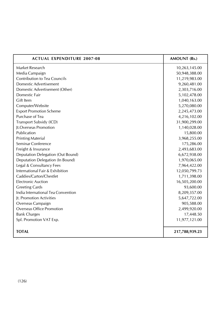| <b>ACTUAL EXPENDITURE 2007-08</b>   | AMOUNT (Rs.)   |
|-------------------------------------|----------------|
| Market Research                     | 10,263,145.00  |
| Media Campaign                      | 50,948,388.00  |
| <b>Contribution to Tea Councils</b> | 11,219,983.00  |
| Domestic Advertisement              | 9,260,481.00   |
| Domestic Advertisement (Other)      | 2,303,716.00   |
| Domestic Fair                       | 5,102,478.00   |
| Gift Item                           | 1,040,163.00   |
| Computer/Website                    | 5,270,080.00   |
| <b>Export Promotion Scheme</b>      | 2,245,473.00   |
| Purchase of Tea                     | 4,216,102.00   |
| Transport Subsidy (ICD)             | 31,900,299.00  |
| <b>Jt.Overseas Promotion</b>        | 1,140,028.00   |
| Publication                         | 15,800.00      |
| <b>Printing Material</b>            | 3,968,255.00   |
| Seminar Conference                  | 175,286.00     |
| Freight & Insurance                 | 2,493,683.00   |
| Deputation Delegation (Out Bound)   | 6,672,938.00   |
| Deputation Delegation (In Bound)    | 1,970,065.00   |
| Legal & Consultancy Fees            | 7,964,422.00   |
| International Fair & Exhibition     | 12,050,799.73  |
| Caddies/Carton/Chestlet             | 1,711,398.00   |
| <b>Electronic Auction</b>           | 16,505,200.00  |
| <b>Greeting Cards</b>               | 93,600.00      |
| India International Tea Convention  | 8,209,357.00   |
| Jt. Promotion Activities            | 5,647,722.00   |
| Overseas Campaign                   | 905,588.00     |
| <b>Overseas Office Promotion</b>    | 2,499,920.00   |
| <b>Bank Charges</b>                 | 17,448.50      |
| Spl. Promotion VAT Exp.             | 11,977,121.00  |
| <b>TOTAL</b>                        | 217,788,939.23 |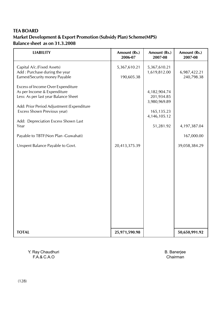### **TEA BOARD Market Development & Export Promotion (Subsidy Plan) Scheme(MPS) Balance sheet as on 31.3.2008**

| <b>LIABILITY</b>                                                                                                                                                                                                                           | Amount (Rs.)<br>2006-07    | Amount (Rs.)<br>2007-08                                                                  | Amount (Rs.)<br>2007-08    |
|--------------------------------------------------------------------------------------------------------------------------------------------------------------------------------------------------------------------------------------------|----------------------------|------------------------------------------------------------------------------------------|----------------------------|
| Capital A/c.(Fixed Assets)<br>Add : Purchase during the year<br>Earnest/Security money Payable                                                                                                                                             | 5,367,610.21<br>190,605.38 | 5,367,610.21<br>1,619,812.00                                                             | 6,987,422.21<br>240,798.38 |
| <b>Excess of Income Over Expenditure</b><br>As per Income & Expenditure<br>Less: As per last year Balance Sheet<br>Add: Prior Period Adjustment (Expenditure<br>Excess Shown Previous year)<br>Add: Depreciation Excess Shown Last<br>Year |                            | 4,182,904.74<br>201,934.85<br>3,980,969.89<br>165,135.23<br>4, 146, 105. 12<br>51,281.92 | 4,197,387.04               |
| Payable to TBTF(Non Plan -Guwahati)                                                                                                                                                                                                        |                            |                                                                                          | 167,000.00                 |
| Unspent Balance Payable to Govt.                                                                                                                                                                                                           | 20,413,375.39              |                                                                                          | 39,058,384.29              |
| <b>TOTAL</b>                                                                                                                                                                                                                               | 25,971,590.98              |                                                                                          | 50,650,991.92              |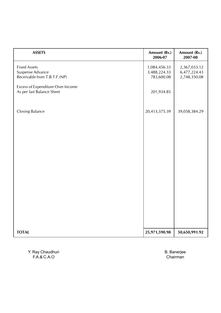| <b>ASSETS</b>                                                           | Amount (Rs.)<br>2006-07                    | Amount (Rs.)<br>2007-08                      |
|-------------------------------------------------------------------------|--------------------------------------------|----------------------------------------------|
| <b>Fixed Assets</b><br>Suspense Advance<br>Receivable from T.B.T.F.(NP) | 1,084,456.33<br>3,488,224.33<br>783,600.08 | 2,367,033.12<br>6,477,224.43<br>2,748,350.08 |
| <b>Excess of Expenditure Over Income</b><br>As per last Balance Sheet   | 201,934.85                                 |                                              |
| <b>Closing Balance</b>                                                  | 20,413,375.39                              | 39,058,384.29                                |
|                                                                         |                                            |                                              |
|                                                                         |                                            |                                              |
|                                                                         |                                            |                                              |
|                                                                         |                                            |                                              |
|                                                                         |                                            |                                              |
|                                                                         |                                            |                                              |
| <b>TOTAL</b>                                                            | 25,971,590.98                              | 50,650,991.92                                |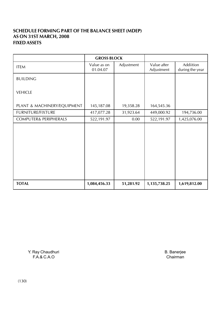#### **SCHEDULE FORMING PART OF THE BALANCE SHEET (MDEP) AS ON 31ST MARCH, 2008 FIXED ASSETS**

|                                  | <b>GROSS BLOCK</b>      |            |                           |                              |
|----------------------------------|-------------------------|------------|---------------------------|------------------------------|
| <b>ITEM</b>                      | Value as on<br>01.04.07 | Adjustment | Value after<br>Adjustment | Addiition<br>during the year |
| <b>BUILDING</b>                  |                         |            |                           |                              |
| <b>VEHICLE</b>                   |                         |            |                           |                              |
| PLANT & MACHINERY/EQUIPMENT      | 145,187.08              | 19,358.28  | 164,545.36                |                              |
| FURNITURE/FIXTURE                | 417,077.28              | 31,923.64  | 449,000.92                | 194,736.00                   |
| <b>COMPUTER&amp; PERIPHERALS</b> | 522,191.97              | 0.00       | 522,191.97                | 1,425,076.00                 |
|                                  |                         |            |                           |                              |
| <b>TOTAL</b>                     | 1,084,456.33            | 51,281.92  | 1,135,738.25              | 1,619,812.00                 |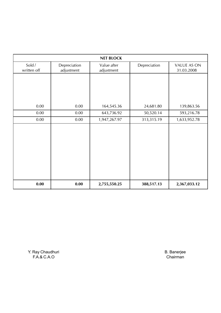|                      |                            | <b>NET BLOCK</b>          |              |                                  |
|----------------------|----------------------------|---------------------------|--------------|----------------------------------|
| Sold/<br>written off | Depreciation<br>adjustment | Value after<br>adjustment | Depreciation | <b>VALUE AS ON</b><br>31.03.2008 |
|                      |                            |                           |              |                                  |
| 0.00                 | 0.00                       | 164,545.36                | 24,681.80    | 139,863.56                       |
| $0.00\,$             | 0.00                       | 643,736.92                | 50,520.14    | 593,216.78                       |
| 0.00                 | 0.00                       | 1,947,267.97              | 313,315.19   | 1,633,952.78                     |
|                      |                            |                           |              |                                  |
| 0.00                 | 0.00                       | 2,755,550.25              | 388,517.13   | 2,367,033.12                     |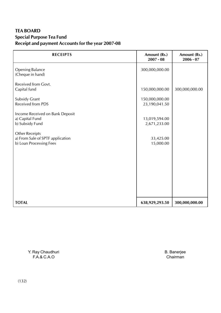### **TEA BOARD Special Purpose Tea Fund Receipt and payment Accounts for the year 2007-08**

| <b>RECEIPTS</b>                                                                      | Amount (Rs.)<br>$2007 - 08$     | Amount (Rs.)<br>$2006 - 07$ |
|--------------------------------------------------------------------------------------|---------------------------------|-----------------------------|
| <b>Opening Balance</b><br>(Cheque in hand)                                           | 300,000,000.00                  |                             |
| Received from Govt.<br>Capital fund                                                  | 150,000,000.00                  | 300,000,000.00              |
| <b>Subsidy Grant</b><br><b>Received from PDS</b>                                     | 150,000,000.00<br>23,190,041.50 |                             |
| Income Received on Bank Deposit<br>a) Capital Fund<br>b) Subsidy Fund                | 13,019,594.00<br>2,671,233.00   |                             |
| <b>Other Receipts</b><br>a) From Sale of SPTF application<br>b) Loan Processing Fees | 33,425.00<br>15,000.00          |                             |
|                                                                                      |                                 |                             |
|                                                                                      |                                 |                             |
|                                                                                      |                                 |                             |
| <b>TOTAL</b>                                                                         | 638,929,293.50                  | 300,000,000.00              |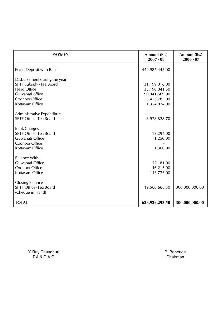| <b>PAYMENT</b>                                                                                                            | Amount (Rs.)<br>$2007 - 08$                                     | Amount (Rs.)<br>$2006 - 07$ |
|---------------------------------------------------------------------------------------------------------------------------|-----------------------------------------------------------------|-----------------------------|
| Fixed Deposit with Bank                                                                                                   | 449,987,445.00                                                  |                             |
| Disbursement during the year<br>SPTF Subsidy -Tea Board<br><b>Head Office</b><br>Guwahati office<br><b>Coonoor Office</b> | 31,199,016.00<br>33,190,041.50<br>90,941,569.00<br>3,453,785.00 |                             |
| Kottayam Office<br>Administrative Expenditure<br>SPTF Office - Tea Board                                                  | 1,354,924.00<br>8,978,828.70                                    |                             |
| <b>Bank Charges</b><br>SPTF Office - Tea Board<br>Guwahati Office<br>Coonoor Office<br>Kottayam Office                    | 13,294.00<br>1,250.00<br>1,300.00                               |                             |
| <b>Balance With:-</b><br>Guwahati Office<br>Coonoor Office<br>Kottayam Office                                             | 57,181.00<br>46,215.00<br>143,776.00                            |                             |
| <b>Closing Balance</b><br>SPTF Office - Tea Board<br>(Cheque in Hand)                                                     | 19,560,668.30                                                   | 300,000,000.00              |
| <b>TOTAL</b>                                                                                                              | 638,929,293.50                                                  | 300,000,000.00              |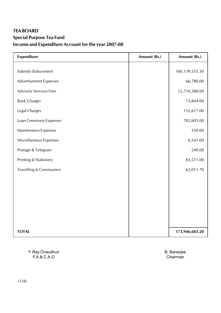# **TEA BOARD Special Purpose Tea Fund Income and Expenditure Account for the year 2007-08**

| Expenditure                   | Amount (Rs.) | Amount (Rs.)   |
|-------------------------------|--------------|----------------|
|                               |              |                |
| Subsidy disbursment           |              | 160,139,335.50 |
| <b>Advertisement Expenses</b> |              | 66,780.00      |
| <b>Advisory Services Fees</b> |              | 12,716,588.00  |
| <b>Bank Charges</b>           |              | 15,844.00      |
| Legal Charges                 |              | 152,617.00     |
| <b>Loan Ceremony Expenses</b> |              | 702,605.00     |
| Maintenance Expenses          |              | 550.00         |
| Miscellaneous Expenses        |              | 6,541.00       |
| Postage & Telegram            |              | 240.00         |
| Printing & Stationery         |              | 83,571.00      |
| Travelling & Conveyance       |              | 62,011.70      |
|                               |              |                |
|                               |              |                |
|                               |              |                |
|                               |              |                |
|                               |              |                |
|                               |              |                |
| <b>TOTAL</b>                  |              | 173,946,683.20 |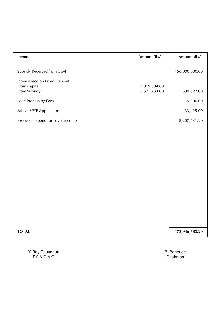| Income                                                         | Amount (Rs.)                  | Amount (Rs.)   |
|----------------------------------------------------------------|-------------------------------|----------------|
| Subsidy Received from Govt.                                    |                               | 150,000,000.00 |
| Interest recd on Fixed Deposit<br>From Capital<br>From Subsidy | 13,019,594.00<br>2,671,233.00 | 15,690,827.00  |
| <b>Loan Processing Fees</b>                                    |                               | 15,000.00      |
| Sale of SPTF Application                                       |                               | 33,425.00      |
| Excess of expenditure over income                              |                               | 8,207,431.20   |
|                                                                |                               |                |
| <b>TOTAL</b>                                                   |                               | 173,946,683.20 |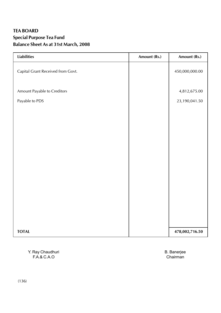# **TEA BOARD Special Purpose Tea Fund Balance Sheet As at 31st March, 2008**

| <b>Liabilities</b>                | Amount (Rs.) | Amount (Rs.)   |
|-----------------------------------|--------------|----------------|
| Capital Grant Received from Govt. |              | 450,000,000.00 |
| Amount Payable to Creditors       |              | 4,812,675.00   |
| Payable to PDS                    |              | 23,190,041.50  |
|                                   |              |                |
|                                   |              |                |
|                                   |              |                |
|                                   |              |                |
|                                   |              |                |
|                                   |              |                |
|                                   |              |                |
|                                   |              |                |
|                                   |              |                |
|                                   |              |                |
|                                   |              |                |
| <b>TOTAL</b>                      |              | 478,002,716.50 |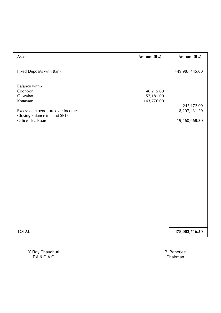| <b>Assets</b>                                                                                                                                | Amount (Rs.)                         | Amount (Rs.)                                |
|----------------------------------------------------------------------------------------------------------------------------------------------|--------------------------------------|---------------------------------------------|
| Fixed Deposits with Bank                                                                                                                     |                                      | 449,987,445.00                              |
| Balance with:-<br>Coonoor<br>Guwahati<br>Kottayam<br>Excess of expenditure over income<br>Closing Balance in hand SPTF<br>Office - Tea Board | 46,215.00<br>57,181.00<br>143,776.00 | 247,172.00<br>8,207,431.20<br>19,560,668.30 |
| <b>TOTAL</b>                                                                                                                                 |                                      | 478,002,716.50                              |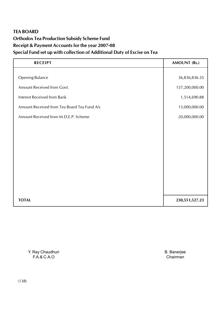#### **TEA BOARD**

## **Orthodox Tea Production Subsidy Scheme Fund Receipt & Payment Accounts for the year 2007-08 Special Fund set up with collection of Additional Duty of Excise on Tea**

| <b>RECEIPT</b>                              | AMOUNT (Rs.)   |
|---------------------------------------------|----------------|
|                                             |                |
| <b>Opening Balance</b>                      | 36,836,836.35  |
| Amount Received from Govt.                  | 157,200,000.00 |
| <b>Interest Received from Bank</b>          | 1,514,690.88   |
| Amount Received from Tea Board Tea Fund A/c | 15,000,000.00  |
| Amount Received from M.D.E.P. Scheme        | 20,000,000.00  |
|                                             |                |
|                                             |                |
|                                             |                |
|                                             |                |
|                                             |                |
|                                             |                |
|                                             |                |
|                                             |                |
| <b>TOTAL</b>                                | 230,551,527.23 |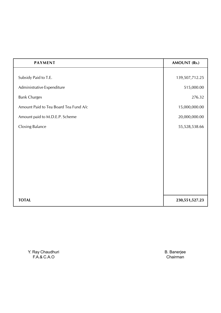| <b>PAYMENT</b>                                                          | AMOUNT (Rs.)                   |
|-------------------------------------------------------------------------|--------------------------------|
| Subsidy Paid to T.E.                                                    | 139,507,712.25                 |
| Administrative Expenditure<br><b>Bank Charges</b>                       | 515,000.00<br>276.32           |
| Amount Paid to Tea Board Tea Fund A/c<br>Amount paid to M.D.E.P. Scheme | 15,000,000.00<br>20,000,000.00 |
| <b>Closing Balance</b>                                                  | 55,528,538.66                  |
|                                                                         |                                |
|                                                                         |                                |
|                                                                         |                                |
| <b>TOTAL</b>                                                            | 230,551,527.23                 |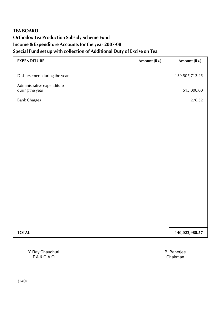### **TEA BOARD Orthodox Tea Production Subsidy Scheme Fund Income & Expenditure Accounts for the year 2007-08 Special Fund set up with collection of Additional Duty of Excise on Tea**

| <b>EXPENDITURE</b>                            | Amount (Rs.) | Amount (Rs.)   |
|-----------------------------------------------|--------------|----------------|
| Disbursement during the year                  |              | 139,507,712.25 |
| Administrative expenditure<br>during the year |              | 515,000.00     |
| <b>Bank Charges</b>                           |              | 276.32         |
|                                               |              |                |
|                                               |              |                |
|                                               |              |                |
|                                               |              |                |
|                                               |              |                |
|                                               |              |                |
|                                               |              |                |
|                                               |              |                |
|                                               |              |                |
|                                               |              |                |
| <b>TOTAL</b>                                  |              | 140,022,988.57 |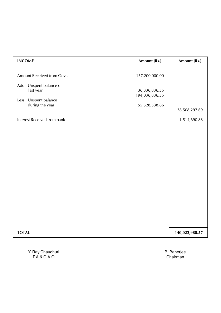| <b>INCOME</b>                             | Amount (Rs.)   | Amount (Rs.)   |
|-------------------------------------------|----------------|----------------|
| Amount Received from Govt.                | 157,200,000.00 |                |
|                                           |                |                |
| Add : Unspent balance of<br>last year     | 36,836,836.35  |                |
|                                           | 194,036,836.35 |                |
| Less : Unspent balance<br>during the year | 55,528,538.66  |                |
|                                           |                | 138,508,297.69 |
| <b>Interest Received from bank</b>        |                | 1,514,690.88   |
|                                           |                |                |
|                                           |                |                |
|                                           |                |                |
|                                           |                |                |
|                                           |                |                |
|                                           |                |                |
|                                           |                |                |
|                                           |                |                |
|                                           |                |                |
|                                           |                |                |
|                                           |                |                |
|                                           |                |                |
|                                           |                |                |
| <b>TOTAL</b>                              |                | 140,022,988.57 |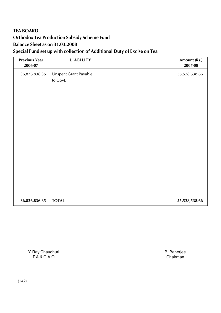# **TEA BOARD Orthodox Tea Production Subsidy Scheme Fund Balance Sheet as on 31.03.2008 Special Fund set up with collection of Additional Duty of Excise on Tea**

| <b>Previous Year</b><br>2006-07 | <b>LIABILITY</b>                  | Amount (Rs.)<br>$2007 - 08$ |
|---------------------------------|-----------------------------------|-----------------------------|
| 36,836,836.35                   | Unspent Grant Payable<br>to Govt. | 55,528,538.66               |
| 36,836,836.35                   | <b>TOTAL</b>                      | 55,528,538.66               |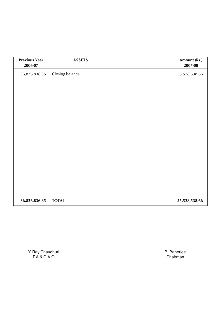| <b>Previous Year</b><br>2006-07 | <b>ASSETS</b>   | Amount (Rs.)<br>$2007 - 08$ |
|---------------------------------|-----------------|-----------------------------|
| 36,836,836.35                   | Closing balance | 55,528,538.66               |
|                                 |                 |                             |
|                                 |                 |                             |
|                                 |                 |                             |
|                                 |                 |                             |
|                                 |                 |                             |
|                                 |                 |                             |
|                                 |                 |                             |
|                                 |                 |                             |
|                                 |                 |                             |
|                                 |                 |                             |
| 36,836,836.35                   | <b>TOTAL</b>    | 55,528,538.66               |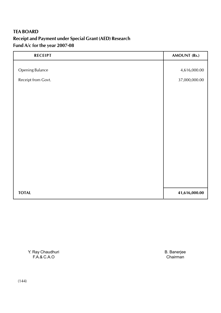# **TEA BOARD Receipt and Payment under Special Grant (AED) Research Fund A/c for the year 2007-08**

| <b>RECEIPT</b>     | AMOUNT (Rs.)  |
|--------------------|---------------|
|                    |               |
| Opening Balance    | 4,616,000.00  |
| Receipt from Govt. | 37,000,000.00 |
|                    |               |
|                    |               |
|                    |               |
|                    |               |
|                    |               |
|                    |               |
|                    |               |
|                    |               |
|                    |               |
|                    |               |
|                    |               |
|                    |               |
| <b>TOTAL</b>       | 41,616,000.00 |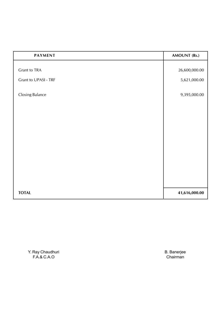| <b>PAYMENT</b>       | AMOUNT (Rs.)  |
|----------------------|---------------|
|                      |               |
| Grant to TRA         | 26,600,000.00 |
| Grant to UPASI - TRF | 5,621,000.00  |
|                      |               |
| Closing Balance      | 9,395,000.00  |
|                      |               |
|                      |               |
|                      |               |
|                      |               |
|                      |               |
|                      |               |
|                      |               |
|                      |               |
|                      |               |
|                      |               |
| <b>TOTAL</b>         | 41,616,000.00 |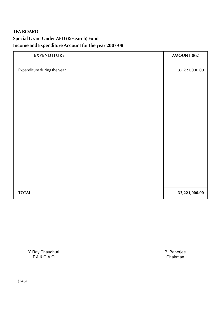# **TEA BOARD Special Grant Under AED (Research) Fund Income and Expenditure Account for the year 2007-08**

| <b>EXPENDITURE</b>          | AMOUNT (Rs.)  |
|-----------------------------|---------------|
| Expenditure during the year | 32,221,000.00 |
|                             |               |
|                             |               |
|                             |               |
|                             |               |
|                             |               |
|                             |               |
|                             |               |
| <b>TOTAL</b>                | 32,221,000.00 |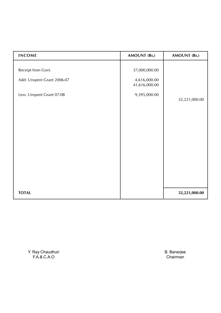| <b>INCOME</b>              | AMOUNT (Rs.)                  | AMOUNT (Rs.)  |
|----------------------------|-------------------------------|---------------|
| Receipt from Govt.         | 37,000,000.00                 |               |
| Add: Unspent Grant 2006-07 | 4,616,000.00<br>41,616,000.00 |               |
| Less: Unspent Grant 07-08  | 9,395,000.00                  | 32,221,000.00 |
|                            |                               |               |
|                            |                               |               |
|                            |                               |               |
|                            |                               |               |
|                            |                               |               |
|                            |                               |               |
| <b>TOTAL</b>               |                               | 32,221,000.00 |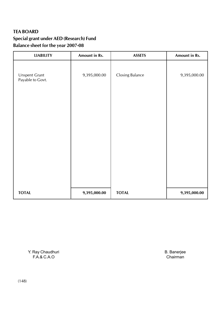# **TEA BOARD Special grant under AED (Research) Fund Balance sheet for the year 2007-08**

| <b>LIABILITY</b>                         | Amount in Rs. | <b>ASSETS</b>          | Amount in Rs. |
|------------------------------------------|---------------|------------------------|---------------|
| <b>Unspent Grant</b><br>Payable to Govt. | 9,395,000.00  | <b>Closing Balance</b> | 9,395,000.00  |
|                                          |               |                        |               |
|                                          |               |                        |               |
|                                          |               |                        |               |
| <b>TOTAL</b>                             | 9,395,000.00  | <b>TOTAL</b>           | 9,395,000.00  |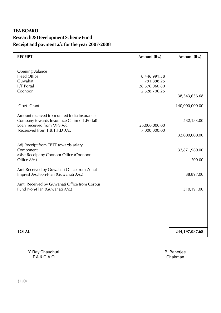# **TEA BOARD Research & Development Scheme Fund Receipt and payment a/c for the year 2007-2008**

| <b>RECEIPT</b>                                                                                                                                              | Amount (Rs.)                                                | Amount (Rs.)                |
|-------------------------------------------------------------------------------------------------------------------------------------------------------------|-------------------------------------------------------------|-----------------------------|
| <b>Opening Balance</b><br><b>Head Office</b><br>Guwahati<br>I /T Portal<br>Coonoor                                                                          | 8,446,991.38<br>791,898.25<br>26,576,060.80<br>2,528,706.25 | 38, 343, 656. 68            |
| Govt. Grant                                                                                                                                                 |                                                             | 140,000,000.00              |
| Amount received from united India Insurance<br>Company towards Insurance Claim (I.T.Portal)<br>Loan received from MPS A/c.<br>Receicved from T.B.T.F.D A/c. | 25,000,000.00<br>7,000,000.00                               | 582,183.00<br>32,000,000.00 |
| Adj.Receipt from TBTF towards salary<br>Component<br>Misc.Receipt by Coonoor Office (Coonoor<br>Office $A/c$ .)                                             |                                                             | 32,871,960.00<br>200.00     |
| Amt.Received by Guwahati Office from Zonal<br>Imprest A/c.Non-Plan (Guwahati A/c.)                                                                          |                                                             | 88,897.00                   |
| Amt. Received by Guwahati Office from Corpus<br>Fund Non-Plan (Guwahati A/c.)                                                                               |                                                             | 310,191.00                  |
| <b>TOTAL</b>                                                                                                                                                |                                                             | 244, 197, 087. 68           |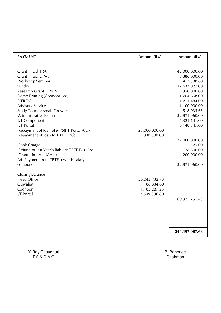| <b>PAYMENT</b>                                                                                                                                                                                                                                                                                                                                                                                                                                                                                                                                                      | Amount (Rs.)                                   | Amount (Rs.)                                                                                                                                                                                                                                                        |
|---------------------------------------------------------------------------------------------------------------------------------------------------------------------------------------------------------------------------------------------------------------------------------------------------------------------------------------------------------------------------------------------------------------------------------------------------------------------------------------------------------------------------------------------------------------------|------------------------------------------------|---------------------------------------------------------------------------------------------------------------------------------------------------------------------------------------------------------------------------------------------------------------------|
| Grant in aid TRA<br>Grant in aid UPASI<br>Workshop Seminar<br>Sundry<br>Research Grant HPKW<br>Demo Pruning (Coonoor A/c)<br><b>DTRDC</b><br><b>Advisory Service</b><br><b>Study Tour for small Growers</b><br><b>Administrative Expenses</b><br>I/T Component<br>I/T Portal<br>Repayment of loan of MPS(I.T.Portal A/c.)<br>Repayment of loan to TBTFD A/c.<br><b>Bank Charge</b><br>Refund of last Year's liability TBTF Dis. A/c.<br>Grant - in - Aid (AAU)<br>Adj.Payment from TBTF towards salary<br>component<br><b>Closing Balance</b><br><b>Head Office</b> | 25,000,000.00<br>7,000,000.00<br>56,043,732.78 | 42,000,000.00<br>8,886,000.00<br>413,388.60<br>17,633,027.00<br>350,000.00<br>1,704,668.00<br>1,211,484.00<br>1,100,000.00<br>518,035.65<br>32,871,960.00<br>5,321,141.00<br>6,148,347.00<br>32,000,000.00<br>12,525.00<br>28,800.00<br>200,000.00<br>32,871,960.00 |
| Guwahati<br>Coonoor<br>I/T Portal                                                                                                                                                                                                                                                                                                                                                                                                                                                                                                                                   | 188,834.60<br>1,183,287.25<br>3,509,896.80     | 60,925,751.43                                                                                                                                                                                                                                                       |
|                                                                                                                                                                                                                                                                                                                                                                                                                                                                                                                                                                     |                                                | 244, 197, 087. 68                                                                                                                                                                                                                                                   |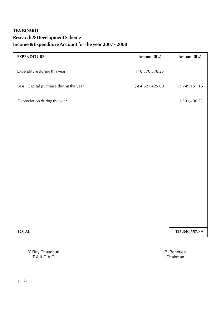# **TEA BOARD Research & Development Scheme Income & Expenditure Account for the year 2007 - 2008**

| <b>EXPENDITURE</b>                      | Amount (Rs.)       | Amount (Rs.)   |
|-----------------------------------------|--------------------|----------------|
| Expenditure during this year            | 118,370,576.25     |                |
| Less : Capital purchase during the year | $(-)$ 4,621,425.09 | 113,749,151.16 |
| Depreciation during the year            |                    | 11,591,406.73  |
|                                         |                    |                |
|                                         |                    |                |
|                                         |                    |                |
|                                         |                    |                |
|                                         |                    |                |
|                                         |                    |                |
|                                         |                    |                |
|                                         |                    |                |
| <b>TOTAL</b>                            |                    | 125,340,557.89 |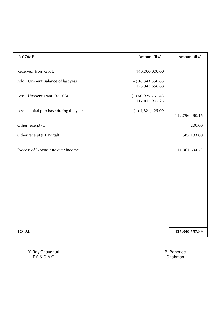| <b>INCOME</b>                           | Amount (Rs.)                               | Amount (Rs.)   |
|-----------------------------------------|--------------------------------------------|----------------|
| Received from Govt.                     | 140,000,000.00                             |                |
| Add : Unspent Balance of last year      | $(+)$ 38, 343, 656.68<br>178, 343, 656. 68 |                |
| Less: Unspent grant (07 - 08)           | $(-) 60,925,751.43$<br>117,417,905.25      |                |
| Less : capital purchase during the year | $(-)$ 4,621,425.09                         | 112,796,480.16 |
| Other receipt (G)                       |                                            | 200.00         |
| Other receipt (I.T.Portal)              |                                            | 582,183.00     |
| Execess of Expenditure over income      |                                            | 11,961,694.73  |
|                                         |                                            |                |
| <b>TOTAL</b>                            |                                            | 125,340,557.89 |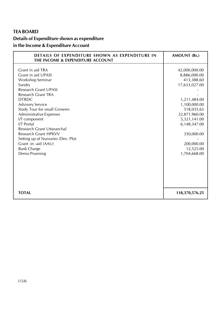### **TEA BOARD**

# **Details of Expenditure shown as expenditure in the Income & Expenditure Account**

| DETAILS OF EXPENDITURE SHOWN AS EXPENDITURE IN<br>THE INCOME & EXPENDITURE ACCOUNT                                                                                                                                                                                                                                                                                                                                                             | AMOUNT (Rs.)                                                                                                                                                                                                         |
|------------------------------------------------------------------------------------------------------------------------------------------------------------------------------------------------------------------------------------------------------------------------------------------------------------------------------------------------------------------------------------------------------------------------------------------------|----------------------------------------------------------------------------------------------------------------------------------------------------------------------------------------------------------------------|
| Grant in aid TRA<br>Grant in aid UPASI<br>Workshop Seminar<br>Sundry<br><b>Research Grant UPASI</b><br><b>Research Grant TRA</b><br><b>DTRDC</b><br><b>Advisory Service</b><br><b>Study Tour for small Growers</b><br><b>Administrative Expenses</b><br>I/T component<br>I/T Portal<br>Research Grant Uttaranchal<br>Research Grant HPKVV<br>Setting up of Nursuries /Dev. Plot<br>Grant -in -aid (AAU)<br><b>Bank Charge</b><br>Demo Prunning | 42,000,000.00<br>8,886,000.00<br>413,388.60<br>17,633,027.00<br>1,211,484.00<br>1,100,000.00<br>518,035.65<br>32,871,960.00<br>5,321,141.00<br>6,148,347.00<br>350,000.00<br>200,000.00<br>12,525.00<br>1,704,668.00 |
| <b>TOTAL</b>                                                                                                                                                                                                                                                                                                                                                                                                                                   | 118,370,576.25                                                                                                                                                                                                       |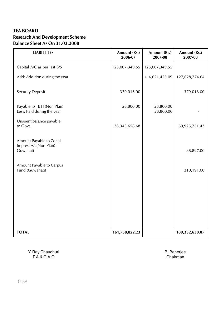### **TEA BOARD Research And Development Scheme Balance Sheet As On 31.03.2008**

| <b>LIABILITIES</b>                                            | Amount (Rs.)<br>2006-07 | Amount (Rs.)<br>2007-08 | Amount (Rs.)<br>2007-08 |
|---------------------------------------------------------------|-------------------------|-------------------------|-------------------------|
| Capital A/C as per last B/S                                   | 123,007,349.55          | 123,007,349.55          |                         |
| Add: Addition during the year                                 |                         | $+4,621,425.09$         | 127,628,774.64          |
| <b>Security Deposit</b>                                       | 379,016.00              |                         | 379,016.00              |
| Payable to TBTF(Non Plan)<br>Less: Paid during the year       | 28,800.00               | 28,800.00<br>28,800.00  |                         |
| Unspent balance payable<br>to Govt.                           | 38, 343, 656. 68        |                         | 60,925,751.43           |
| Amount Payable to Zonal<br>Imprest A/c(Non-Plan)-<br>Guwahati |                         |                         | 88,897.00               |
| Amount Payable to Carpus<br>Fund (Guwahati)                   |                         |                         | 310,191.00              |
|                                                               |                         |                         |                         |
|                                                               |                         |                         |                         |
|                                                               |                         |                         |                         |
| <b>TOTAL</b>                                                  | 161,758,822.23          |                         | 189,332,630.07          |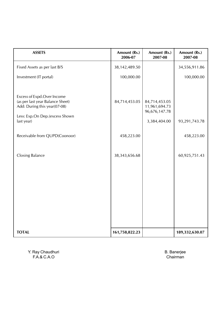| <b>ASSETS</b>                                                                                                                                  | Amount (Rs.)<br>2006-07 | Amount (Rs.)<br>2007-08                                         | Amount (Rs.)<br>2007-08 |
|------------------------------------------------------------------------------------------------------------------------------------------------|-------------------------|-----------------------------------------------------------------|-------------------------|
| Fixed Assets as per last B/S                                                                                                                   | 38,142,489.50           |                                                                 | 34,556,911.86           |
| Investment (IT portal)                                                                                                                         | 100,000.00              |                                                                 | 100,000.00              |
| Excess of Expd.Over Income<br>(as per last year Balance Sheet)<br>Add: During this year(07-08)<br>Less: Exp.On Dep.(excess Shown<br>last year) | 84,714,453.05           | 84,714,453.05<br>11,961,694.73<br>96,676,147.78<br>3,384,404.00 | 93,291,743.78           |
| Receivable from QUPD(Coonoor)                                                                                                                  | 458,223.00              |                                                                 | 458,223.00              |
| <b>Closing Balance</b>                                                                                                                         | 38, 343, 656. 68        |                                                                 | 60,925,751.43           |
| <b>TOTAL</b>                                                                                                                                   | 161,758,822.23          |                                                                 | 189,332,630.07          |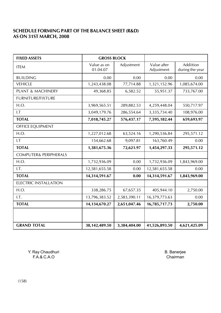### **SCHEDULE FORMING PART OF THE BALANCE SHEET (R&D) AS ON 31ST MARCH, 2008**

| <b>FIXED ASSETS</b>              | <b>GROSS BLOCK</b>      |              |                           |                              |
|----------------------------------|-------------------------|--------------|---------------------------|------------------------------|
| <b>ITEM</b>                      | Value as on<br>01.04.07 | Adjustment   | Value after<br>Adjustment | Addiition<br>during the year |
| <b>BUILDING</b>                  | 0.00                    | 0.00         | 0.00                      | 0.00                         |
| <b>VEHICLE</b>                   | 1,243,438.08            | 77,714.88    | 1,321,152.96              | 1,085,674.00                 |
| PLANT & MACHINERY                | 49,368.85               | 6,582.52     | 55,951.37                 | 733,767.00                   |
| <b>FURNITURE/FIXTURE</b>         |                         |              |                           |                              |
| H.O.                             | 3,969,565.51            | 289,882.53   | 4,259,448.04              | 550,717.97                   |
| $1.$ T                           | 3,049,179.76            | 286,554.64   | 3,335,734.40              | 108,976.00                   |
| <b>TOTAL</b>                     | 7,018,745.27            | 576,437.17   | 7,595,182.44              | 659,693.97                   |
| OFFICE EQUIPMENT                 |                         |              |                           |                              |
| H.O.                             | 1,227,012.68            | 63,524.16    | 1,290,536.84              | 295,571.12                   |
| 1.7                              | 154,662.68              | 9,097.81     | 163,760.49                | 0.00                         |
| <b>TOTAL</b>                     | 1,381,675.36            | 72,621.97    | 1,454,297.33              | 295,571.12                   |
| <b>COMPUTER&amp; PERIPHERALS</b> |                         |              |                           |                              |
| H.O.                             | 1,732,936.09            | 0.00         | 1,732,936.09              | 1,843,969.00                 |
| I.T.                             | 12,581,655.58           | 0.00         | 12,581,655.58             | 0.00                         |
| <b>TOTAL</b>                     | 14,314,591.67           | 0.00         | 14,314,591.67             | 1,843,969.00                 |
| <b>ELECTRIC INSTALLATION</b>     |                         |              |                           |                              |
| H.O.                             | 338,286.75              | 67,657.35    | 405,944.10                | 2,750.00                     |
| I.T.                             | 13,796,383.52           | 2,583,390.11 | 16,379,773.63             | 0.00                         |
| <b>TOTAL</b>                     | 14,134,670.27           | 2,651,047.46 | 16,785,717.73             | 2,750.00                     |
|                                  |                         |              |                           |                              |
| <b>GRAND TOTAL</b>               | 38, 142, 489.50         | 3,384,404.00 | 41,526,893.50             | 4,621,425.09                 |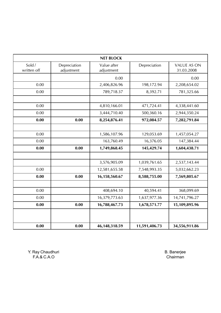|                      |                            | <b>NET BLOCK</b>          |               |                                  |
|----------------------|----------------------------|---------------------------|---------------|----------------------------------|
| Sold/<br>written off | Depreciation<br>adjustment | Value after<br>adjustment | Depreciation  | <b>VALUE AS ON</b><br>31.03.2008 |
|                      |                            | 0.00                      |               | 0.00                             |
| 0.00                 |                            | 2,406,826.96              | 198,172.94    | 2,208,654.02                     |
| 0.00                 |                            | 789,718.37                | 8,392.71      | 781,325.66                       |
|                      |                            |                           |               |                                  |
| 0.00                 |                            | 4,810,166.01              | 471,724.41    | 4,338,441.60                     |
| 0.00                 |                            | 3,444,710.40              | 500,360.16    | 2,944,350.24                     |
| 0.00                 | 0.00                       | 8,254,876.41              | 972,084.57    | 7,282,791.84                     |
|                      |                            |                           |               |                                  |
| 0.00                 |                            | 1,586,107.96              | 129,053.69    | 1,457,054.27                     |
| 0.00                 |                            | 163,760.49                | 16,376.05     | 147,384.44                       |
| 0.00                 | 0.00                       | 1,749,868.45              | 145,429.74    | 1,604,438.71                     |
|                      |                            |                           |               |                                  |
|                      |                            | 3,576,905.09              | 1,039,761.65  | 2,537,143.44                     |
| 0.00                 |                            | 12,581,655.58             | 7,548,993.35  | 5,032,662.23                     |
| 0.00                 | 0.00                       | 16,158,560.67             | 8,588,755.00  | 7,569,805.67                     |
|                      |                            |                           |               |                                  |
| 0.00                 |                            | 408,694.10                | 40,594.41     | 368,099.69                       |
| 0.00                 |                            | 16,379,773.63             | 1,637,977.36  | 14,741,796.27                    |
| 0.00                 | 0.00                       | 16,788,467.73             | 1,678,571.77  | 15,109,895.96                    |
|                      |                            |                           |               |                                  |
| 0.00                 | 0.00                       | 46, 148, 318.59           | 11,591,406.73 | 34,556,911.86                    |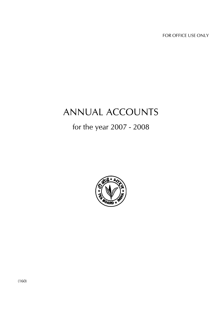FOR OFFICE USE ONLY

# ANNUAL ACCOUNTS

# for the year 2007 - 2008

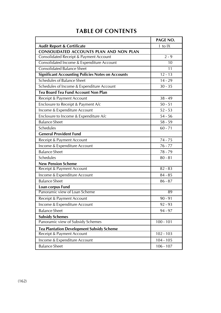# **TABLE OF CONTENTS**

|                                                          | PAGE NO.           |
|----------------------------------------------------------|--------------------|
| <b>Audit Report &amp; Certificate</b>                    | I to IX            |
| <b>CONSOLIDATED ACCOUNTS PLAN AND NON PLAN</b>           |                    |
| <b>Consolidated Receipt &amp; Payment Account</b>        | $\overline{2} - 9$ |
| Consolidated Income & Expenditure Account                | 10                 |
| Consolidated Balance Sheet                               | 11                 |
| <b>Significant Accounting Policies Notes on Accounts</b> | $12 - 13$          |
| <b>Schedules of Balance Sheet</b>                        | $14 - 29$          |
| Schedules of Income & Expenditure Account                | $30 - 35$          |
| <b>Tea Board Tea Fund Account Non Plan</b>               |                    |
| Receipt & Payment Account                                | $38 - 49$          |
| Enclosure to Receipt & Payment A/c                       | $50 - 51$          |
| Income & Expenditure Account                             | $52 - 53$          |
| Enclosure to Income & Expenditure A/c                    | $54 - 56$          |
| <b>Balance Sheet</b>                                     | $58 - 59$          |
| Schedules                                                | $60 - 71$          |
| <b>General Provident Fund</b>                            |                    |
| Receipt & Payment Account                                | $74 - 75$          |
| Income & Expenditure Account                             | $76 - 77$          |
| <b>Balance Sheet</b>                                     | 78 - 79            |
| Schedules                                                | $80 - 81$          |
| <b>New Pension Scheme</b>                                |                    |
| Receipt & Payment Account                                | $82 - 83$          |
| Income & Expenditure Account                             | $84 - 85$          |
| <b>Balance Sheet</b>                                     | $86 - 87$          |
| Loan corpus Fund                                         |                    |
| Panoramic view of Loan Scheme                            | 89                 |
| Receipt & Payment Account                                | $90 - 91$          |
| Income & Expenditure Account                             | $92 - 93$          |
| <b>Balance Sheet</b>                                     | $94 - 97$          |
| <b>Subsidy Schemes</b>                                   |                    |
| Panoramic view of Subsidy Schemes                        | $100 - 101$        |
| <b>Tea Plantation Development Subsidy Scheme</b>         |                    |
| Receipt & Payment Account                                | $102 - 103$        |
| Income & Expenditure Account                             | $104 - 105$        |
| <b>Balance Sheet</b>                                     | $106 - 107$        |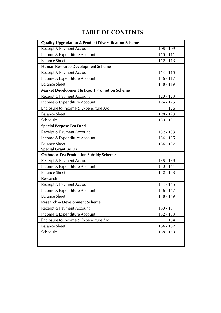# **TABLE OF CONTENTS**

| <b>Quality Upgradation &amp; Product Diversification Scheme</b> |             |
|-----------------------------------------------------------------|-------------|
| Receipt & Payment Account                                       | $108 - 109$ |
| Income & Expenditure Account                                    | $110 - 111$ |
| <b>Balance Sheet</b>                                            | $112 - 113$ |
| <b>Human Resource Development Scheme</b>                        |             |
| Receipt & Payment Account                                       | $114 - 115$ |
| Income & Expenditure Account                                    | $116 - 117$ |
| <b>Balance Sheet</b>                                            | $118 - 119$ |
| <b>Market Development &amp; Export Promotion Scheme</b>         |             |
| Receipt & Payment Account                                       | $120 - 123$ |
| Income & Expenditure Account                                    | $124 - 125$ |
| Enclosure to Income & Expenditure A/c                           | 126         |
| <b>Balance Sheet</b>                                            | 128 - 129   |
| Schedule                                                        | $130 - 131$ |
| <b>Special Perpose Tea Fund</b>                                 |             |
| <b>Receipt &amp; Payment Account</b>                            | 132 - 133   |
| Income & Expenditure Account                                    | $134 - 135$ |
| <b>Balance Sheet</b>                                            | $136 - 137$ |
| <b>Special Grant (AED)</b>                                      |             |
| <b>Orthodox Tea Production Subsidy Scheme</b>                   |             |
| Receipt & Payment Account                                       | 138 - 139   |
| Income & Expenditure Account                                    | $140 - 141$ |
| <b>Balance Sheet</b>                                            | $142 - 143$ |
| <b>Research</b>                                                 |             |
| Receipt & Payment Account                                       | 144 - 145   |
| Income & Expenditure Account                                    | $146 - 147$ |
| <b>Balance Sheet</b>                                            | 148 - 149   |
| <b>Research &amp; Development Scheme</b>                        |             |
| Receipt & Payment Account                                       | $150 - 151$ |
| Income & Expenditure Account                                    | $152 - 153$ |
| Enclosure to Income & Expenditure A/c                           | 154         |
| <b>Balance Sheet</b>                                            | $156 - 157$ |
| Schedule                                                        | $158 - 159$ |
|                                                                 |             |
|                                                                 |             |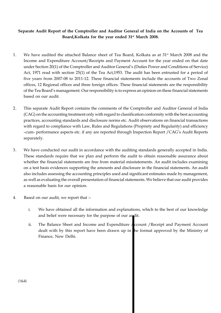### **Separate Audit Report of the Comptroller and Auditor General of India on the Accounts of Tea Board,Kolkata for the year ended 31st March 2008.**

- 1. We have audited the attached Balance sheet of Tea Board, Kolkata as at 31<sup>st</sup> March 2008 and the Income and Expenditure Account/Receipts and Payment Account for the year ended on that date under Section 20(1) of the Comptroller and Auditor General's (Duties Power and Conditions of Service) Act, 1971 read with section 25(1) of the Tea Act,1953. The audit has been entrusted for a period of five years from 2007-08 to 2011-12. These financial statements include the accounts of Two Zonal offices, 12 Regional offices and three foreign offices. These financial statements are the responsibility of the Tea Board's management. Our responsibility is to express an opinion on these financial statements based on our audit.
- 2. This separate Audit Report contains the comments of the Comptroller and Auditor General of India (CAG) on the accounting treatment only with regard to classification conformity with the best accounting practices, accounting standards and disclosure norms etc. Audit observations on financial transactions with regard to compliance with Law, Rules and Regulations (Propriety and Regularity) and efficiency –cum- performance aspects etc. if any are reported through Inspection Report /CAG's Audit Reports separately.
- 3. We have conducted our audit in accordance with the auditing standards generally accepted in India. These standards require that we plan and perform the audit to obtain reasonable assurance about whether the financial statements are free from material misstatements. An audit includes examining on a test basis evidences supporting the amounts and disclosure in the financial statements. An audit also includes assessing the accounting principles used and significant estimates made by management, as well as evaluating the overall presentation of financial statements. We believe that our audit provides a reasonable basis for our opinion.
- 4. Based on our audit, we report that :
	- i. We have obtained all the information and explanations, which to the best of our knowledge and belief were necessary for the purpose of our audit.
	- ii. The Balance Sheet and Income and Expenditure  $A$ ccount / Receipt and Payment Account dealt with by this report have been drawn up in the format approved by the Ministry of Finance, New Delhi.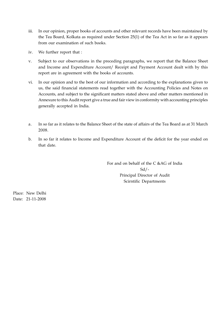- iii. In our opinion, proper books of accounts and other relevant records have been maintained by the Tea Board, Kolkata as required under Section 25(1) of the Tea Act in so far as it appears from our examination of such books.
- iv. We further report that :
- v. Subject to our observations in the preceding paragraphs, we report that the Balance Sheet and Income and Expenditure Account/ Receipt and Payment Account dealt with by this report are in agreement with the books of accounts.
- vi. In our opinion and to the best of our information and according to the explanations given to us, the said financial statements read together with the Accounting Policies and Notes on Accounts, and subject to the significant matters stated above and other matters mentioned in Annexure to this Audit report give a true and fair view in conformity with accounting principles generally accepted in India.
- a. In so far as it relates to the Balance Sheet of the state of affairs of the Tea Board as at 31 March 2008.
- b. In so far it relates to Income and Expenditure Account of the deficit for the year ended on that date.

For and on behalf of the C &AG of India  $Sd$  /-Principal Director of Audit Scirntific Departments

Place: New Delhi Date: 21-11-2008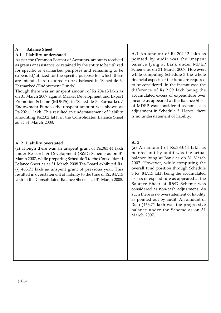### **A Balance Sheet**

### **A.1 Liability understated**

As per the Common Format of Accounts, amounts received as grants or assistance, or retained by the entity to be utilized for specific or earmarked purposes and remaining to be expended/utilized for the specific purpose for which these are intended are required to be disclosed in 'Schedule 3- Earmarked/Endowment Funds'.

Though there was an unspent amount of Rs.204.13 lakh as on 31 March 2007 against Market Development and Export Promotion Scheme (MDEPS), in 'Schedule 3- Earmarked/ Endowment Funds', the unspent amount was shown as Rs.202.11 lakh. This resulted in understatement of liability amounting Rs.2.02 lakh in the Consolidated Balance Sheet as at 31 March 2008.

### **A. 2 Liability overstated**

(a) Though there was an unspent grant of Rs.383.44 lakh under Research & Development (R&D) Scheme as on 31 March 2007, while preparing Schedule 3 to the Consolidated Balance Sheet as at 31 March 2008 Tea Board exhibited Rs. (-) 463.71 lakh as unspent grant of previous year. This resulted in overstatement of liability to the tune of Rs. 847.15 lakh in the Consolidated Balance Sheet as at 31 March 2008.

**A.1** An amount of Rs.204.13 lakh as pointed by audit was the unspent balance lying at Bank under MDEP Scheme as on 31 March 2007. However, while computing Schedule 3 the whole financial aspects of the fund are required to be considered. In the instant case the difference of Rs.2.02 lakh being the accumulated excess of expenditure over income as appeared at the Balance Sheet of MDEP was considered as non- cash adjustment in Schedule 3. Hence, there is no understatement of liability.

### **A. 2**

(a) An amount of Rs.383.44 lakh as pointed out by audit was the actual balance lying at Bank as on 31 March 2007. However, while computing the overall fund position through Schedule 3 Rs. 847.15 lakh being the accumulated excess of expenditure as appeared at the Balance Sheet of R&D Scheme was considered as non-cash adjustment. As such there is no overstatement of liability as pointed out by audit. An amount of Rs. (-)463.71 lakh was the progressive balance under the Scheme as on 31 March 2007.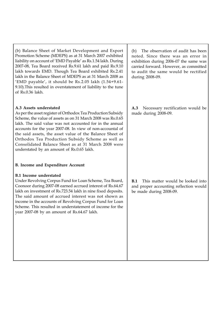(b) Balance Sheet of Market Development and Export Promotion Scheme (MDEPS) as at 31 March 2007 exhibited liability on account of 'EMD Payable' as Rs.1.54 lakh. During 2007-08, Tea Board received Rs.9.61 lakh and paid Rs.9.10 lakh towards EMD. Though Tea Board exhibited Rs.2.41 lakh in the Balance Sheet of MDEPS as at 31 March 2008 as 'EMD payable', it should be Rs.2.05 lakh (1.54+9.61- 9.10).This resulted in overstatement of liability to the tune of Rs.0.36 lakh.

### **A.3 Assets understated**

As per the asset register of Orthodox Tea Production Subsidy Scheme, the value of assets as on 31 March 2008 was Rs.0.65 lakh. The said value was not accounted for in the annual accounts for the year 2007-08. In view of non-accountal of the said assets, the asset value of the Balance Sheet of Orthodox Tea Production Subsidy Scheme as well as Consolidated Balance Sheet as at 31 March 2008 were understated by an amount of Rs.0.65 lakh.

#### **B. Income and Expenditure Account**

#### **B.1 Income understated**

Under Revolving Corpus Fund for Loan Scheme, Tea Board, Coonoor during 2007-08 earned accrued interest of Rs.64.67 lakh on investment of Rs.723.54 lakh in nine fixed deposits. The said amount of accrued interest was not shown as income in the accounts of Revolving Corpus Fund for Loan Scheme. This resulted in understatement of income for the year 2007-08 by an amount of Rs.64.67 lakh.

(b) The observation of audit has been noted. Since there was an error in exhibition during 2006-07 the same was carried forward. However, as committed to audit the same would be rectified during 2008-09.

**A.3** Necessary rectification would be made during 2008-09.

**B.1** This matter would be looked into and proper accounting reflection would be made during 2008-09.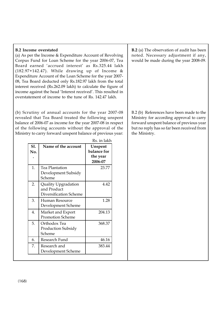| (b) Scrutiny of annual accounts for the year 2007-08<br>B.2 (b) References have been made to the<br>revealed that Tea Board treated the following unspent<br>Ministry for according approval to carry<br>forward unspent balance of previous year<br>balance of 2006-07 as income for the year 2007-08 in respect<br>of the following accounts without the approval of the<br>but no reply has so far been received from<br>Ministry to carry forward unspent balance of previous year:<br>the Ministry.<br>Rs. in lakh<br>S1.<br>Name of the account<br>Unspent<br>balance for<br>No.<br>the year<br>2006-07<br><b>Tea Plantation</b><br>23.77<br>1.<br>Development Subsidy<br>Scheme<br>4.42<br>2.<br>Quality Upgradation<br>and Product |
|--------------------------------------------------------------------------------------------------------------------------------------------------------------------------------------------------------------------------------------------------------------------------------------------------------------------------------------------------------------------------------------------------------------------------------------------------------------------------------------------------------------------------------------------------------------------------------------------------------------------------------------------------------------------------------------------------------------------------------------------|
|                                                                                                                                                                                                                                                                                                                                                                                                                                                                                                                                                                                                                                                                                                                                            |
|                                                                                                                                                                                                                                                                                                                                                                                                                                                                                                                                                                                                                                                                                                                                            |
|                                                                                                                                                                                                                                                                                                                                                                                                                                                                                                                                                                                                                                                                                                                                            |
|                                                                                                                                                                                                                                                                                                                                                                                                                                                                                                                                                                                                                                                                                                                                            |
| Diversification Scheme                                                                                                                                                                                                                                                                                                                                                                                                                                                                                                                                                                                                                                                                                                                     |
| 3.<br>Human Resource<br>1.28<br>Development Scheme                                                                                                                                                                                                                                                                                                                                                                                                                                                                                                                                                                                                                                                                                         |
| Market and Export<br>204.13<br>4.<br><b>Promotion Scheme</b>                                                                                                                                                                                                                                                                                                                                                                                                                                                                                                                                                                                                                                                                               |
| 5.<br>Orthodox Tea<br>368.37<br>Production Subsidy<br>Scheme                                                                                                                                                                                                                                                                                                                                                                                                                                                                                                                                                                                                                                                                               |
| Research Fund<br>46.16<br>6.                                                                                                                                                                                                                                                                                                                                                                                                                                                                                                                                                                                                                                                                                                               |
| Research and<br>383.44<br>7.<br>Development Scheme                                                                                                                                                                                                                                                                                                                                                                                                                                                                                                                                                                                                                                                                                         |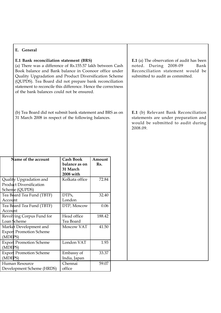| E. General                                                                                                                                                                                                                                                                                                                                                                                       |                                                            |                                                                                                                                                            |  |                                                                                                                                |
|--------------------------------------------------------------------------------------------------------------------------------------------------------------------------------------------------------------------------------------------------------------------------------------------------------------------------------------------------------------------------------------------------|------------------------------------------------------------|------------------------------------------------------------------------------------------------------------------------------------------------------------|--|--------------------------------------------------------------------------------------------------------------------------------|
| E.1 Bank reconciliation statement (BRS)<br>(a) There was a difference of Rs.155.57 lakh between Cash<br>Book balance and Bank balance in Coonoor office under<br>Quality Upgradation and Product Diversification Scheme<br>(QUPDS). Tea Board did not prepare bank reconciliation<br>statement to reconcile this difference. Hence the correctness<br>of the bank balances could not be ensured. |                                                            | <b>E.1</b> (a) The observation of audit has been<br>noted. During 2008-09<br>Bank<br>Reconciliation statement would be<br>submitted to audit as committed. |  |                                                                                                                                |
| (b) Tea Board did not submit bank statement and BRS as on<br>31 March 2008 in respect of the following balances.                                                                                                                                                                                                                                                                                 |                                                            |                                                                                                                                                            |  | E.1 (b) Relevant Bank Reconciliation<br>statements are under preparation and<br>would be submitted to audit during<br>2008.09. |
|                                                                                                                                                                                                                                                                                                                                                                                                  |                                                            |                                                                                                                                                            |  |                                                                                                                                |
| Name of the account                                                                                                                                                                                                                                                                                                                                                                              | <b>Cash Book</b><br>balance as on<br>31 March<br>2008 with | Amount<br>Rs.                                                                                                                                              |  |                                                                                                                                |
| Quality Upgradation and<br><b>Product Diversification</b><br>Scheme (QUPDS)                                                                                                                                                                                                                                                                                                                      | Kolkata office                                             | 72.84                                                                                                                                                      |  |                                                                                                                                |
| Tea Bøard Tea Fund (TBTF)<br>Account                                                                                                                                                                                                                                                                                                                                                             | DTPs,<br>London                                            | 32.40                                                                                                                                                      |  |                                                                                                                                |
| Tea Board Tea Fund (TBTF)<br>Account                                                                                                                                                                                                                                                                                                                                                             | DTP, Moscow                                                | 0.06                                                                                                                                                       |  |                                                                                                                                |
| Revolving Corpus Fund for<br>Loan \$cheme                                                                                                                                                                                                                                                                                                                                                        | Head office<br>Tea Board                                   | 188.42                                                                                                                                                     |  |                                                                                                                                |
| Market Development and<br>Export Promotion Scheme<br>(MDEPS)                                                                                                                                                                                                                                                                                                                                     | Moscow VAT                                                 | 41.50                                                                                                                                                      |  |                                                                                                                                |
| Export Promotion Scheme<br>(MDEPS)                                                                                                                                                                                                                                                                                                                                                               | London VAT                                                 | 1.93                                                                                                                                                       |  |                                                                                                                                |
| Export Promotion Scheme<br>(MDEPS)                                                                                                                                                                                                                                                                                                                                                               | Embassy of<br>India, Japan                                 | 33.37                                                                                                                                                      |  |                                                                                                                                |
| Human Resource<br>Development Scheme (HRDS)                                                                                                                                                                                                                                                                                                                                                      | Chennai<br>office                                          | 59.07                                                                                                                                                      |  |                                                                                                                                |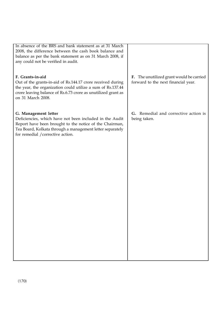| In absence of the BRS and bank statement as at 31 March                                                                                                                                                                                      |                                                                                 |
|----------------------------------------------------------------------------------------------------------------------------------------------------------------------------------------------------------------------------------------------|---------------------------------------------------------------------------------|
| 2008, the difference between the cash book balance and                                                                                                                                                                                       |                                                                                 |
| balance as per the bank statement as on 31 March 2008, if                                                                                                                                                                                    |                                                                                 |
| any could not be verified in audit.                                                                                                                                                                                                          |                                                                                 |
| F. Grants-in-aid<br>Out of the grants-in-aid of Rs.144.17 crore received during<br>the year, the organization could utilize a sum of Rs.137.44<br>crore leaving balance of Rs.6.73 crore as unutilized grant as<br>on 31 March 2008.         | F. The unutilized grant would be carried<br>forward to the next financial year. |
| G. Management letter<br>Deficiencies, which have not been included in the Audit<br>Report have been brought to the notice of the Chairman,<br>Tea Board, Kolkata through a management letter separately<br>for remedial / corrective action. | G. Remedial and corrective action is<br>being taken.                            |
|                                                                                                                                                                                                                                              |                                                                                 |